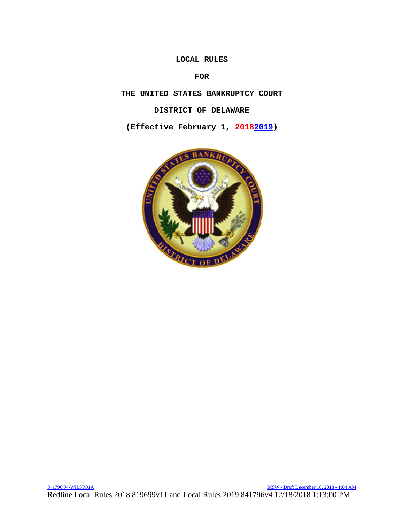#### **LOCAL RULES**

# **FOR**

**THE UNITED STATES BANKRUPTCY COURT**

## **DISTRICT OF DELAWARE**

**(Effective February 1, 20182019)**

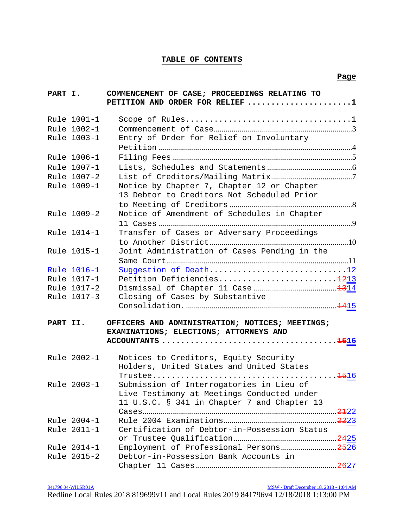### **TABLE OF CONTENTS**

|          | PART I.            | COMMENCEMENT OF CASE; PROCEEDINGS RELATING TO<br>PETITION AND ORDER FOR RELIEF 1                                                      |  |
|----------|--------------------|---------------------------------------------------------------------------------------------------------------------------------------|--|
|          | Rule 1001-1        |                                                                                                                                       |  |
|          | Rule 1002-1        |                                                                                                                                       |  |
|          | Rule 1003-1        | Entry of Order for Relief on Involuntary                                                                                              |  |
|          |                    |                                                                                                                                       |  |
|          | Rule 1006-1        |                                                                                                                                       |  |
|          | Rule 1007-1        |                                                                                                                                       |  |
|          | Rule 1007-2        |                                                                                                                                       |  |
|          | Rule 1009-1        | Notice by Chapter 7, Chapter 12 or Chapter<br>13 Debtor to Creditors Not Scheduled Prior                                              |  |
|          |                    |                                                                                                                                       |  |
|          | Rule 1009-2        | Notice of Amendment of Schedules in Chapter                                                                                           |  |
|          | Rule 1014-1        | Transfer of Cases or Adversary Proceedings                                                                                            |  |
|          |                    |                                                                                                                                       |  |
|          | Rule 1015-1        | Joint Administration of Cases Pending in the                                                                                          |  |
|          | <u>Rule 1016-1</u> | Suggestion of Death12                                                                                                                 |  |
|          | Rule 1017-1        | Petition Deficiencies1213                                                                                                             |  |
|          | Rule 1017-2        |                                                                                                                                       |  |
|          | Rule 1017-3        | Closing of Cases by Substantive                                                                                                       |  |
|          |                    |                                                                                                                                       |  |
|          |                    |                                                                                                                                       |  |
| PART II. |                    | OFFICERS AND ADMINISTRATION; NOTICES; MEETINGS;<br>EXAMINATIONS; ELECTIONS; ATTORNEYS AND                                             |  |
|          |                    |                                                                                                                                       |  |
|          | Rule 2002-1        | Notices to Creditors, Equity Security                                                                                                 |  |
|          |                    | Holders, United States and United States                                                                                              |  |
|          | Rule 2003-1        | Submission of Interrogatories in Lieu of<br>Live Testimony at Meetings Conducted under<br>11 U.S.C. § 341 in Chapter 7 and Chapter 13 |  |
|          |                    |                                                                                                                                       |  |
|          | Rule 2004-1        |                                                                                                                                       |  |
|          | Rule 2011-1        | Certification of Debtor-in-Possession Status                                                                                          |  |
|          |                    |                                                                                                                                       |  |
|          | Rule 2014-1        |                                                                                                                                       |  |
|          | Rule 2015-2        | Debtor-in-Possession Bank Accounts in                                                                                                 |  |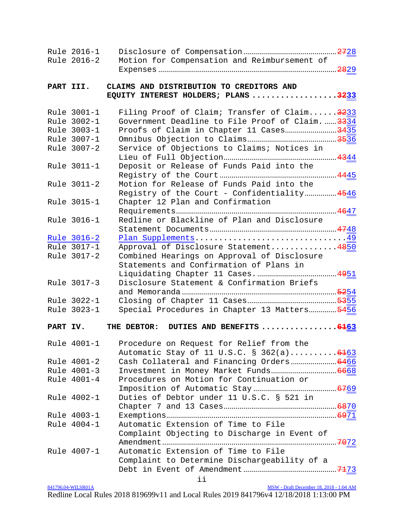|             | Rule 2016-1<br>Rule 2016-2 | Motion for Compensation and Reimbursement of         |  |
|-------------|----------------------------|------------------------------------------------------|--|
|             |                            |                                                      |  |
|             | PART III.                  | CLAIMS AND DISTRIBUTION TO CREDITORS AND             |  |
|             |                            | EQUITY INTEREST HOLDERS; PLANS 3233                  |  |
|             | Rule 3001-1                | Filing Proof of Claim; Transfer of Claim 3233        |  |
|             | Rule 3002-1                | Government Deadline to File Proof of Claim.  3334    |  |
|             | Rule 3003-1                |                                                      |  |
|             | Rule 3007-1                |                                                      |  |
|             | Rule 3007-2                | Service of Objections to Claims; Notices in          |  |
|             | Rule 3011-1                | Deposit or Release of Funds Paid into the            |  |
|             | Rule 3011-2                | Motion for Release of Funds Paid into the            |  |
|             |                            | Registry of the Court - Confidentiality4546          |  |
|             | Rule 3015-1                | Chapter 12 Plan and Confirmation                     |  |
|             |                            |                                                      |  |
|             | Rule 3016-1                | Redline or Blackline of Plan and Disclosure          |  |
|             |                            |                                                      |  |
|             | <u>Rule 3016-2</u>         | Plan Supplements49                                   |  |
|             | Rule 3017-1                | Approval of Disclosure Statement4850                 |  |
|             | Rule 3017-2                | Combined Hearings on Approval of Disclosure          |  |
|             |                            | Statements and Confirmation of Plans in              |  |
|             |                            |                                                      |  |
|             | Rule 3017-3                | Disclosure Statement & Confirmation Briefs           |  |
|             |                            |                                                      |  |
|             | Rule 3022-1                |                                                      |  |
|             | Rule 3023-1                | Special Procedures in Chapter 13 Matters 5456        |  |
|             | PART IV.                   | THE DEBTOR: DUTIES AND BENEFITS  6163                |  |
|             |                            |                                                      |  |
|             |                            | Rule 4001-1 Procedure on Request for Relief from the |  |
|             |                            | Automatic Stay of 11 U.S.C. § 362(a) 6163            |  |
|             | Rule 4001-2                | Cash Collateral and Financing Orders 6466            |  |
|             | Rule 4001-3                |                                                      |  |
|             | Rule 4001-4                | Procedures on Motion for Continuation or             |  |
| Rule 4002-1 |                            | Duties of Debtor under 11 U.S.C. § 521 in            |  |
|             |                            |                                                      |  |
|             |                            |                                                      |  |
|             | Rule 4003-1                |                                                      |  |
|             | Rule 4004-1                | Automatic Extension of Time to File                  |  |
|             |                            | Complaint Objecting to Discharge in Event of         |  |
|             |                            |                                                      |  |
|             | Rule 4007-1                | Automatic Extension of Time to File                  |  |
|             |                            | Complaint to Determine Dischargeability of a         |  |
|             |                            | ii                                                   |  |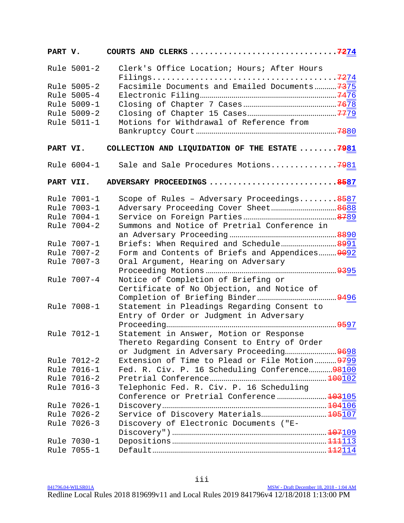| PART V.   |             |                                                 |
|-----------|-------------|-------------------------------------------------|
|           | Rule 5001-2 | Clerk's Office Location; Hours; After Hours     |
|           | Rule 5005-2 | Facsimile Documents and Emailed Documents7375   |
|           | Rule 5005-4 |                                                 |
|           | Rule 5009-1 |                                                 |
|           | Rule 5009-2 |                                                 |
|           | Rule 5011-1 | Motions for Withdrawal of Reference from        |
|           |             |                                                 |
| PART VI.  |             | COLLECTION AND LIQUIDATION OF THE ESTATE 7981   |
|           | Rule 6004-1 | Sale and Sale Procedures Motions7981            |
| PART VII. |             | ADVERSARY PROCEEDINGS 8587                      |
|           | Rule 7001-1 | Scope of Rules - Adversary Proceedings 8587     |
|           | Rule 7003-1 |                                                 |
|           | Rule 7004-1 |                                                 |
|           | Rule 7004-2 | Summons and Notice of Pretrial Conference in    |
|           |             |                                                 |
|           | Rule 7007-1 |                                                 |
|           | Rule 7007-2 | Form and Contents of Briefs and Appendices 9092 |
|           | Rule 7007-3 | Oral Argument, Hearing on Adversary             |
|           |             |                                                 |
|           | Rule 7007-4 | Notice of Completion of Briefing or             |
|           |             | Certificate of No Objection, and Notice of      |
|           |             |                                                 |
|           | Rule 7008-1 | Statement in Pleadings Regarding Consent to     |
|           |             | Entry of Order or Judgment in Adversary         |
|           | Rule 7012-1 | Statement in Answer, Motion or Response         |
|           |             | Thereto Regarding Consent to Entry of Order     |
|           |             |                                                 |
|           | Rule 7012-2 | Extension of Time to Plead or File Motion 9799  |
|           | Rule 7016-1 | Fed. R. Civ. P. 16 Scheduling Conference 98100  |
|           | Rule 7016-2 |                                                 |
|           | Rule 7016-3 | Telephonic Fed. R. Civ. P. 16 Scheduling        |
|           |             | Conference or Pretrial Conference403105         |
|           | Rule 7026-1 |                                                 |
|           | Rule 7026-2 |                                                 |
|           | Rule 7026-3 | Discovery of Electronic Documents ("E-          |
|           |             |                                                 |
|           | Rule 7030-1 |                                                 |
|           | Rule 7055-1 |                                                 |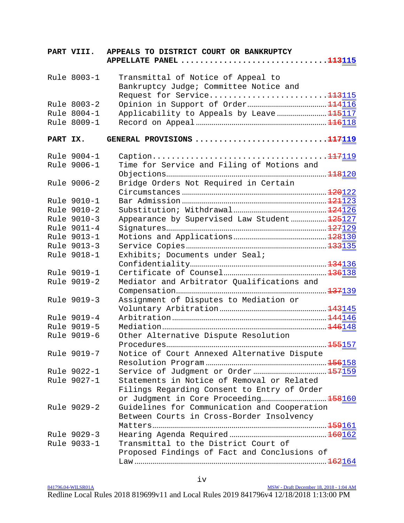|          | PART VIII.  | APPEALS TO DISTRICT COURT OR BANKRUPTCY      |  |
|----------|-------------|----------------------------------------------|--|
|          |             |                                              |  |
|          |             |                                              |  |
|          | Rule 8003-1 | Transmittal of Notice of Appeal to           |  |
|          |             | Bankruptcy Judge; Committee Notice and       |  |
|          |             |                                              |  |
|          | Rule 8003-2 |                                              |  |
|          | Rule 8004-1 | Applicability to Appeals by Leave  115117    |  |
|          | Rule 8009-1 |                                              |  |
| PART IX. |             | GENERAL PROVISIONS 117119                    |  |
|          |             |                                              |  |
|          | Rule 9004-1 |                                              |  |
|          | Rule 9006-1 | Time for Service and Filing of Motions and   |  |
|          |             |                                              |  |
|          | Rule 9006-2 | Bridge Orders Not Required in Certain        |  |
|          |             |                                              |  |
|          | Rule 9010-1 |                                              |  |
|          | Rule 9010-2 |                                              |  |
|          | Rule 9010-3 | Appearance by Supervised Law Student 125127  |  |
|          | Rule 9011-4 |                                              |  |
|          | Rule 9013-1 |                                              |  |
|          | Rule 9013-3 |                                              |  |
|          | Rule 9018-1 | Exhibits; Documents under Seal;              |  |
|          |             |                                              |  |
|          | Rule 9019-1 |                                              |  |
|          | Rule 9019-2 | Mediator and Arbitrator Qualifications and   |  |
|          |             |                                              |  |
|          | Rule 9019-3 | Assignment of Disputes to Mediation or       |  |
|          |             |                                              |  |
|          | Rule 9019-4 |                                              |  |
|          | Rule 9019-5 |                                              |  |
|          | Rule 9019-6 | Other Alternative Dispute Resolution         |  |
|          |             |                                              |  |
|          | Rule 9019-7 | Notice of Court Annexed Alternative Dispute  |  |
|          |             |                                              |  |
|          | Rule 9022-1 |                                              |  |
|          | Rule 9027-1 | Statements in Notice of Removal or Related   |  |
|          |             | Filings Regarding Consent to Entry of Order  |  |
|          |             |                                              |  |
|          | Rule 9029-2 | Guidelines for Communication and Cooperation |  |
|          |             | Between Courts in Cross-Border Insolvency    |  |
|          |             |                                              |  |
|          | Rule 9029-3 |                                              |  |
|          | Rule 9033-1 | Transmittal to the District Court of         |  |
|          |             | Proposed Findings of Fact and Conclusions of |  |
|          |             |                                              |  |
|          |             |                                              |  |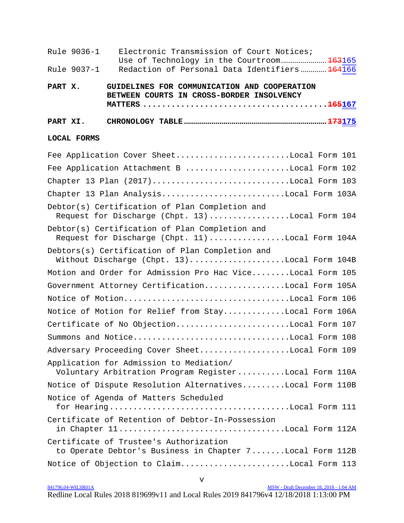Rule 9036-1 Electronic Transmission of Court Notices; Use of Technology in the Courtroom..................... 163165 Rule 9037-1 Redaction of Personal Data Identifiers ............ 164<sup>166</sup> **PART X. GUIDELINES FOR COMMUNICATION AND COOPERATION BETWEEN COURTS IN CROSS-BORDER INSOLVENCY MATTERS .......................................165167**

# **PART XI. CHRONOLOGY TABLE........................................................................ 173175**

### **LOCAL FORMS**

| Fee Application Cover SheetLocal Form 101                                                          |
|----------------------------------------------------------------------------------------------------|
| Fee Application Attachment B Local Form 102                                                        |
| Chapter 13 Plan (2017)Local Form 103                                                               |
| Chapter 13 Plan AnalysisLocal Form 103A                                                            |
| Debtor(s) Certification of Plan Completion and<br>Request for Discharge (Chpt. 13) Local Form 104  |
| Debtor(s) Certification of Plan Completion and<br>Request for Discharge (Chpt. 11) Local Form 104A |
| Debtors(s) Certification of Plan Completion and<br>Without Discharge (Chpt. 13)Local Form 104B     |
| Motion and Order for Admission Pro Hac ViceLocal Form 105                                          |
| Government Attorney CertificationLocal Form 105A                                                   |
| Notice of MotionLocal Form 106                                                                     |
| Notice of Motion for Relief from StayLocal Form 106A                                               |
| Certificate of No ObjectionLocal Form 107                                                          |
| Summons and NoticeLocal Form 108                                                                   |
| Adversary Proceeding Cover SheetLocal Form 109                                                     |
| Application for Admission to Mediation/<br>Voluntary Arbitration Program RegisterLocal Form 110A   |
| Notice of Dispute Resolution AlternativesLocal Form 110B                                           |
| Notice of Agenda of Matters Scheduled                                                              |
| Certificate of Retention of Debtor-In-Possession<br>in Chapter 11Local Form 112A                   |
| Certificate of Trustee's Authorization<br>to Operate Debtor's Business in Chapter 7Local Form 112B |
| Notice of Objection to ClaimLocal Form 113                                                         |

841796.04-WILSR01A MSW - Draft December 18, 2018 - 1:04 AM

Redline Local Rules 2018 819699v11 and Local Rules 2019 841796v4 12/18/2018 1:13:00 PM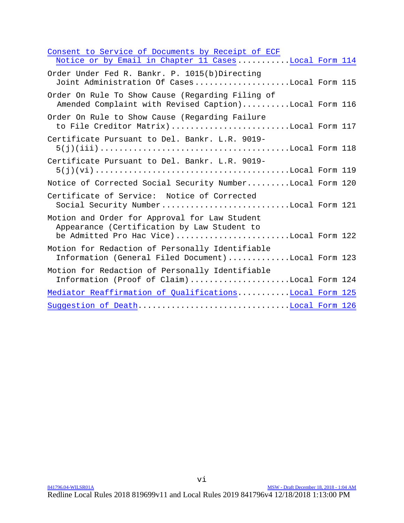| Consent to Service of Documents by Receipt of ECF                                                         |  |
|-----------------------------------------------------------------------------------------------------------|--|
| Notice or by Email in Chapter 11 Cases Local Form 114                                                     |  |
| Order Under Fed R. Bankr. P. 1015(b)Directing                                                             |  |
| Joint Administration Of CasesLocal Form 115                                                               |  |
| Order On Rule To Show Cause (Regarding Filing of<br>Amended Complaint with Revised Caption)Local Form 116 |  |
| Order On Rule to Show Cause (Regarding Failure<br>to File Creditor Matrix)Local Form 117                  |  |
| Certificate Pursuant to Del. Bankr. L.R. 9019-                                                            |  |
| Certificate Pursuant to Del. Bankr. L.R. 9019-                                                            |  |
| Notice of Corrected Social Security NumberLocal Form 120                                                  |  |
| Certificate of Service: Notice of Corrected<br>Social Security NumberLocal Form 121                       |  |
| Motion and Order for Approval for Law Student                                                             |  |
| Appearance (Certification by Law Student to<br>be Admitted Pro Hac Vice)Local Form 122                    |  |
| Motion for Redaction of Personally Identifiable<br>Information (General Filed Document) Local Form 123    |  |
| Motion for Redaction of Personally Identifiable<br>Information (Proof of Claim)Local Form 124             |  |
| Mediator Reaffirmation of QualificationsLocal Form 125                                                    |  |
| Suggestion of DeathLocal Form 126                                                                         |  |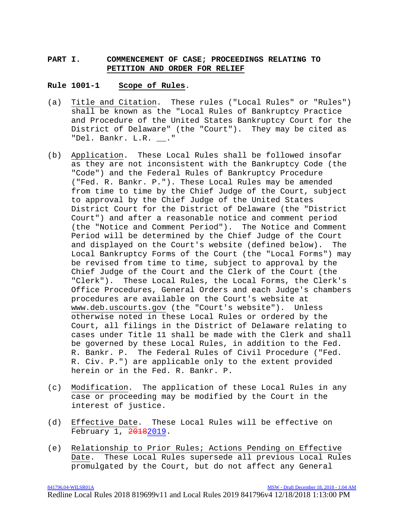## **PART I. COMMENCEMENT OF CASE; PROCEEDINGS RELATING TO PETITION AND ORDER FOR RELIEF**

#### **Rule 1001-1 Scope of Rules**.

- (a) Title and Citation. These rules ("Local Rules" or "Rules") shall be known as the "Local Rules of Bankruptcy Practice and Procedure of the United States Bankruptcy Court for the District of Delaware" (the "Court"). They may be cited as "Del. Bankr. L.R. \_\_."
- (b) Application. These Local Rules shall be followed insofar as they are not inconsistent with the Bankruptcy Code (the "Code") and the Federal Rules of Bankruptcy Procedure ("Fed. R. Bankr. P."). These Local Rules may be amended from time to time by the Chief Judge of the Court, subject to approval by the Chief Judge of the United States District Court for the District of Delaware (the "District Court") and after a reasonable notice and comment period (the "Notice and Comment Period"). The Notice and Comment Period will be determined by the Chief Judge of the Court and displayed on the Court's website (defined below). The Local Bankruptcy Forms of the Court (the "Local Forms") may be revised from time to time, subject to approval by the Chief Judge of the Court and the Clerk of the Court (the "Clerk"). These Local Rules, the Local Forms, the Clerk's Office Procedures, General Orders and each Judge's chambers procedures are available on the Court's website at www.deb.uscourts.gov (the "Court's website"). Unless otherwise noted in these Local Rules or ordered by the Court, all filings in the District of Delaware relating to cases under Title 11 shall be made with the Clerk and shall be governed by these Local Rules, in addition to the Fed. R. Bankr. P. The Federal Rules of Civil Procedure ("Fed. R. Civ. P.") are applicable only to the extent provided herein or in the Fed. R. Bankr. P.
- (c) Modification. The application of these Local Rules in any case or proceeding may be modified by the Court in the interest of justice.
- (d) Effective Date. These Local Rules will be effective on February 1, 20182019.
- (e) Relationship to Prior Rules; Actions Pending on Effective Date. These Local Rules supersede all previous Local Rules promulgated by the Court, but do not affect any General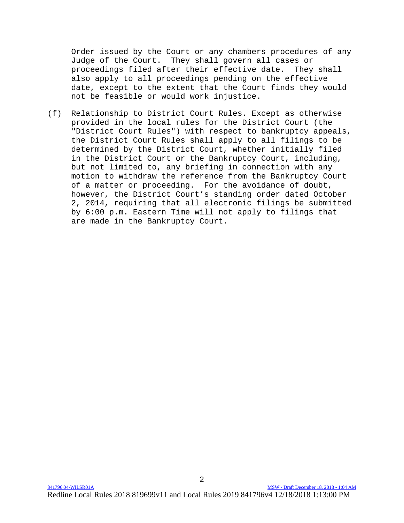Order issued by the Court or any chambers procedures of any Judge of the Court. They shall govern all cases or proceedings filed after their effective date. They shall also apply to all proceedings pending on the effective date, except to the extent that the Court finds they would not be feasible or would work injustice.

(f) Relationship to District Court Rules. Except as otherwise provided in the local rules for the District Court (the "District Court Rules") with respect to bankruptcy appeals, the District Court Rules shall apply to all filings to be determined by the District Court, whether initially filed in the District Court or the Bankruptcy Court, including, but not limited to, any briefing in connection with any motion to withdraw the reference from the Bankruptcy Court of a matter or proceeding. For the avoidance of doubt, however, the District Court's standing order dated October 2, 2014, requiring that all electronic filings be submitted by 6:00 p.m. Eastern Time will not apply to filings that are made in the Bankruptcy Court.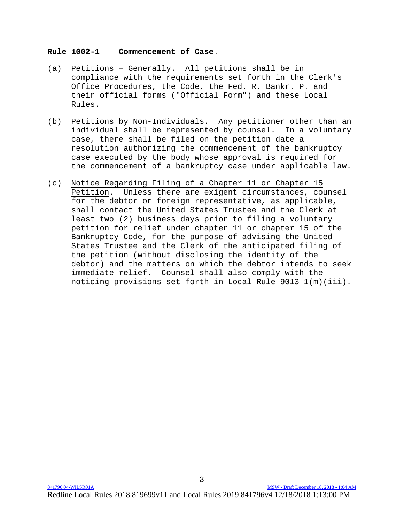#### **Rule 1002-1 Commencement of Case**.

- (a) Petitions Generally. All petitions shall be in compliance with the requirements set forth in the Clerk's Office Procedures, the Code, the Fed. R. Bankr. P. and their official forms ("Official Form") and these Local Rules.
- (b) Petitions by Non-Individuals. Any petitioner other than an individual shall be represented by counsel. In a voluntary case, there shall be filed on the petition date a resolution authorizing the commencement of the bankruptcy case executed by the body whose approval is required for the commencement of a bankruptcy case under applicable law.
- (c) Notice Regarding Filing of a Chapter 11 or Chapter 15 Petition. Unless there are exigent circumstances, counsel for the debtor or foreign representative, as applicable, shall contact the United States Trustee and the Clerk at least two (2) business days prior to filing a voluntary petition for relief under chapter 11 or chapter 15 of the Bankruptcy Code, for the purpose of advising the United States Trustee and the Clerk of the anticipated filing of the petition (without disclosing the identity of the debtor) and the matters on which the debtor intends to seek immediate relief. Counsel shall also comply with the noticing provisions set forth in Local Rule 9013-1(m)(iii).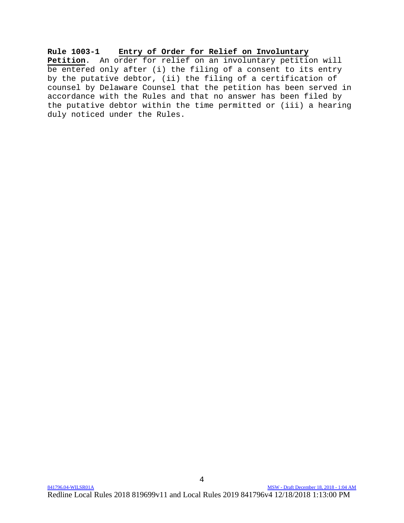**Rule 1003-1 Entry of Order for Relief on Involuntary Petition**. An order for relief on an involuntary petition will be entered only after (i) the filing of a consent to its entry by the putative debtor, (ii) the filing of a certification of counsel by Delaware Counsel that the petition has been served in accordance with the Rules and that no answer has been filed by the putative debtor within the time permitted or (iii) a hearing duly noticed under the Rules.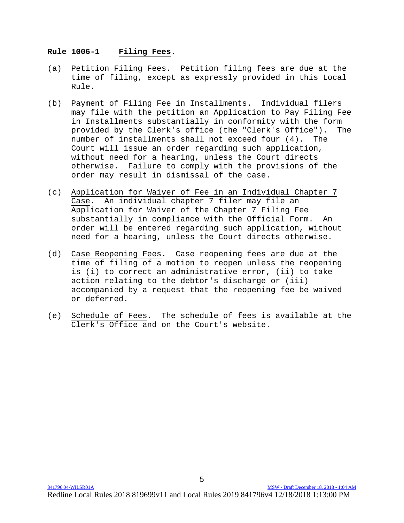#### **Rule 1006-1 Filing Fees**.

- (a) Petition Filing Fees. Petition filing fees are due at the time of filing, except as expressly provided in this Local Rule.
- (b) Payment of Filing Fee in Installments. Individual filers may file with the petition an Application to Pay Filing Fee in Installments substantially in conformity with the form provided by the Clerk's office (the "Clerk's Office"). The number of installments shall not exceed four (4). The Court will issue an order regarding such application, without need for a hearing, unless the Court directs otherwise. Failure to comply with the provisions of the order may result in dismissal of the case.
- (c) Application for Waiver of Fee in an Individual Chapter 7 Case. An individual chapter 7 filer may file an Application for Waiver of the Chapter 7 Filing Fee substantially in compliance with the Official Form. An order will be entered regarding such application, without need for a hearing, unless the Court directs otherwise.
- (d) Case Reopening Fees. Case reopening fees are due at the time of filing of a motion to reopen unless the reopening is (i) to correct an administrative error, (ii) to take action relating to the debtor's discharge or (iii) accompanied by a request that the reopening fee be waived or deferred.
- (e) Schedule of Fees. The schedule of fees is available at the Clerk's Office and on the Court's website.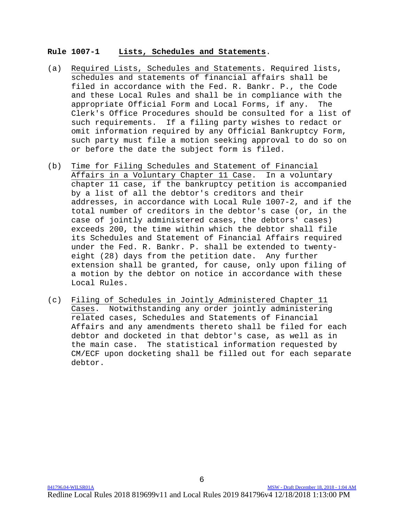#### **Rule 1007-1 Lists, Schedules and Statements**.

- (a) Required Lists, Schedules and Statements. Required lists, schedules and statements of financial affairs shall be filed in accordance with the Fed. R. Bankr. P., the Code and these Local Rules and shall be in compliance with the appropriate Official Form and Local Forms, if any. The Clerk's Office Procedures should be consulted for a list of such requirements. If a filing party wishes to redact or omit information required by any Official Bankruptcy Form, such party must file a motion seeking approval to do so on or before the date the subject form is filed.
- (b) Time for Filing Schedules and Statement of Financial Affairs in a Voluntary Chapter 11 Case. In a voluntary chapter 11 case, if the bankruptcy petition is accompanied by a list of all the debtor's creditors and their addresses, in accordance with Local Rule 1007-2, and if the total number of creditors in the debtor's case (or, in the case of jointly administered cases, the debtors' cases) exceeds 200, the time within which the debtor shall file its Schedules and Statement of Financial Affairs required under the Fed. R. Bankr. P. shall be extended to twentyeight (28) days from the petition date. Any further extension shall be granted, for cause, only upon filing of a motion by the debtor on notice in accordance with these Local Rules.
- (c) Filing of Schedules in Jointly Administered Chapter 11 Cases. Notwithstanding any order jointly administering related cases, Schedules and Statements of Financial Affairs and any amendments thereto shall be filed for each debtor and docketed in that debtor's case, as well as in the main case. The statistical information requested by CM/ECF upon docketing shall be filled out for each separate debtor.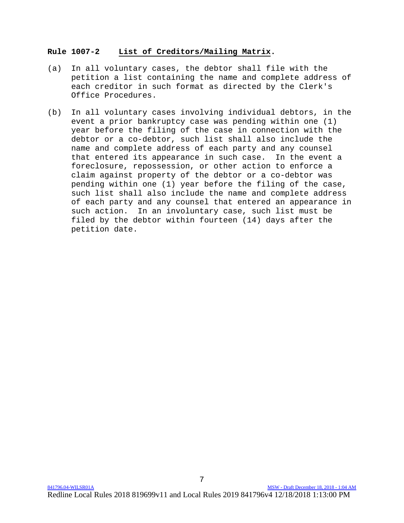### **Rule 1007-2 List of Creditors/Mailing Matrix.**

- (a) In all voluntary cases, the debtor shall file with the petition a list containing the name and complete address of each creditor in such format as directed by the Clerk's Office Procedures.
- (b) In all voluntary cases involving individual debtors, in the event a prior bankruptcy case was pending within one (1) year before the filing of the case in connection with the debtor or a co-debtor, such list shall also include the name and complete address of each party and any counsel that entered its appearance in such case. In the event a foreclosure, repossession, or other action to enforce a claim against property of the debtor or a co-debtor was pending within one (1) year before the filing of the case, such list shall also include the name and complete address of each party and any counsel that entered an appearance in such action. In an involuntary case, such list must be filed by the debtor within fourteen (14) days after the petition date.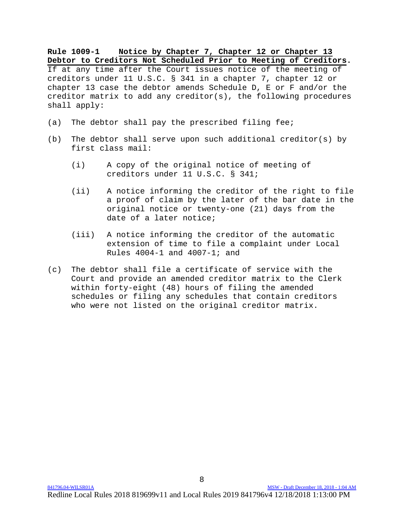### **Rule 1009-1 Notice by Chapter 7, Chapter 12 or Chapter 13 Debtor to Creditors Not Scheduled Prior to Meeting of Creditors.**

If at any time after the Court issues notice of the meeting of creditors under 11 U.S.C. § 341 in a chapter 7, chapter 12 or chapter 13 case the debtor amends Schedule D, E or F and/or the creditor matrix to add any creditor(s), the following procedures shall apply:

- (a) The debtor shall pay the prescribed filing fee;
- (b) The debtor shall serve upon such additional creditor(s) by first class mail:
	- (i) A copy of the original notice of meeting of creditors under 11 U.S.C. § 341;
	- (ii) A notice informing the creditor of the right to file a proof of claim by the later of the bar date in the original notice or twenty-one (21) days from the date of a later notice;
	- (iii) A notice informing the creditor of the automatic extension of time to file a complaint under Local Rules 4004-1 and 4007-1; and
- (c) The debtor shall file a certificate of service with the Court and provide an amended creditor matrix to the Clerk within forty-eight (48) hours of filing the amended schedules or filing any schedules that contain creditors who were not listed on the original creditor matrix.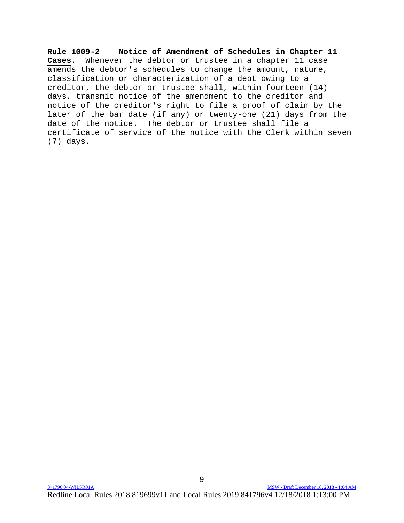**Rule 1009-2 Notice of Amendment of Schedules in Chapter 11 Cases.** Whenever the debtor or trustee in a chapter 11 case amends the debtor's schedules to change the amount, nature, classification or characterization of a debt owing to a creditor, the debtor or trustee shall, within fourteen (14) days, transmit notice of the amendment to the creditor and notice of the creditor's right to file a proof of claim by the later of the bar date (if any) or twenty-one (21) days from the date of the notice. The debtor or trustee shall file a certificate of service of the notice with the Clerk within seven (7) days.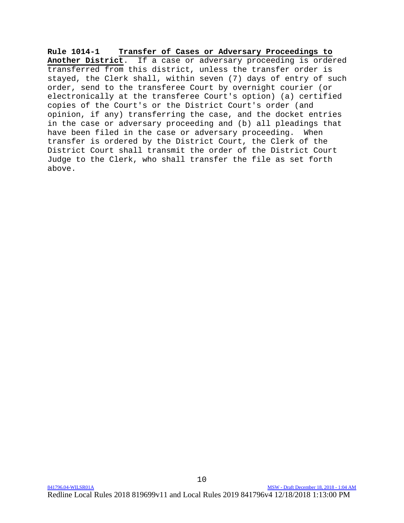**Rule 1014-1 Transfer of Cases or Adversary Proceedings to Another District**. If a case or adversary proceeding is ordered transferred from this district, unless the transfer order is stayed, the Clerk shall, within seven (7) days of entry of such order, send to the transferee Court by overnight courier (or electronically at the transferee Court's option) (a) certified copies of the Court's or the District Court's order (and opinion, if any) transferring the case, and the docket entries in the case or adversary proceeding and (b) all pleadings that have been filed in the case or adversary proceeding. When transfer is ordered by the District Court, the Clerk of the District Court shall transmit the order of the District Court Judge to the Clerk, who shall transfer the file as set forth above.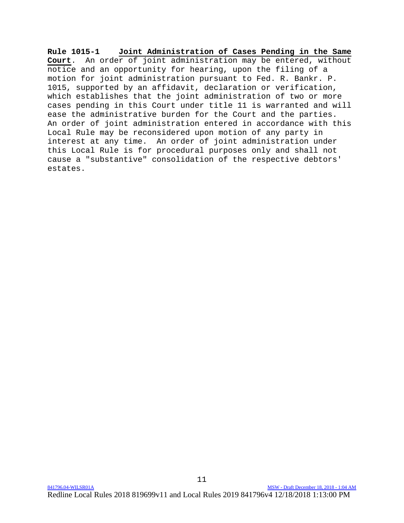**Rule 1015-1 Joint Administration of Cases Pending in the Same Court**. An order of joint administration may be entered, without notice and an opportunity for hearing, upon the filing of a motion for joint administration pursuant to Fed. R. Bankr. P. 1015, supported by an affidavit, declaration or verification, which establishes that the joint administration of two or more cases pending in this Court under title 11 is warranted and will ease the administrative burden for the Court and the parties. An order of joint administration entered in accordance with this Local Rule may be reconsidered upon motion of any party in interest at any time. An order of joint administration under this Local Rule is for procedural purposes only and shall not cause a "substantive" consolidation of the respective debtors' estates.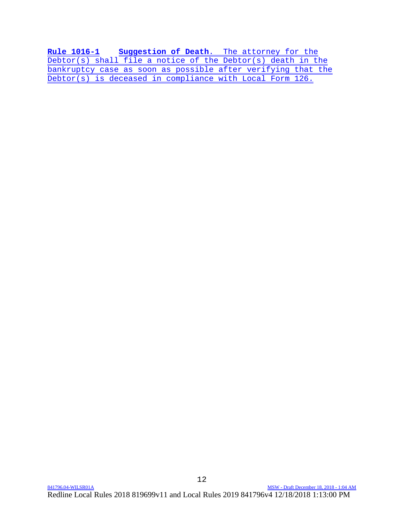**Rule 1016-1 Suggestion of Death**. The attorney for the Debtor(s) shall file a notice of the Debtor(s) death in the bankruptcy case as soon as possible after verifying that the Debtor(s) is deceased in compliance with Local Form 126.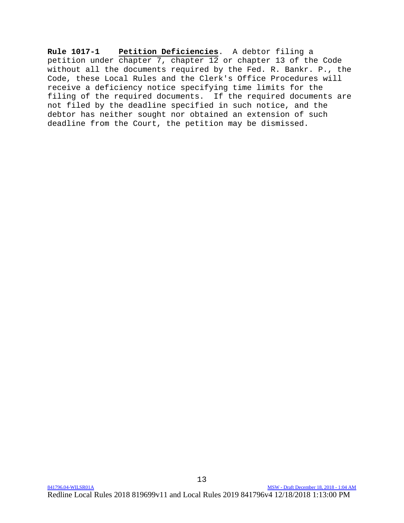**Rule 1017-1 Petition Deficiencies**. A debtor filing a petition under chapter 7, chapter 12 or chapter 13 of the Code without all the documents required by the Fed. R. Bankr. P., the Code, these Local Rules and the Clerk's Office Procedures will receive a deficiency notice specifying time limits for the filing of the required documents. If the required documents are not filed by the deadline specified in such notice, and the debtor has neither sought nor obtained an extension of such deadline from the Court, the petition may be dismissed.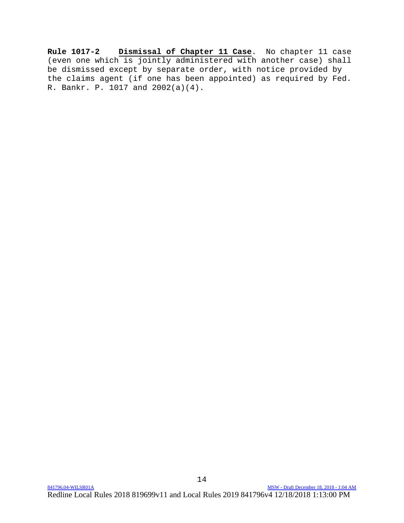**Rule 1017-2 Dismissal of Chapter 11 Case**. No chapter 11 case (even one which is jointly administered with another case) shall be dismissed except by separate order, with notice provided by the claims agent (if one has been appointed) as required by Fed. R. Bankr. P. 1017 and 2002(a)(4).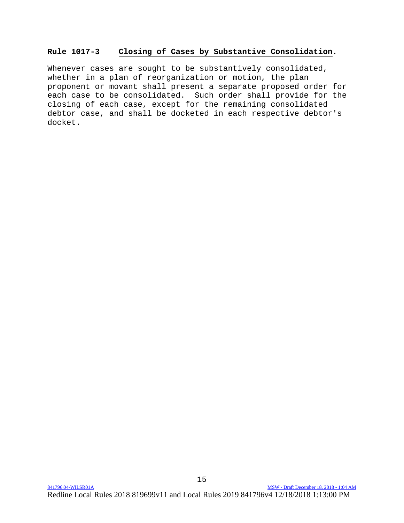### **Rule 1017-3 Closing of Cases by Substantive Consolidation.**

Whenever cases are sought to be substantively consolidated, whether in a plan of reorganization or motion, the plan proponent or movant shall present a separate proposed order for each case to be consolidated. Such order shall provide for the closing of each case, except for the remaining consolidated debtor case, and shall be docketed in each respective debtor's docket.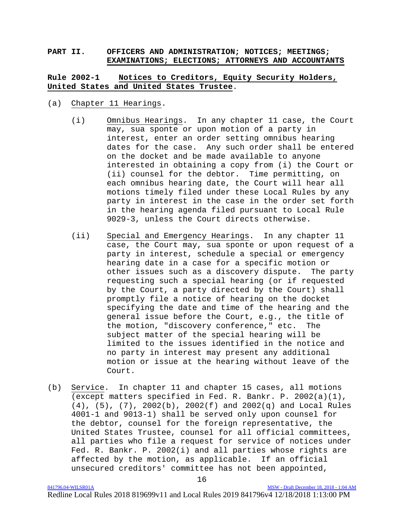## **PART II. OFFICERS AND ADMINISTRATION; NOTICES; MEETINGS; EXAMINATIONS; ELECTIONS; ATTORNEYS AND ACCOUNTANTS**

# **Rule 2002-1 Notices to Creditors, Equity Security Holders, United States and United States Trustee**.

- (a) Chapter 11 Hearings.
	- (i) Omnibus Hearings. In any chapter 11 case, the Court may, sua sponte or upon motion of a party in interest, enter an order setting omnibus hearing dates for the case. Any such order shall be entered on the docket and be made available to anyone interested in obtaining a copy from (i) the Court or (ii) counsel for the debtor. Time permitting, on each omnibus hearing date, the Court will hear all motions timely filed under these Local Rules by any party in interest in the case in the order set forth in the hearing agenda filed pursuant to Local Rule 9029-3, unless the Court directs otherwise.
	- (ii) Special and Emergency Hearings. In any chapter 11 case, the Court may, sua sponte or upon request of a party in interest, schedule a special or emergency hearing date in a case for a specific motion or<br>other issues such as a discovery dispute. The party other issues such as a discovery dispute. requesting such a special hearing (or if requested by the Court, a party directed by the Court) shall promptly file a notice of hearing on the docket specifying the date and time of the hearing and the general issue before the Court, e.g., the title of the motion, "discovery conference," etc. The subject matter of the special hearing will be limited to the issues identified in the notice and no party in interest may present any additional motion or issue at the hearing without leave of the Court.
- (b) Service. In chapter 11 and chapter 15 cases, all motions (except matters specified in Fed. R. Bankr. P. 2002(a)(1),  $(4)$ ,  $(5)$ ,  $(7)$ ,  $2002(b)$ ,  $2002(f)$  and  $2002(q)$  and Local Rules 4001-1 and 9013-1) shall be served only upon counsel for the debtor, counsel for the foreign representative, the United States Trustee, counsel for all official committees, all parties who file a request for service of notices under Fed. R. Bankr. P. 2002(i) and all parties whose rights are affected by the motion, as applicable. If an official unsecured creditors' committee has not been appointed,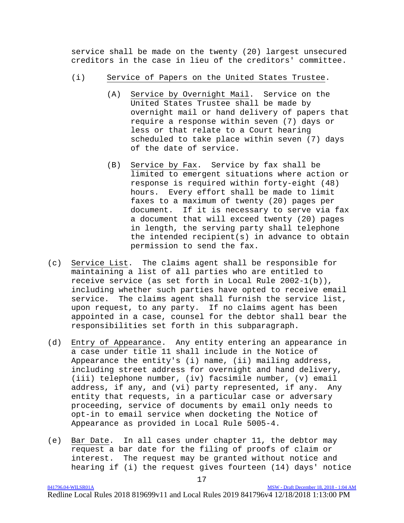service shall be made on the twenty (20) largest unsecured creditors in the case in lieu of the creditors' committee.

- (i) Service of Papers on the United States Trustee.
	- (A) Service by Overnight Mail. Service on the United States Trustee shall be made by overnight mail or hand delivery of papers that require a response within seven (7) days or less or that relate to a Court hearing scheduled to take place within seven (7) days of the date of service.
	- (B) Service by Fax. Service by fax shall be limited to emergent situations where action or response is required within forty-eight (48) hours. Every effort shall be made to limit faxes to a maximum of twenty (20) pages per document. If it is necessary to serve via fax a document that will exceed twenty (20) pages in length, the serving party shall telephone the intended recipient(s) in advance to obtain permission to send the fax.
- (c) Service List. The claims agent shall be responsible for maintaining a list of all parties who are entitled to receive service (as set forth in Local Rule 2002-1(b)), including whether such parties have opted to receive email service. The claims agent shall furnish the service list, upon request, to any party. If no claims agent has been appointed in a case, counsel for the debtor shall bear the responsibilities set forth in this subparagraph.
- (d) Entry of Appearance. Any entity entering an appearance in a case under title 11 shall include in the Notice of Appearance the entity's (i) name, (ii) mailing address, including street address for overnight and hand delivery, (iii) telephone number, (iv) facsimile number, (v) email address, if any, and (vi) party represented, if any. Any entity that requests, in a particular case or adversary proceeding, service of documents by email only needs to opt-in to email service when docketing the Notice of Appearance as provided in Local Rule 5005-4.
- (e) Bar Date. In all cases under chapter 11, the debtor may request a bar date for the filing of proofs of claim or interest. The request may be granted without notice and hearing if (i) the request gives fourteen (14) days' notice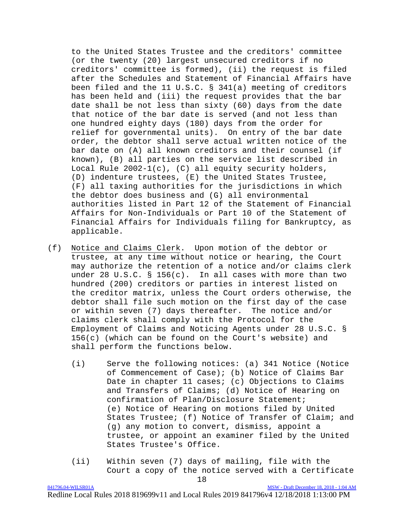to the United States Trustee and the creditors' committee (or the twenty (20) largest unsecured creditors if no creditors' committee is formed), (ii) the request is filed after the Schedules and Statement of Financial Affairs have been filed and the 11 U.S.C. § 341(a) meeting of creditors has been held and (iii) the request provides that the bar date shall be not less than sixty (60) days from the date that notice of the bar date is served (and not less than one hundred eighty days (180) days from the order for relief for governmental units). On entry of the bar date order, the debtor shall serve actual written notice of the bar date on (A) all known creditors and their counsel (if known), (B) all parties on the service list described in Local Rule  $2002-1(c)$ , (C) all equity security holders, (D) indenture trustees, (E) the United States Trustee, (F) all taxing authorities for the jurisdictions in which the debtor does business and (G) all environmental authorities listed in Part 12 of the Statement of Financial Affairs for Non-Individuals or Part 10 of the Statement of Financial Affairs for Individuals filing for Bankruptcy, as applicable.

- (f) Notice and Claims Clerk. Upon motion of the debtor or trustee, at any time without notice or hearing, the Court may authorize the retention of a notice and/or claims clerk under 28 U.S.C. § 156(c). In all cases with more than two hundred (200) creditors or parties in interest listed on the creditor matrix, unless the Court orders otherwise, the debtor shall file such motion on the first day of the case or within seven (7) days thereafter. The notice and/or claims clerk shall comply with the Protocol for the Employment of Claims and Noticing Agents under 28 U.S.C. § 156(c) (which can be found on the Court's website) and shall perform the functions below.
	- (i) Serve the following notices: (a) 341 Notice (Notice of Commencement of Case); (b) Notice of Claims Bar Date in chapter 11 cases; (c) Objections to Claims and Transfers of Claims; (d) Notice of Hearing on confirmation of Plan/Disclosure Statement; (e) Notice of Hearing on motions filed by United States Trustee; (f) Notice of Transfer of Claim; and (g) any motion to convert, dismiss, appoint a trustee, or appoint an examiner filed by the United States Trustee's Office.
	- (ii) Within seven (7) days of mailing, file with the Court a copy of the notice served with a Certificate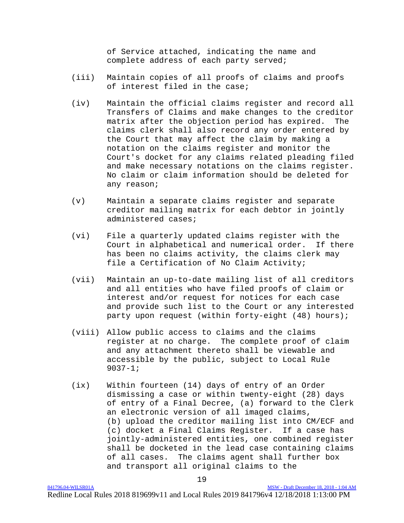of Service attached, indicating the name and complete address of each party served;

- (iii) Maintain copies of all proofs of claims and proofs of interest filed in the case;
- (iv) Maintain the official claims register and record all Transfers of Claims and make changes to the creditor matrix after the objection period has expired. The claims clerk shall also record any order entered by the Court that may affect the claim by making a notation on the claims register and monitor the Court's docket for any claims related pleading filed and make necessary notations on the claims register. No claim or claim information should be deleted for any reason;
- (v) Maintain a separate claims register and separate creditor mailing matrix for each debtor in jointly administered cases;
- (vi) File a quarterly updated claims register with the Court in alphabetical and numerical order. If there has been no claims activity, the claims clerk may file a Certification of No Claim Activity;
- (vii) Maintain an up-to-date mailing list of all creditors and all entities who have filed proofs of claim or interest and/or request for notices for each case and provide such list to the Court or any interested party upon request (within forty-eight (48) hours);
- (viii) Allow public access to claims and the claims register at no charge. The complete proof of claim and any attachment thereto shall be viewable and accessible by the public, subject to Local Rule 9037-1;
- (ix) Within fourteen (14) days of entry of an Order dismissing a case or within twenty-eight (28) days of entry of a Final Decree, (a) forward to the Clerk an electronic version of all imaged claims, (b) upload the creditor mailing list into CM/ECF and (c) docket a Final Claims Register. If a case has jointly-administered entities, one combined register shall be docketed in the lead case containing claims of all cases. The claims agent shall further box and transport all original claims to the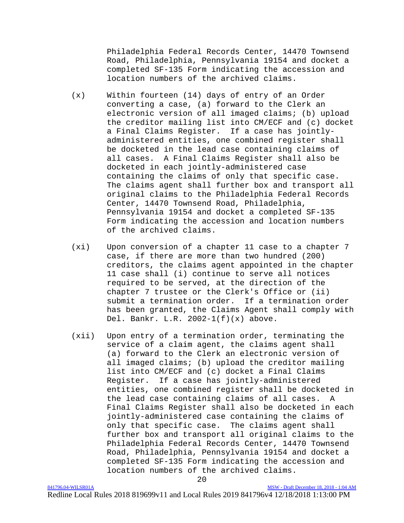Philadelphia Federal Records Center, 14470 Townsend Road, Philadelphia, Pennsylvania 19154 and docket a completed SF-135 Form indicating the accession and location numbers of the archived claims.

- (x) Within fourteen (14) days of entry of an Order converting a case, (a) forward to the Clerk an electronic version of all imaged claims; (b) upload the creditor mailing list into CM/ECF and (c) docket a Final Claims Register. If a case has jointlyadministered entities, one combined register shall be docketed in the lead case containing claims of all cases. A Final Claims Register shall also be docketed in each jointly-administered case containing the claims of only that specific case. The claims agent shall further box and transport all original claims to the Philadelphia Federal Records Center, 14470 Townsend Road, Philadelphia, Pennsylvania 19154 and docket a completed SF-135 Form indicating the accession and location numbers of the archived claims.
- (xi) Upon conversion of a chapter 11 case to a chapter 7 case, if there are more than two hundred (200) creditors, the claims agent appointed in the chapter 11 case shall (i) continue to serve all notices required to be served, at the direction of the chapter 7 trustee or the Clerk's Office or (ii) submit a termination order. If a termination order has been granted, the Claims Agent shall comply with Del. Bankr. L.R. 2002-1(f)(x) above.
- (xii) Upon entry of a termination order, terminating the service of a claim agent, the claims agent shall (a) forward to the Clerk an electronic version of all imaged claims; (b) upload the creditor mailing list into CM/ECF and (c) docket a Final Claims Register. If a case has jointly-administered entities, one combined register shall be docketed in the lead case containing claims of all cases. A Final Claims Register shall also be docketed in each jointly-administered case containing the claims of only that specific case. The claims agent shall further box and transport all original claims to the Philadelphia Federal Records Center, 14470 Townsend Road, Philadelphia, Pennsylvania 19154 and docket a completed SF-135 Form indicating the accession and location numbers of the archived claims.

 $20$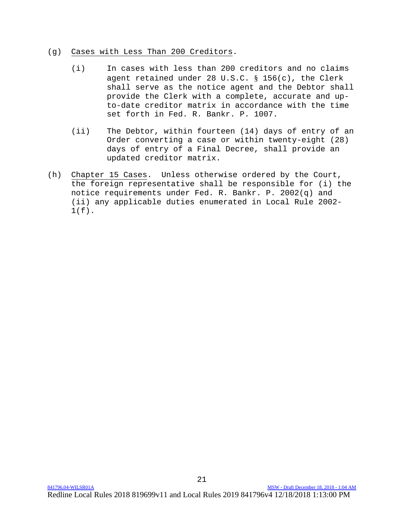### (g) Cases with Less Than 200 Creditors.

- (i) In cases with less than 200 creditors and no claims agent retained under 28 U.S.C. § 156(c), the Clerk shall serve as the notice agent and the Debtor shall provide the Clerk with a complete, accurate and upto-date creditor matrix in accordance with the time set forth in Fed. R. Bankr. P. 1007.
- (ii) The Debtor, within fourteen (14) days of entry of an Order converting a case or within twenty-eight (28) days of entry of a Final Decree, shall provide an updated creditor matrix.
- (h) Chapter 15 Cases. Unless otherwise ordered by the Court, the foreign representative shall be responsible for (i) the notice requirements under Fed. R. Bankr. P. 2002(q) and (ii) any applicable duties enumerated in Local Rule 2002-  $1(f)$ .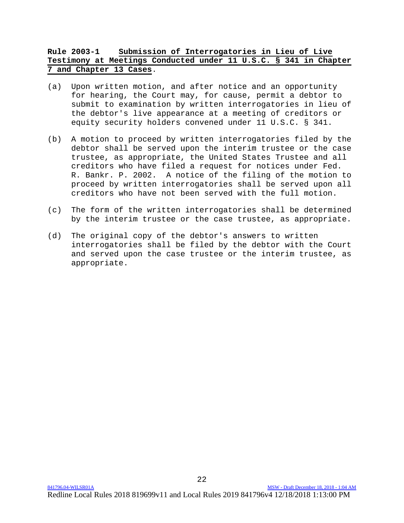# **Rule 2003-1 Submission of Interrogatories in Lieu of Live Testimony at Meetings Conducted under 11 U.S.C. § 341 in Chapter 7 and Chapter 13 Cases**.

- (a) Upon written motion, and after notice and an opportunity for hearing, the Court may, for cause, permit a debtor to submit to examination by written interrogatories in lieu of the debtor's live appearance at a meeting of creditors or equity security holders convened under 11 U.S.C. § 341.
- (b) A motion to proceed by written interrogatories filed by the debtor shall be served upon the interim trustee or the case trustee, as appropriate, the United States Trustee and all creditors who have filed a request for notices under Fed. R. Bankr. P. 2002. A notice of the filing of the motion to proceed by written interrogatories shall be served upon all creditors who have not been served with the full motion.
- (c) The form of the written interrogatories shall be determined by the interim trustee or the case trustee, as appropriate.
- (d) The original copy of the debtor's answers to written interrogatories shall be filed by the debtor with the Court and served upon the case trustee or the interim trustee, as appropriate.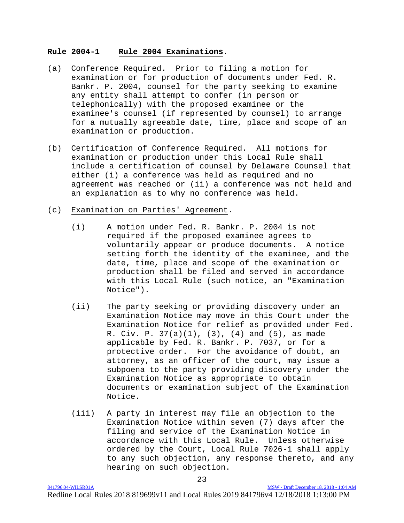#### **Rule 2004-1 Rule 2004 Examinations**.

- (a) Conference Required. Prior to filing a motion for examination or for production of documents under Fed. R. Bankr. P. 2004, counsel for the party seeking to examine any entity shall attempt to confer (in person or telephonically) with the proposed examinee or the examinee's counsel (if represented by counsel) to arrange for a mutually agreeable date, time, place and scope of an examination or production.
- (b) Certification of Conference Required. All motions for examination or production under this Local Rule shall include a certification of counsel by Delaware Counsel that either (i) a conference was held as required and no agreement was reached or (ii) a conference was not held and an explanation as to why no conference was held.
- (c) Examination on Parties' Agreement.
	- (i) A motion under Fed. R. Bankr. P. 2004 is not required if the proposed examinee agrees to voluntarily appear or produce documents. A notice setting forth the identity of the examinee, and the date, time, place and scope of the examination or production shall be filed and served in accordance with this Local Rule (such notice, an "Examination Notice").
	- (ii) The party seeking or providing discovery under an Examination Notice may move in this Court under the Examination Notice for relief as provided under Fed. R. Civ. P. 37(a)(1), (3), (4) and (5), as made applicable by Fed. R. Bankr. P. 7037, or for a protective order. For the avoidance of doubt, an attorney, as an officer of the court, may issue a subpoena to the party providing discovery under the Examination Notice as appropriate to obtain documents or examination subject of the Examination Notice.
	- (iii) A party in interest may file an objection to the Examination Notice within seven (7) days after the filing and service of the Examination Notice in accordance with this Local Rule. Unless otherwise ordered by the Court, Local Rule 7026-1 shall apply to any such objection, any response thereto, and any hearing on such objection.

23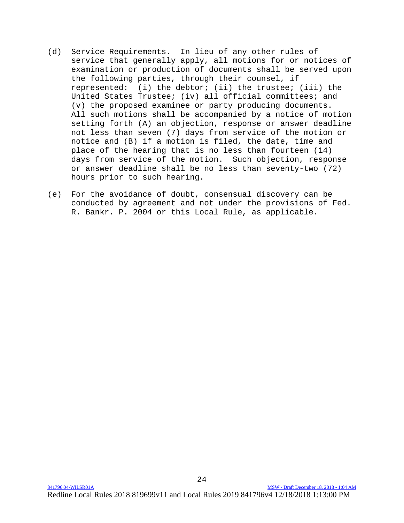- (d) Service Requirements. In lieu of any other rules of service that generally apply, all motions for or notices of examination or production of documents shall be served upon the following parties, through their counsel, if represented: (i) the debtor; (ii) the trustee; (iii) the United States Trustee; (iv) all official committees; and (v) the proposed examinee or party producing documents. All such motions shall be accompanied by a notice of motion setting forth (A) an objection, response or answer deadline not less than seven (7) days from service of the motion or notice and (B) if a motion is filed, the date, time and place of the hearing that is no less than fourteen (14) days from service of the motion. Such objection, response or answer deadline shall be no less than seventy-two (72) hours prior to such hearing.
- (e) For the avoidance of doubt, consensual discovery can be conducted by agreement and not under the provisions of Fed. R. Bankr. P. 2004 or this Local Rule, as applicable.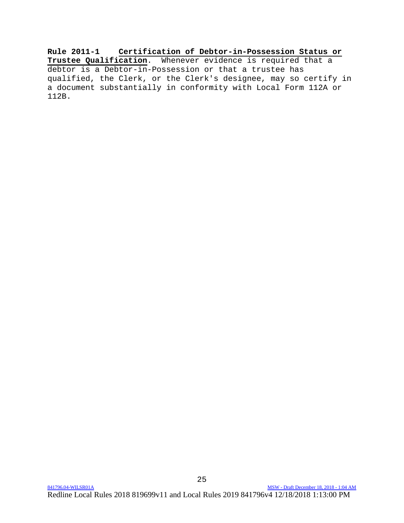**Rule 2011-1 Certification of Debtor-in-Possession Status or Trustee Qualification**. Whenever evidence is required that a debtor is a Debtor-in-Possession or that a trustee has qualified, the Clerk, or the Clerk's designee, may so certify in a document substantially in conformity with Local Form 112A or 112B.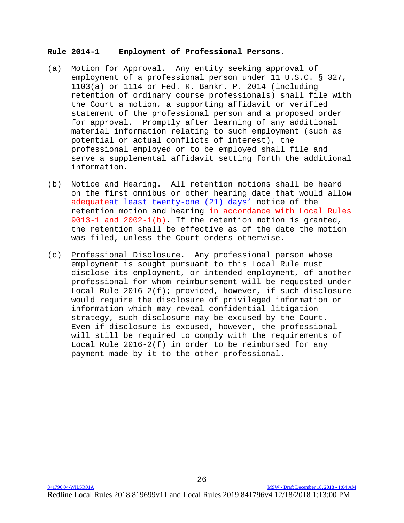#### **Rule 2014-1 Employment of Professional Persons**.

- (a) Motion for Approval. Any entity seeking approval of employment of a professional person under 11 U.S.C. § 327, 1103(a) or 1114 or Fed. R. Bankr. P. 2014 (including retention of ordinary course professionals) shall file with the Court a motion, a supporting affidavit or verified statement of the professional person and a proposed order for approval. Promptly after learning of any additional material information relating to such employment (such as potential or actual conflicts of interest), the professional employed or to be employed shall file and serve a supplemental affidavit setting forth the additional information.
- (b) Notice and Hearing. All retention motions shall be heard on the first omnibus or other hearing date that would allow adequateat least twenty-one (21) days' notice of the retention motion and hearing in accordance with Local Rules 9013 1 and 2002-1(b). If the retention motion is granted, the retention shall be effective as of the date the motion was filed, unless the Court orders otherwise.
- (c) Professional Disclosure. Any professional person whose employment is sought pursuant to this Local Rule must disclose its employment, or intended employment, of another professional for whom reimbursement will be requested under Local Rule 2016-2(f); provided, however, if such disclosure would require the disclosure of privileged information or information which may reveal confidential litigation strategy, such disclosure may be excused by the Court. Even if disclosure is excused, however, the professional will still be required to comply with the requirements of Local Rule 2016-2(f) in order to be reimbursed for any payment made by it to the other professional.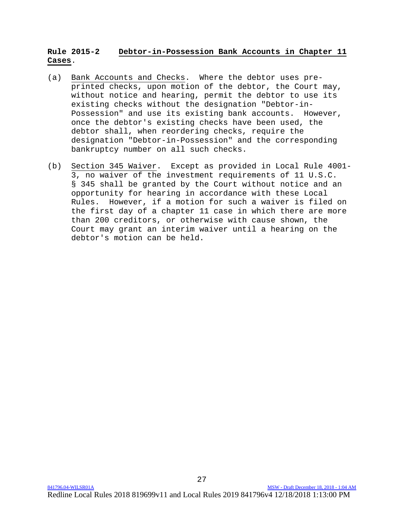# **Rule 2015-2 Debtor-in-Possession Bank Accounts in Chapter 11 Cases**.

- (a) Bank Accounts and Checks. Where the debtor uses preprinted checks, upon motion of the debtor, the Court may, without notice and hearing, permit the debtor to use its existing checks without the designation "Debtor-in-Possession" and use its existing bank accounts. However, once the debtor's existing checks have been used, the debtor shall, when reordering checks, require the designation "Debtor-in-Possession" and the corresponding bankruptcy number on all such checks.
- (b) Section 345 Waiver. Except as provided in Local Rule 4001- 3, no waiver of the investment requirements of 11 U.S.C. § 345 shall be granted by the Court without notice and an opportunity for hearing in accordance with these Local Rules. However, if a motion for such a waiver is filed on the first day of a chapter 11 case in which there are more than 200 creditors, or otherwise with cause shown, the Court may grant an interim waiver until a hearing on the debtor's motion can be held.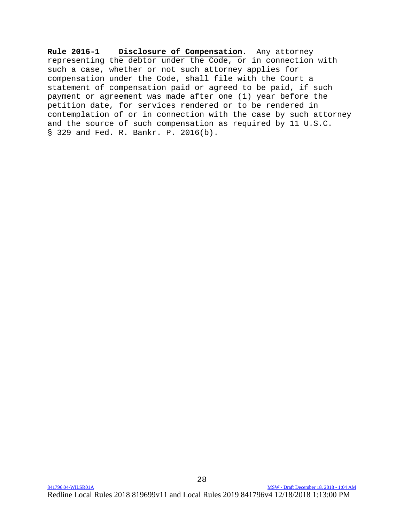**Rule 2016-1 Disclosure of Compensation**. Any attorney representing the debtor under the Code, or in connection with such a case, whether or not such attorney applies for compensation under the Code, shall file with the Court a statement of compensation paid or agreed to be paid, if such payment or agreement was made after one (1) year before the petition date, for services rendered or to be rendered in contemplation of or in connection with the case by such attorney and the source of such compensation as required by 11 U.S.C. § 329 and Fed. R. Bankr. P. 2016(b).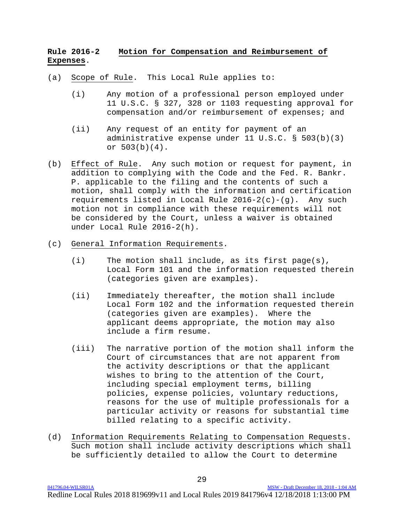# **Rule 2016-2 Motion for Compensation and Reimbursement of Expenses**.

- (a) Scope of Rule. This Local Rule applies to:
	- (i) Any motion of a professional person employed under 11 U.S.C. § 327, 328 or 1103 requesting approval for compensation and/or reimbursement of expenses; and
	- (ii) Any request of an entity for payment of an administrative expense under 11 U.S.C. § 503(b)(3) or 503(b)(4).
- (b) Effect of Rule. Any such motion or request for payment, in addition to complying with the Code and the Fed. R. Bankr. P. applicable to the filing and the contents of such a motion, shall comply with the information and certification requirements listed in Local Rule  $2016-2(c)-(q)$ . Any such motion not in compliance with these requirements will not be considered by the Court, unless a waiver is obtained under Local Rule 2016-2(h).
- (c) General Information Requirements.
	- (i) The motion shall include, as its first page(s), Local Form 101 and the information requested therein (categories given are examples).
	- (ii) Immediately thereafter, the motion shall include Local Form 102 and the information requested therein (categories given are examples). Where the applicant deems appropriate, the motion may also include a firm resume.
	- (iii) The narrative portion of the motion shall inform the Court of circumstances that are not apparent from the activity descriptions or that the applicant wishes to bring to the attention of the Court, including special employment terms, billing policies, expense policies, voluntary reductions, reasons for the use of multiple professionals for a particular activity or reasons for substantial time billed relating to a specific activity.
- (d) Information Requirements Relating to Compensation Requests. Such motion shall include activity descriptions which shall be sufficiently detailed to allow the Court to determine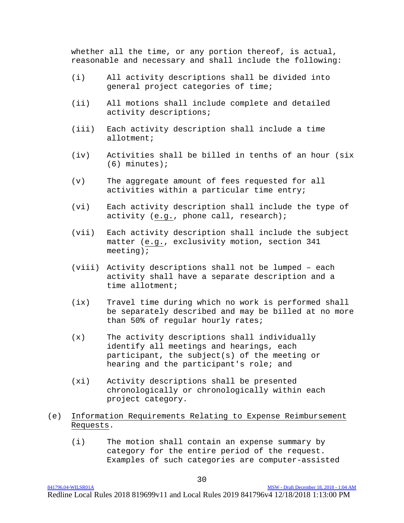whether all the time, or any portion thereof, is actual, reasonable and necessary and shall include the following:

- (i) All activity descriptions shall be divided into general project categories of time;
- (ii) All motions shall include complete and detailed activity descriptions;
- (iii) Each activity description shall include a time allotment;
- (iv) Activities shall be billed in tenths of an hour (six (6) minutes);
- (v) The aggregate amount of fees requested for all activities within a particular time entry;
- (vi) Each activity description shall include the type of activity (e.g., phone call, research);
- (vii) Each activity description shall include the subject matter (e.g., exclusivity motion, section 341 meeting);
- (viii) Activity descriptions shall not be lumped each activity shall have a separate description and a time allotment;
- (ix) Travel time during which no work is performed shall be separately described and may be billed at no more than 50% of regular hourly rates;
- (x) The activity descriptions shall individually identify all meetings and hearings, each participant, the subject(s) of the meeting or hearing and the participant's role; and
- (xi) Activity descriptions shall be presented chronologically or chronologically within each project category.
- (e) Information Requirements Relating to Expense Reimbursement Requests.
	- (i) The motion shall contain an expense summary by category for the entire period of the request. Examples of such categories are computer-assisted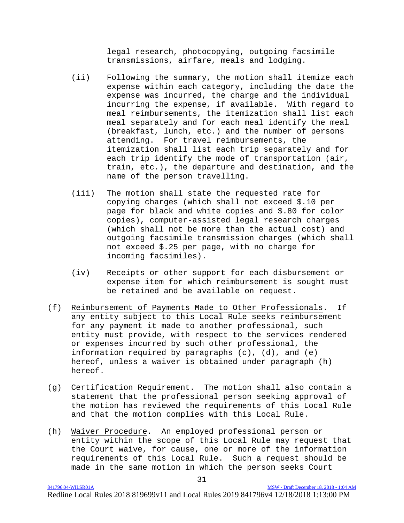legal research, photocopying, outgoing facsimile transmissions, airfare, meals and lodging.

- (ii) Following the summary, the motion shall itemize each expense within each category, including the date the expense was incurred, the charge and the individual incurring the expense, if available. With regard to meal reimbursements, the itemization shall list each meal separately and for each meal identify the meal (breakfast, lunch, etc.) and the number of persons attending. For travel reimbursements, the itemization shall list each trip separately and for each trip identify the mode of transportation (air, train, etc.), the departure and destination, and the name of the person travelling.
- (iii) The motion shall state the requested rate for copying charges (which shall not exceed \$.10 per page for black and white copies and \$.80 for color copies), computer-assisted legal research charges (which shall not be more than the actual cost) and outgoing facsimile transmission charges (which shall not exceed \$.25 per page, with no charge for incoming facsimiles).
- (iv) Receipts or other support for each disbursement or expense item for which reimbursement is sought must be retained and be available on request.
- (f) Reimbursement of Payments Made to Other Professionals. If any entity subject to this Local Rule seeks reimbursement for any payment it made to another professional, such entity must provide, with respect to the services rendered or expenses incurred by such other professional, the information required by paragraphs (c), (d), and (e) hereof, unless a waiver is obtained under paragraph (h) hereof.
- (g) Certification Requirement. The motion shall also contain a statement that the professional person seeking approval of the motion has reviewed the requirements of this Local Rule and that the motion complies with this Local Rule.
- (h) Waiver Procedure. An employed professional person or entity within the scope of this Local Rule may request that the Court waive, for cause, one or more of the information requirements of this Local Rule. Such a request should be made in the same motion in which the person seeks Court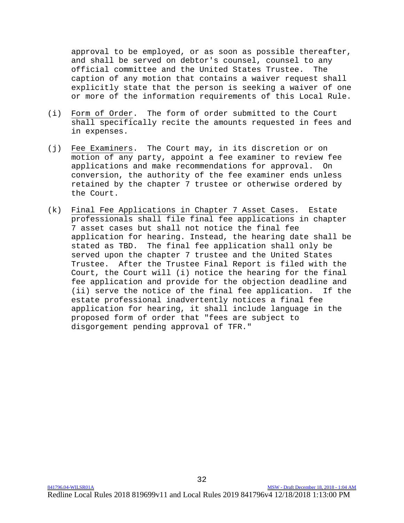approval to be employed, or as soon as possible thereafter, and shall be served on debtor's counsel, counsel to any official committee and the United States Trustee. The caption of any motion that contains a waiver request shall explicitly state that the person is seeking a waiver of one or more of the information requirements of this Local Rule.

- (i) Form of Order. The form of order submitted to the Court shall specifically recite the amounts requested in fees and in expenses.
- (j) Fee Examiners. The Court may, in its discretion or on motion of any party, appoint a fee examiner to review fee applications and make recommendations for approval. On conversion, the authority of the fee examiner ends unless retained by the chapter 7 trustee or otherwise ordered by the Court.
- (k) Final Fee Applications in Chapter 7 Asset Cases. Estate professionals shall file final fee applications in chapter 7 asset cases but shall not notice the final fee application for hearing. Instead, the hearing date shall be stated as TBD. The final fee application shall only be served upon the chapter 7 trustee and the United States Trustee. After the Trustee Final Report is filed with the Court, the Court will (i) notice the hearing for the final fee application and provide for the objection deadline and (ii) serve the notice of the final fee application. If the estate professional inadvertently notices a final fee application for hearing, it shall include language in the proposed form of order that "fees are subject to disgorgement pending approval of TFR."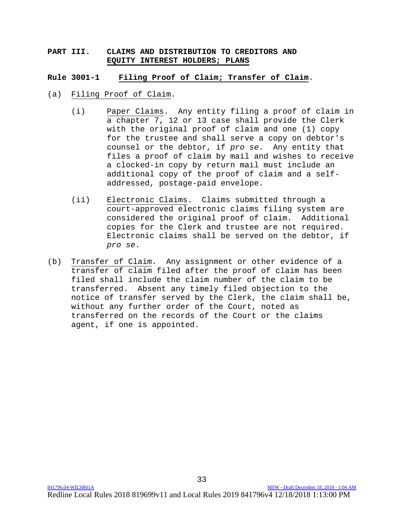## **PART III. CLAIMS AND DISTRIBUTION TO CREDITORS AND EQUITY INTEREST HOLDERS; PLANS**

### **Rule 3001-1 Filing Proof of Claim; Transfer of Claim**.

- (a) Filing Proof of Claim.
	- (i) Paper Claims. Any entity filing a proof of claim in a chapter 7, 12 or 13 case shall provide the Clerk with the original proof of claim and one (1) copy for the trustee and shall serve a copy on debtor's counsel or the debtor, if *pro se*. Any entity that files a proof of claim by mail and wishes to receive a clocked-in copy by return mail must include an additional copy of the proof of claim and a selfaddressed, postage-paid envelope.
	- (ii) Electronic Claims. Claims submitted through a court-approved electronic claims filing system are considered the original proof of claim. Additional copies for the Clerk and trustee are not required. Electronic claims shall be served on the debtor, if *pro se*.
- (b) Transfer of Claim. Any assignment or other evidence of a transfer of claim filed after the proof of claim has been filed shall include the claim number of the claim to be transferred. Absent any timely filed objection to the notice of transfer served by the Clerk, the claim shall be, without any further order of the Court, noted as transferred on the records of the Court or the claims agent, if one is appointed.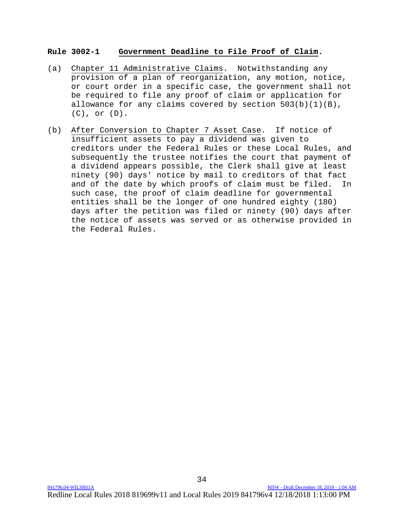## **Rule 3002-1 Government Deadline to File Proof of Claim.**

- (a) Chapter 11 Administrative Claims. Notwithstanding any provision of a plan of reorganization, any motion, notice, or court order in a specific case, the government shall not be required to file any proof of claim or application for allowance for any claims covered by section 503(b)(1)(B), (C), or (D).
- (b) After Conversion to Chapter 7 Asset Case. If notice of insufficient assets to pay a dividend was given to creditors under the Federal Rules or these Local Rules, and subsequently the trustee notifies the court that payment of a dividend appears possible, the Clerk shall give at least ninety (90) days' notice by mail to creditors of that fact and of the date by which proofs of claim must be filed. In such case, the proof of claim deadline for governmental entities shall be the longer of one hundred eighty (180) days after the petition was filed or ninety (90) days after the notice of assets was served or as otherwise provided in the Federal Rules.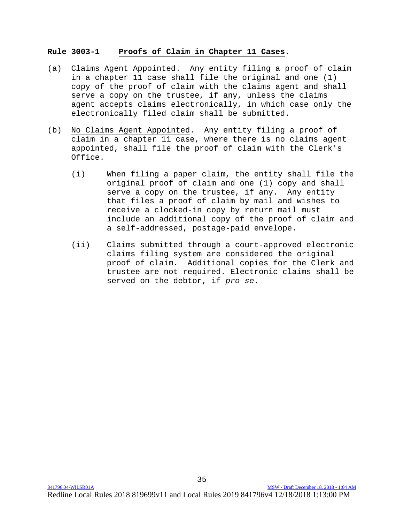## **Rule 3003-1 Proofs of Claim in Chapter 11 Cases**.

- (a) Claims Agent Appointed. Any entity filing a proof of claim in a chapter 11 case shall file the original and one (1) copy of the proof of claim with the claims agent and shall serve a copy on the trustee, if any, unless the claims agent accepts claims electronically, in which case only the electronically filed claim shall be submitted.
- (b) No Claims Agent Appointed. Any entity filing a proof of claim in a chapter 11 case, where there is no claims agent appointed, shall file the proof of claim with the Clerk's Office.
	- (i) When filing a paper claim, the entity shall file the original proof of claim and one (1) copy and shall serve a copy on the trustee, if any. Any entity that files a proof of claim by mail and wishes to receive a clocked-in copy by return mail must include an additional copy of the proof of claim and a self-addressed, postage-paid envelope.
	- (ii) Claims submitted through a court-approved electronic claims filing system are considered the original proof of claim. Additional copies for the Clerk and trustee are not required. Electronic claims shall be served on the debtor, if *pro se*.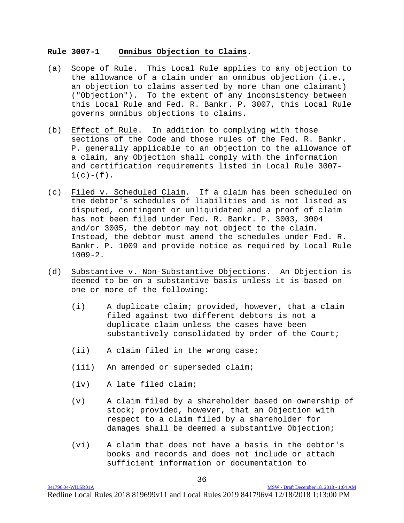### **Rule 3007-1 Omnibus Objection to Claims**.

- (a) Scope of Rule. This Local Rule applies to any objection to the allowance of a claim under an omnibus objection (i.e., an objection to claims asserted by more than one claimant) ("Objection"). To the extent of any inconsistency between this Local Rule and Fed. R. Bankr. P. 3007, this Local Rule governs omnibus objections to claims.
- (b) Effect of Rule. In addition to complying with those sections of the Code and those rules of the Fed. R. Bankr. P. generally applicable to an objection to the allowance of a claim, any Objection shall comply with the information and certification requirements listed in Local Rule 3007-  $1(c)-(f)$ .
- (c) Filed v. Scheduled Claim. If a claim has been scheduled on the debtor's schedules of liabilities and is not listed as disputed, contingent or unliquidated and a proof of claim has not been filed under Fed. R. Bankr. P. 3003, 3004 and/or 3005, the debtor may not object to the claim. Instead, the debtor must amend the schedules under Fed. R. Bankr. P. 1009 and provide notice as required by Local Rule 1009-2.
- (d) Substantive v. Non-Substantive Objections. An Objection is deemed to be on a substantive basis unless it is based on one or more of the following:
	- (i) A duplicate claim; provided, however, that a claim filed against two different debtors is not a duplicate claim unless the cases have been substantively consolidated by order of the Court;
	- (ii) A claim filed in the wrong case;
	- (iii) An amended or superseded claim;
	- (iv) A late filed claim;
	- (v) A claim filed by a shareholder based on ownership of stock; provided, however, that an Objection with respect to a claim filed by a shareholder for damages shall be deemed a substantive Objection;
	- (vi) A claim that does not have a basis in the debtor's books and records and does not include or attach sufficient information or documentation to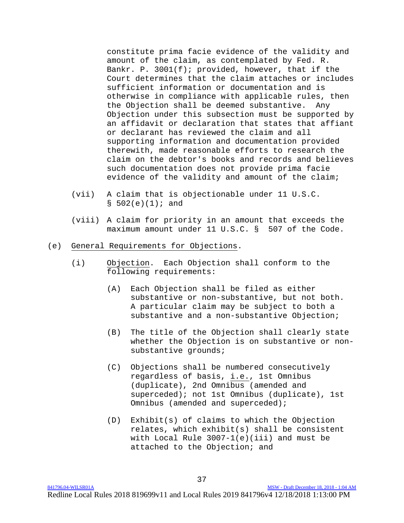constitute prima facie evidence of the validity and amount of the claim, as contemplated by Fed. R. Bankr. P. 3001(f); provided, however, that if the Court determines that the claim attaches or includes sufficient information or documentation and is otherwise in compliance with applicable rules, then<br>the Objection shall be deemed substantive. Any the Objection shall be deemed substantive. Objection under this subsection must be supported by an affidavit or declaration that states that affiant or declarant has reviewed the claim and all supporting information and documentation provided therewith, made reasonable efforts to research the claim on the debtor's books and records and believes such documentation does not provide prima facie evidence of the validity and amount of the claim;

- (vii) A claim that is objectionable under 11 U.S.C. §  $502(e)(1)$ ; and
- (viii) A claim for priority in an amount that exceeds the maximum amount under 11 U.S.C. § 507 of the Code.
- (e) General Requirements for Objections.
	- (i) Objection. Each Objection shall conform to the following requirements:
		- (A) Each Objection shall be filed as either substantive or non-substantive, but not both. A particular claim may be subject to both a substantive and a non-substantive Objection;
		- (B) The title of the Objection shall clearly state whether the Objection is on substantive or nonsubstantive grounds;
		- (C) Objections shall be numbered consecutively regardless of basis, i.e., 1st Omnibus (duplicate), 2nd Omnibus (amended and superceded); not 1st Omnibus (duplicate), 1st Omnibus (amended and superceded);
		- (D) Exhibit(s) of claims to which the Objection relates, which exhibit(s) shall be consistent with Local Rule 3007-1(e)(iii) and must be attached to the Objection; and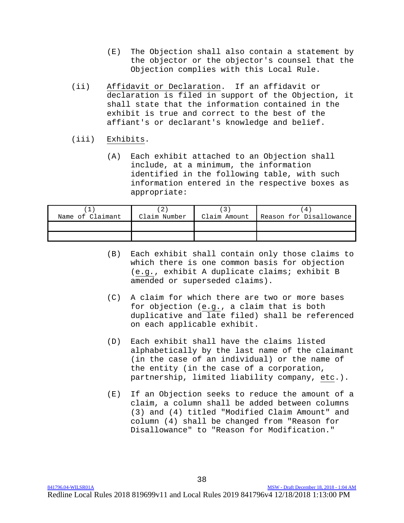- (E) The Objection shall also contain a statement by the objector or the objector's counsel that the Objection complies with this Local Rule.
- (ii) Affidavit or Declaration. If an affidavit or declaration is filed in support of the Objection, it shall state that the information contained in the exhibit is true and correct to the best of the affiant's or declarant's knowledge and belief.
- (iii) Exhibits.
	- (A) Each exhibit attached to an Objection shall include, at a minimum, the information identified in the following table, with such information entered in the respective boxes as appropriate:

| Name of Claimant | Claim Number | Claim Amount | 4<br>Reason for Disallowance |
|------------------|--------------|--------------|------------------------------|
|                  |              |              |                              |
|                  |              |              |                              |

- (B) Each exhibit shall contain only those claims to which there is one common basis for objection (e.g*.*, exhibit A duplicate claims; exhibit B amended or superseded claims).
- (C) A claim for which there are two or more bases for objection (e.g., a claim that is both duplicative and late filed) shall be referenced on each applicable exhibit.
- (D) Each exhibit shall have the claims listed alphabetically by the last name of the claimant (in the case of an individual) or the name of the entity (in the case of a corporation, partnership, limited liability company, etc.).
- (E) If an Objection seeks to reduce the amount of a claim, a column shall be added between columns (3) and (4) titled "Modified Claim Amount" and column (4) shall be changed from "Reason for Disallowance" to "Reason for Modification."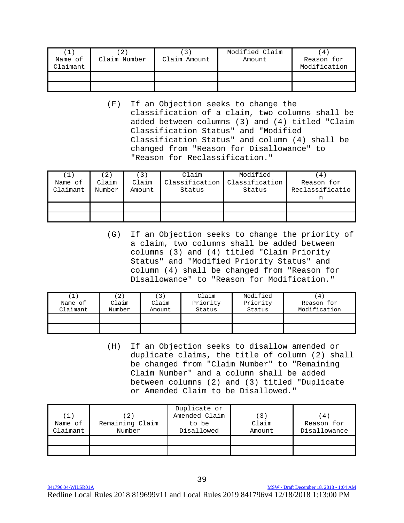| Name of<br>Claimant | $'$ 2)<br>Claim Number | Claim Amount | Modified Claim<br>Amount | 4<br>Reason for<br>Modification |
|---------------------|------------------------|--------------|--------------------------|---------------------------------|
|                     |                        |              |                          |                                 |
|                     |                        |              |                          |                                 |

(F) If an Objection seeks to change the classification of a claim, two columns shall be added between columns (3) and (4) titled "Claim Classification Status" and "Modified Classification Status" and column (4) shall be changed from "Reason for Disallowance" to "Reason for Reclassification."

| Name of<br>Claimant | (2)<br>Claim<br>Number | (3)<br>Claim<br>Amount | Claim<br>Classification<br>Status | Modified<br>Classification<br>Status | $4^{\circ}$<br>Reason for<br>Reclassificatio |
|---------------------|------------------------|------------------------|-----------------------------------|--------------------------------------|----------------------------------------------|
|                     |                        |                        |                                   |                                      |                                              |

(G) If an Objection seeks to change the priority of a claim, two columns shall be added between columns (3) and (4) titled "Claim Priority Status" and "Modified Priority Status" and column (4) shall be changed from "Reason for Disallowance" to "Reason for Modification."

| $\lfloor 1 \rfloor$ | 2)     |        | Claim    | Modified | 4            |
|---------------------|--------|--------|----------|----------|--------------|
| Name of             | Claim  | Claim  | Priority | Priority | Reason for   |
| Claimant            | Number | Amount | Status   | Status   | Modification |
|                     |        |        |          |          |              |
|                     |        |        |          |          |              |
|                     |        |        |          |          |              |

(H) If an Objection seeks to disallow amended or duplicate claims, the title of column (2) shall be changed from "Claim Number" to "Remaining Claim Number" and a column shall be added between columns (2) and (3) titled "Duplicate or Amended Claim to be Disallowed."

|          |                 | Duplicate or  |        |              |
|----------|-----------------|---------------|--------|--------------|
| (1)      |                 | Amended Claim | 3)     | (4)          |
| Name of  | Remaining Claim | to be         | Claim  | Reason for   |
| Claimant | Number          | Disallowed    | Amount | Disallowance |
|          |                 |               |        |              |
|          |                 |               |        |              |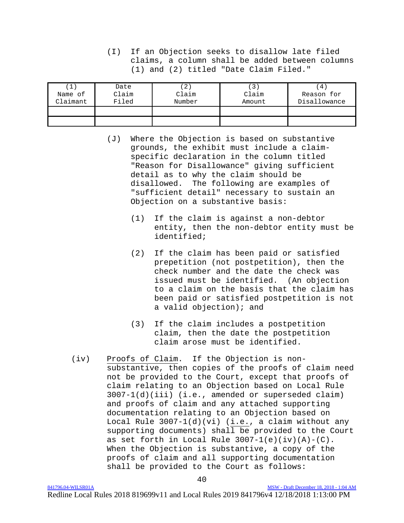(I) If an Objection seeks to disallow late filed claims, a column shall be added between columns (1) and (2) titled "Date Claim Filed."

| Name of<br>Claimant | Date<br>Claim<br>Filed | ∠<br>Claim<br>Number | Claim<br>Amount | $4^{\circ}$<br>Reason for<br>Disallowance |
|---------------------|------------------------|----------------------|-----------------|-------------------------------------------|
|                     |                        |                      |                 |                                           |
|                     |                        |                      |                 |                                           |

- (J) Where the Objection is based on substantive grounds, the exhibit must include a claimspecific declaration in the column titled "Reason for Disallowance" giving sufficient detail as to why the claim should be disallowed. The following are examples of "sufficient detail" necessary to sustain an Objection on a substantive basis:
	- (1) If the claim is against a non-debtor entity, then the non-debtor entity must be identified;
	- (2) If the claim has been paid or satisfied prepetition (not postpetition), then the check number and the date the check was issued must be identified. (An objection to a claim on the basis that the claim has been paid or satisfied postpetition is not a valid objection); and
	- (3) If the claim includes a postpetition claim, then the date the postpetition claim arose must be identified.
- (iv) Proofs of Claim. If the Objection is nonsubstantive, then copies of the proofs of claim need not be provided to the Court, except that proofs of claim relating to an Objection based on Local Rule 3007-1(d)(iii) (i.e., amended or superseded claim) and proofs of claim and any attached supporting documentation relating to an Objection based on Local Rule 3007-1(d)(vi) (i.e., a claim without any supporting documents) shall be provided to the Court as set forth in Local Rule  $3007-1(e)(iv)(A)-(C)$ . When the Objection is substantive, a copy of the proofs of claim and all supporting documentation shall be provided to the Court as follows: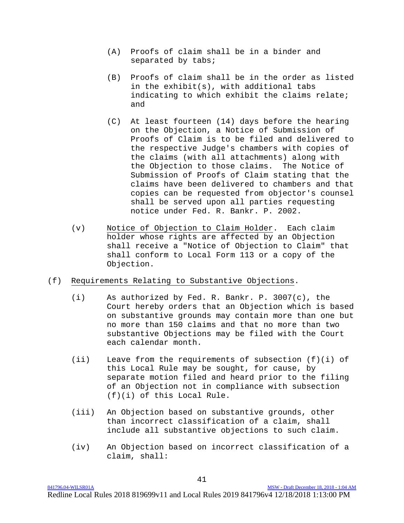- (A) Proofs of claim shall be in a binder and separated by tabs;
- (B) Proofs of claim shall be in the order as listed in the exhibit(s), with additional tabs indicating to which exhibit the claims relate; and
- (C) At least fourteen (14) days before the hearing on the Objection, a Notice of Submission of Proofs of Claim is to be filed and delivered to the respective Judge's chambers with copies of the claims (with all attachments) along with the Objection to those claims. The Notice of Submission of Proofs of Claim stating that the claims have been delivered to chambers and that copies can be requested from objector's counsel shall be served upon all parties requesting notice under Fed. R. Bankr. P. 2002.
- (v) Notice of Objection to Claim Holder. Each claim holder whose rights are affected by an Objection shall receive a "Notice of Objection to Claim" that shall conform to Local Form 113 or a copy of the Objection.
- (f) Requirements Relating to Substantive Objections.
	- (i) As authorized by Fed. R. Bankr. P. 3007(c), the Court hereby orders that an Objection which is based on substantive grounds may contain more than one but no more than 150 claims and that no more than two substantive Objections may be filed with the Court each calendar month.
	- (ii) Leave from the requirements of subsection (f)(i) of this Local Rule may be sought, for cause, by separate motion filed and heard prior to the filing of an Objection not in compliance with subsection (f)(i) of this Local Rule.
	- (iii) An Objection based on substantive grounds, other than incorrect classification of a claim, shall include all substantive objections to such claim.
	- (iv) An Objection based on incorrect classification of a claim, shall: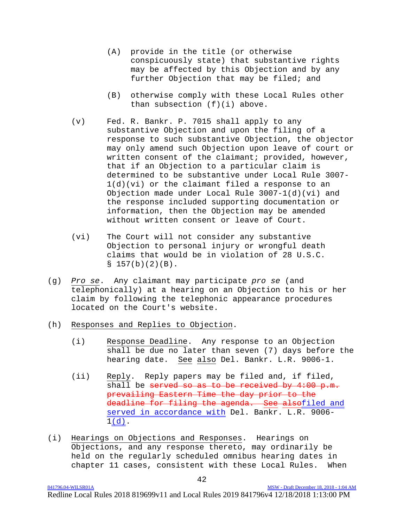- (A) provide in the title (or otherwise conspicuously state) that substantive rights may be affected by this Objection and by any further Objection that may be filed; and
- (B) otherwise comply with these Local Rules other than subsection (f)(i) above.
- (v) Fed. R. Bankr. P. 7015 shall apply to any substantive Objection and upon the filing of a response to such substantive Objection, the objector may only amend such Objection upon leave of court or written consent of the claimant; provided, however, that if an Objection to a particular claim is determined to be substantive under Local Rule 3007- 1(d)(vi) or the claimant filed a response to an Objection made under Local Rule 3007-1(d)(vi) and the response included supporting documentation or information, then the Objection may be amended without written consent or leave of Court.
- (vi) The Court will not consider any substantive Objection to personal injury or wrongful death claims that would be in violation of 28 U.S.C.  $$157(b)(2)(B).$
- (g) *Pro se*. Any claimant may participate *pro se* (and telephonically) at a hearing on an Objection to his or her claim by following the telephonic appearance procedures located on the Court's website.
- (h) Responses and Replies to Objection.
	- (i) Response Deadline. Any response to an Objection shall be due no later than seven (7) days before the hearing date. See also Del. Bankr. L.R. 9006-1.
	- (ii) Reply. Reply papers may be filed and, if filed, shall be served so as to be received by  $4:00$  p.m. prevailing Eastern Time the day prior to the deadline for filing the agenda. See alsofiled and served in accordance with Del. Bankr. L.R. 9006-  $1(d)$ .
- (i) Hearings on Objections and Responses. Hearings on Objections, and any response thereto, may ordinarily be held on the regularly scheduled omnibus hearing dates in chapter 11 cases, consistent with these Local Rules. When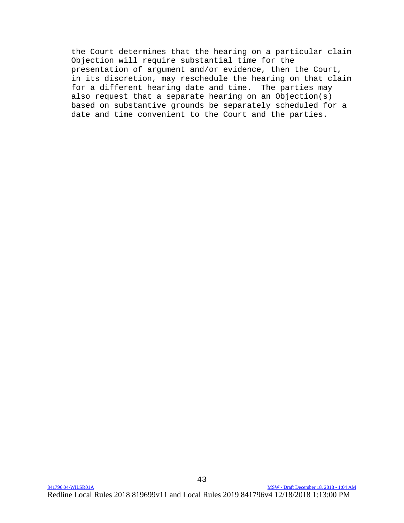the Court determines that the hearing on a particular claim Objection will require substantial time for the presentation of argument and/or evidence, then the Court, in its discretion, may reschedule the hearing on that claim for a different hearing date and time. The parties may also request that a separate hearing on an Objection(s) based on substantive grounds be separately scheduled for a date and time convenient to the Court and the parties.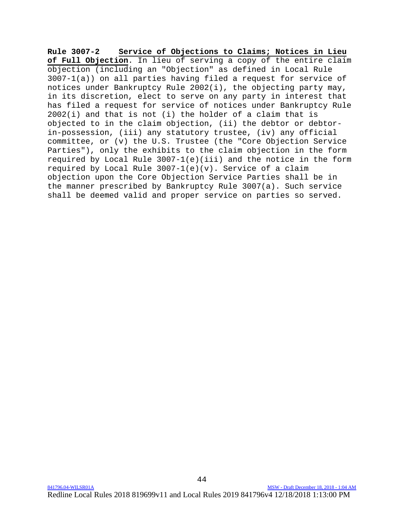**Rule 3007-2 Service of Objections to Claims; Notices in Lieu of Full Objection**. In lieu of serving a copy of the entire claim objection (including an "Objection" as defined in Local Rule 3007-1(a)) on all parties having filed a request for service of notices under Bankruptcy Rule 2002(i), the objecting party may, in its discretion, elect to serve on any party in interest that has filed a request for service of notices under Bankruptcy Rule 2002(i) and that is not (i) the holder of a claim that is objected to in the claim objection, (ii) the debtor or debtorin-possession, (iii) any statutory trustee, (iv) any official committee, or (v) the U.S. Trustee (the "Core Objection Service Parties"), only the exhibits to the claim objection in the form required by Local Rule 3007-1(e)(iii) and the notice in the form required by Local Rule  $3007-1(e)(v)$ . Service of a claim objection upon the Core Objection Service Parties shall be in the manner prescribed by Bankruptcy Rule 3007(a). Such service shall be deemed valid and proper service on parties so served.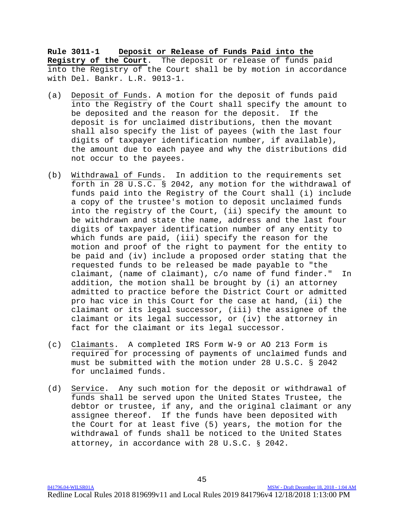**Rule 3011-1 Deposit or Release of Funds Paid into the Registry of the Court**. The deposit or release of funds paid into the Registry of the Court shall be by motion in accordance with Del. Bankr. L.R. 9013-1.

- (a) Deposit of Funds. A motion for the deposit of funds paid into the Registry of the Court shall specify the amount to be deposited and the reason for the deposit. If the deposit is for unclaimed distributions, then the movant shall also specify the list of payees (with the last four digits of taxpayer identification number, if available), the amount due to each payee and why the distributions did not occur to the payees.
- (b) Withdrawal of Funds. In addition to the requirements set forth in 28 U.S.C. § 2042, any motion for the withdrawal of funds paid into the Registry of the Court shall (i) include a copy of the trustee's motion to deposit unclaimed funds into the registry of the Court, (ii) specify the amount to be withdrawn and state the name, address and the last four digits of taxpayer identification number of any entity to which funds are paid, (iii) specify the reason for the motion and proof of the right to payment for the entity to be paid and (iv) include a proposed order stating that the requested funds to be released be made payable to "the claimant, (name of claimant), c/o name of fund finder." In addition, the motion shall be brought by (i) an attorney admitted to practice before the District Court or admitted pro hac vice in this Court for the case at hand, (ii) the claimant or its legal successor, (iii) the assignee of the claimant or its legal successor, or (iv) the attorney in fact for the claimant or its legal successor.
- (c) Claimants. A completed IRS Form W-9 or AO 213 Form is required for processing of payments of unclaimed funds and must be submitted with the motion under 28 U.S.C. § 2042 for unclaimed funds.
- (d) Service. Any such motion for the deposit or withdrawal of funds shall be served upon the United States Trustee, the debtor or trustee, if any, and the original claimant or any assignee thereof. If the funds have been deposited with the Court for at least five (5) years, the motion for the withdrawal of funds shall be noticed to the United States attorney, in accordance with 28 U.S.C. § 2042.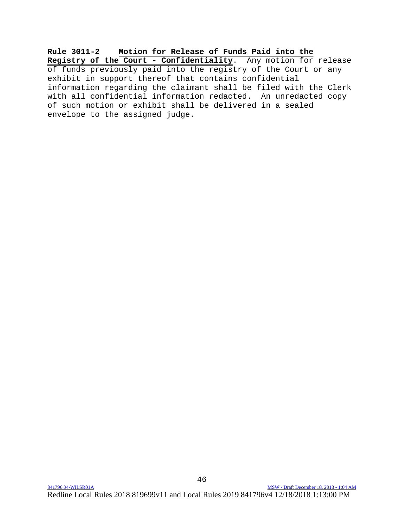**Rule 3011-2 Motion for Release of Funds Paid into the Registry of the Court - Confidentiality**. Any motion for release of funds previously paid into the registry of the Court or any exhibit in support thereof that contains confidential information regarding the claimant shall be filed with the Clerk with all confidential information redacted. An unredacted copy of such motion or exhibit shall be delivered in a sealed envelope to the assigned judge.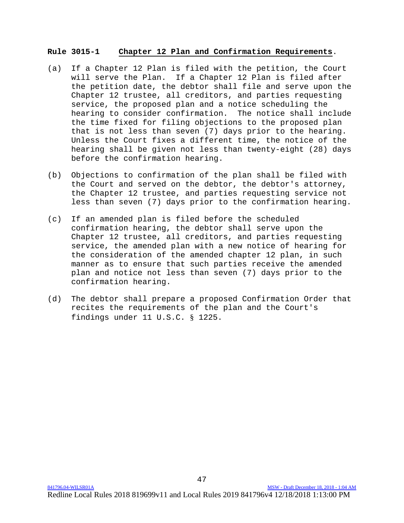#### **Rule 3015-1 Chapter 12 Plan and Confirmation Requirements**.

- (a) If a Chapter 12 Plan is filed with the petition, the Court will serve the Plan. If a Chapter 12 Plan is filed after the petition date, the debtor shall file and serve upon the Chapter 12 trustee, all creditors, and parties requesting service, the proposed plan and a notice scheduling the hearing to consider confirmation. The notice shall include the time fixed for filing objections to the proposed plan that is not less than seven (7) days prior to the hearing. Unless the Court fixes a different time, the notice of the hearing shall be given not less than twenty-eight (28) days before the confirmation hearing.
- (b) Objections to confirmation of the plan shall be filed with the Court and served on the debtor, the debtor's attorney, the Chapter 12 trustee, and parties requesting service not less than seven (7) days prior to the confirmation hearing.
- (c) If an amended plan is filed before the scheduled confirmation hearing, the debtor shall serve upon the Chapter 12 trustee, all creditors, and parties requesting service, the amended plan with a new notice of hearing for the consideration of the amended chapter 12 plan, in such manner as to ensure that such parties receive the amended plan and notice not less than seven (7) days prior to the confirmation hearing.
- (d) The debtor shall prepare a proposed Confirmation Order that recites the requirements of the plan and the Court's findings under 11 U.S.C. § 1225.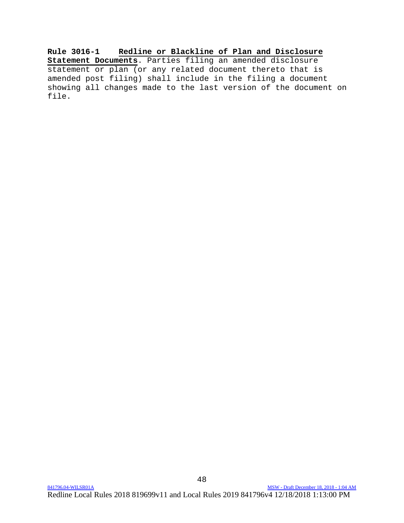**Rule 3016-1 Redline or Blackline of Plan and Disclosure Statement Documents**. Parties filing an amended disclosure statement or plan (or any related document thereto that is amended post filing) shall include in the filing a document showing all changes made to the last version of the document on file.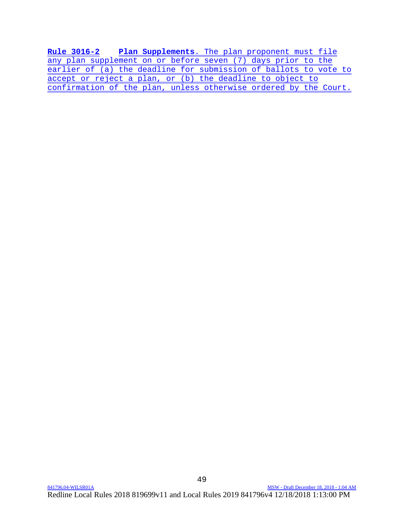**Rule 3016-2 Plan Supplements**. The plan proponent must file any plan supplement on or before seven (7) days prior to the earlier of (a) the deadline for submission of ballots to vote to accept or reject a plan, or (b) the deadline to object to confirmation of the plan, unless otherwise ordered by the Court.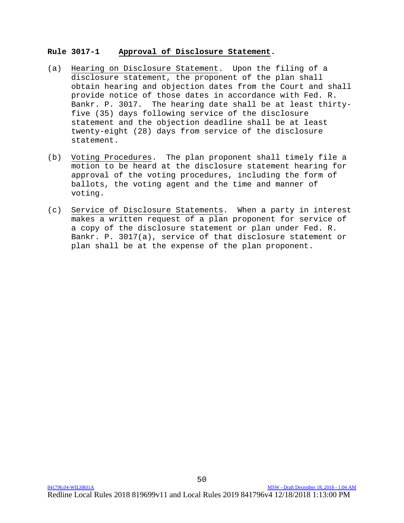## **Rule 3017-1 Approval of Disclosure Statement.**

- (a) Hearing on Disclosure Statement. Upon the filing of a disclosure statement, the proponent of the plan shall obtain hearing and objection dates from the Court and shall provide notice of those dates in accordance with Fed. R. Bankr. P. 3017. The hearing date shall be at least thirtyfive (35) days following service of the disclosure statement and the objection deadline shall be at least twenty-eight (28) days from service of the disclosure statement.
- (b) Voting Procedures. The plan proponent shall timely file a motion to be heard at the disclosure statement hearing for approval of the voting procedures, including the form of ballots, the voting agent and the time and manner of voting.
- (c) Service of Disclosure Statements. When a party in interest makes a written request of a plan proponent for service of a copy of the disclosure statement or plan under Fed. R. Bankr. P. 3017(a), service of that disclosure statement or plan shall be at the expense of the plan proponent.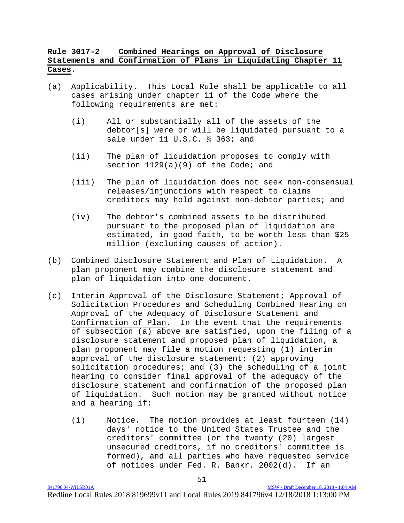# **Rule 3017-2 Combined Hearings on Approval of Disclosure Statements and Confirmation of Plans in Liquidating Chapter 11 Cases.**

- (a) Applicability. This Local Rule shall be applicable to all cases arising under chapter 11 of the Code where the following requirements are met:
	- (i) All or substantially all of the assets of the debtor[s] were or will be liquidated pursuant to a sale under 11 U.S.C. § 363; and
	- (ii) The plan of liquidation proposes to comply with section  $1129(a)(9)$  of the Code; and
	- (iii) The plan of liquidation does not seek non-consensual releases/injunctions with respect to claims creditors may hold against non-debtor parties; and
	- (iv) The debtor's combined assets to be distributed pursuant to the proposed plan of liquidation are estimated, in good faith, to be worth less than \$25 million (excluding causes of action).
- (b) Combined Disclosure Statement and Plan of Liquidation. A plan proponent may combine the disclosure statement and plan of liquidation into one document.
- (c) Interim Approval of the Disclosure Statement; Approval of Solicitation Procedures and Scheduling Combined Hearing on Approval of the Adequacy of Disclosure Statement and Confirmation of Plan. In the event that the requirements of subsection (a) above are satisfied, upon the filing of a disclosure statement and proposed plan of liquidation, a plan proponent may file a motion requesting (1) interim approval of the disclosure statement; (2) approving solicitation procedures; and (3) the scheduling of a joint hearing to consider final approval of the adequacy of the disclosure statement and confirmation of the proposed plan of liquidation. Such motion may be granted without notice and a hearing if:
	- (i) Notice. The motion provides at least fourteen (14) days' notice to the United States Trustee and the creditors' committee (or the twenty (20) largest unsecured creditors, if no creditors' committee is formed), and all parties who have requested service of notices under Fed. R. Bankr. 2002(d). If an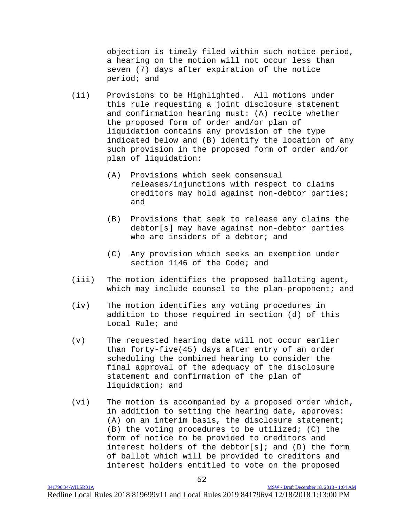objection is timely filed within such notice period, a hearing on the motion will not occur less than seven (7) days after expiration of the notice period; and

- (ii) Provisions to be Highlighted. All motions under this rule requesting a joint disclosure statement and confirmation hearing must: (A) recite whether the proposed form of order and/or plan of liquidation contains any provision of the type indicated below and (B) identify the location of any such provision in the proposed form of order and/or plan of liquidation:
	- (A) Provisions which seek consensual releases/injunctions with respect to claims creditors may hold against non-debtor parties; and
	- (B) Provisions that seek to release any claims the debtor[s] may have against non-debtor parties who are insiders of a debtor; and
	- (C) Any provision which seeks an exemption under section 1146 of the Code; and
- (iii) The motion identifies the proposed balloting agent, which may include counsel to the plan-proponent; and
- (iv) The motion identifies any voting procedures in addition to those required in section (d) of this Local Rule; and
- (v) The requested hearing date will not occur earlier than forty-five(45) days after entry of an order scheduling the combined hearing to consider the final approval of the adequacy of the disclosure statement and confirmation of the plan of liquidation; and
- (vi) The motion is accompanied by a proposed order which, in addition to setting the hearing date, approves: (A) on an interim basis, the disclosure statement; (B) the voting procedures to be utilized; (C) the form of notice to be provided to creditors and interest holders of the debtor[s]; and (D) the form of ballot which will be provided to creditors and interest holders entitled to vote on the proposed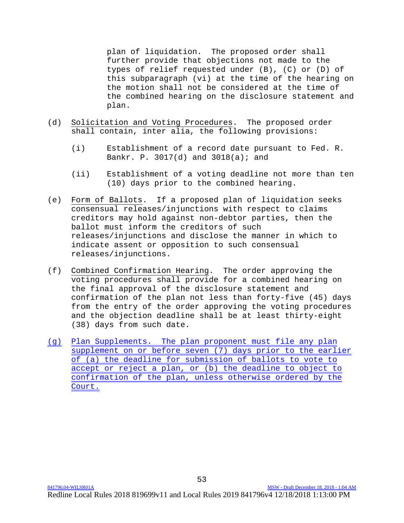plan of liquidation. The proposed order shall further provide that objections not made to the types of relief requested under (B), (C) or (D) of this subparagraph (vi) at the time of the hearing on the motion shall not be considered at the time of the combined hearing on the disclosure statement and plan.

- (d) Solicitation and Voting Procedures. The proposed order shall contain, inter alia, the following provisions:
	- (i) Establishment of a record date pursuant to Fed. R. Bankr. P. 3017(d) and 3018(a); and
	- (ii) Establishment of a voting deadline not more than ten (10) days prior to the combined hearing.
- (e) Form of Ballots. If a proposed plan of liquidation seeks consensual releases/injunctions with respect to claims creditors may hold against non-debtor parties, then the ballot must inform the creditors of such releases/injunctions and disclose the manner in which to indicate assent or opposition to such consensual releases/injunctions.
- (f) Combined Confirmation Hearing. The order approving the voting procedures shall provide for a combined hearing on the final approval of the disclosure statement and confirmation of the plan not less than forty-five (45) days from the entry of the order approving the voting procedures and the objection deadline shall be at least thirty-eight (38) days from such date.
- (g) Plan Supplements. The plan proponent must file any plan supplement on or before seven (7) days prior to the earlier of (a) the deadline for submission of ballots to vote to accept or reject a plan, or (b) the deadline to object to confirmation of the plan, unless otherwise ordered by the Court.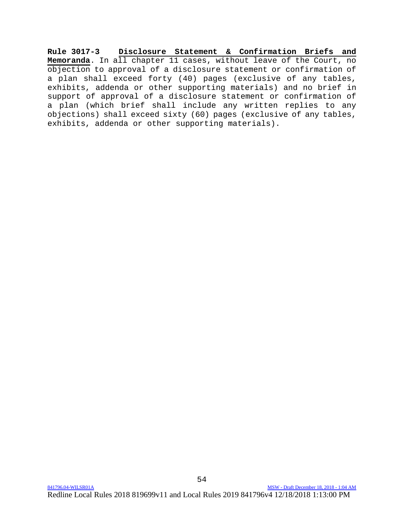**Rule 3017-3 Disclosure Statement & Confirmation Briefs and Memoranda**. In all chapter 11 cases, without leave of the Court, no objection to approval of a disclosure statement or confirmation of a plan shall exceed forty (40) pages (exclusive of any tables, exhibits, addenda or other supporting materials) and no brief in support of approval of a disclosure statement or confirmation of a plan (which brief shall include any written replies to any objections) shall exceed sixty (60) pages (exclusive of any tables, exhibits, addenda or other supporting materials).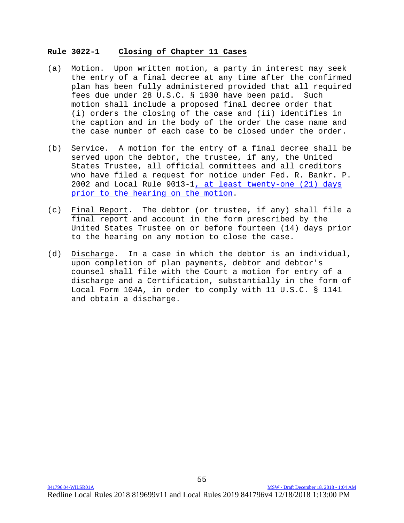#### **Rule 3022-1 Closing of Chapter 11 Cases**

- (a) Motion. Upon written motion, a party in interest may seek the entry of a final decree at any time after the confirmed plan has been fully administered provided that all required fees due under 28 U.S.C. § 1930 have been paid. Such motion shall include a proposed final decree order that (i) orders the closing of the case and (ii) identifies in the caption and in the body of the order the case name and the case number of each case to be closed under the order.
- (b) Service. A motion for the entry of a final decree shall be served upon the debtor, the trustee, if any, the United States Trustee, all official committees and all creditors who have filed a request for notice under Fed. R. Bankr. P. 2002 and Local Rule 9013-1, at least twenty-one (21) days prior to the hearing on the motion.
- (c) Final Report. The debtor (or trustee, if any) shall file a final report and account in the form prescribed by the United States Trustee on or before fourteen (14) days prior to the hearing on any motion to close the case.
- (d) Discharge. In a case in which the debtor is an individual, upon completion of plan payments, debtor and debtor's counsel shall file with the Court a motion for entry of a discharge and a Certification, substantially in the form of Local Form 104A, in order to comply with 11 U.S.C. § 1141 and obtain a discharge.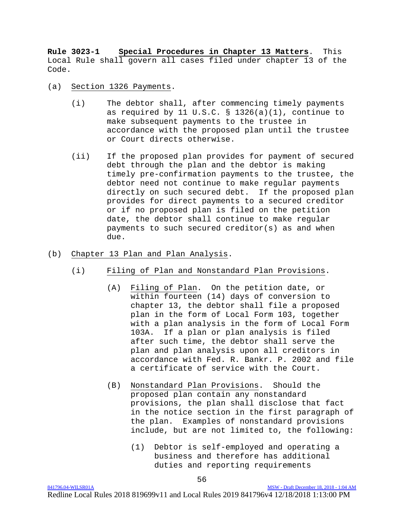**Rule 3023-1 Special Procedures in Chapter 13 Matters**. This Local Rule shall govern all cases filed under chapter 13 of the Code.

- (a) Section 1326 Payments.
	- (i) The debtor shall, after commencing timely payments as required by 11 U.S.C.  $\S$  1326(a)(1), continue to make subsequent payments to the trustee in accordance with the proposed plan until the trustee or Court directs otherwise.
	- (ii) If the proposed plan provides for payment of secured debt through the plan and the debtor is making timely pre-confirmation payments to the trustee, the debtor need not continue to make regular payments directly on such secured debt. If the proposed plan provides for direct payments to a secured creditor or if no proposed plan is filed on the petition date, the debtor shall continue to make regular payments to such secured creditor(s) as and when due.
- (b) Chapter 13 Plan and Plan Analysis.
	- (i) Filing of Plan and Nonstandard Plan Provisions.
		- (A) Filing of Plan. On the petition date, or within fourteen (14) days of conversion to chapter 13, the debtor shall file a proposed plan in the form of Local Form 103, together with a plan analysis in the form of Local Form 103A. If a plan or plan analysis is filed after such time, the debtor shall serve the plan and plan analysis upon all creditors in accordance with Fed. R. Bankr. P. 2002 and file a certificate of service with the Court.
		- (B) Nonstandard Plan Provisions. Should the proposed plan contain any nonstandard provisions, the plan shall disclose that fact in the notice section in the first paragraph of the plan. Examples of nonstandard provisions include, but are not limited to, the following:
			- (1) Debtor is self-employed and operating a business and therefore has additional duties and reporting requirements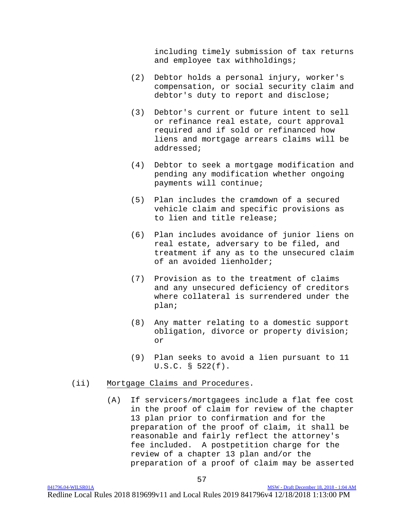including timely submission of tax returns and employee tax withholdings;

- (2) Debtor holds a personal injury, worker's compensation, or social security claim and debtor's duty to report and disclose;
- (3) Debtor's current or future intent to sell or refinance real estate, court approval required and if sold or refinanced how liens and mortgage arrears claims will be addressed;
- (4) Debtor to seek a mortgage modification and pending any modification whether ongoing payments will continue;
- (5) Plan includes the cramdown of a secured vehicle claim and specific provisions as to lien and title release;
- (6) Plan includes avoidance of junior liens on real estate, adversary to be filed, and treatment if any as to the unsecured claim of an avoided lienholder;
- (7) Provision as to the treatment of claims and any unsecured deficiency of creditors where collateral is surrendered under the plan;
- (8) Any matter relating to a domestic support obligation, divorce or property division; or
- (9) Plan seeks to avoid a lien pursuant to 11 U.S.C. § 522(f).
- (ii) Mortgage Claims and Procedures.
	- (A) If servicers/mortgagees include a flat fee cost in the proof of claim for review of the chapter 13 plan prior to confirmation and for the preparation of the proof of claim, it shall be reasonable and fairly reflect the attorney's fee included. A postpetition charge for the review of a chapter 13 plan and/or the preparation of a proof of claim may be asserted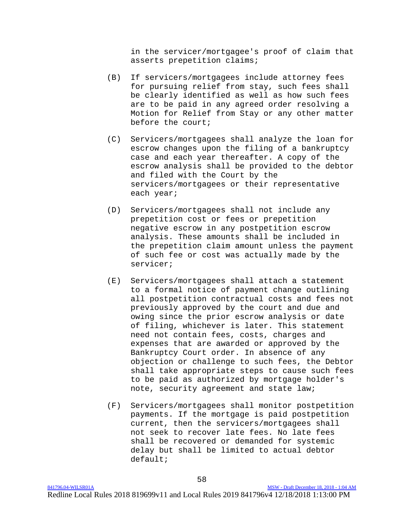in the servicer/mortgagee's proof of claim that asserts prepetition claims;

- (B) If servicers/mortgagees include attorney fees for pursuing relief from stay, such fees shall be clearly identified as well as how such fees are to be paid in any agreed order resolving a Motion for Relief from Stay or any other matter before the court;
- (C) Servicers/mortgagees shall analyze the loan for escrow changes upon the filing of a bankruptcy case and each year thereafter. A copy of the escrow analysis shall be provided to the debtor and filed with the Court by the servicers/mortgagees or their representative each year;
- (D) Servicers/mortgagees shall not include any prepetition cost or fees or prepetition negative escrow in any postpetition escrow analysis. These amounts shall be included in the prepetition claim amount unless the payment of such fee or cost was actually made by the servicer;
- (E) Servicers/mortgagees shall attach a statement to a formal notice of payment change outlining all postpetition contractual costs and fees not previously approved by the court and due and owing since the prior escrow analysis or date of filing, whichever is later. This statement need not contain fees, costs, charges and expenses that are awarded or approved by the Bankruptcy Court order. In absence of any objection or challenge to such fees, the Debtor shall take appropriate steps to cause such fees to be paid as authorized by mortgage holder's note, security agreement and state law;
- (F) Servicers/mortgagees shall monitor postpetition payments. If the mortgage is paid postpetition current, then the servicers/mortgagees shall not seek to recover late fees. No late fees shall be recovered or demanded for systemic delay but shall be limited to actual debtor default;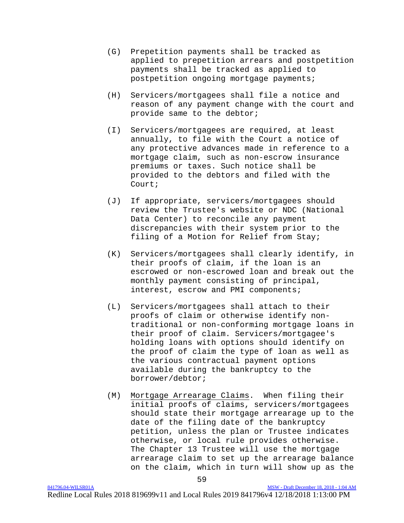- (G) Prepetition payments shall be tracked as applied to prepetition arrears and postpetition payments shall be tracked as applied to postpetition ongoing mortgage payments;
- (H) Servicers/mortgagees shall file a notice and reason of any payment change with the court and provide same to the debtor;
- (I) Servicers/mortgagees are required, at least annually, to file with the Court a notice of any protective advances made in reference to a mortgage claim, such as non-escrow insurance premiums or taxes. Such notice shall be provided to the debtors and filed with the Court;
- (J) If appropriate, servicers/mortgagees should review the Trustee's website or NDC (National Data Center) to reconcile any payment discrepancies with their system prior to the filing of a Motion for Relief from Stay;
- (K) Servicers/mortgagees shall clearly identify, in their proofs of claim, if the loan is an escrowed or non-escrowed loan and break out the monthly payment consisting of principal, interest, escrow and PMI components;
- (L) Servicers/mortgagees shall attach to their proofs of claim or otherwise identify nontraditional or non-conforming mortgage loans in their proof of claim. Servicers/mortgagee's holding loans with options should identify on the proof of claim the type of loan as well as the various contractual payment options available during the bankruptcy to the borrower/debtor;
- (M) Mortgage Arrearage Claims. When filing their initial proofs of claims, servicers/mortgagees should state their mortgage arrearage up to the date of the filing date of the bankruptcy petition, unless the plan or Trustee indicates otherwise, or local rule provides otherwise. The Chapter 13 Trustee will use the mortgage arrearage claim to set up the arrearage balance on the claim, which in turn will show up as the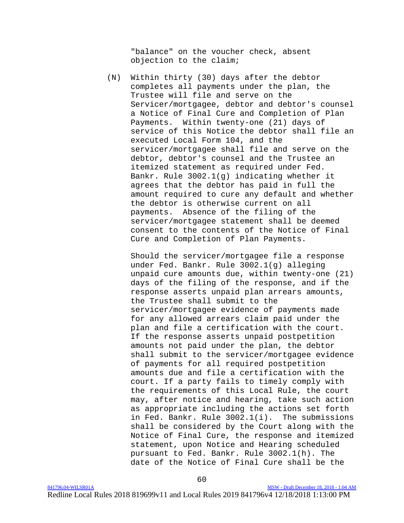"balance" on the voucher check, absent objection to the claim;

(N) Within thirty (30) days after the debtor completes all payments under the plan, the Trustee will file and serve on the Servicer/mortgagee, debtor and debtor's counsel a Notice of Final Cure and Completion of Plan Payments. Within twenty-one (21) days of service of this Notice the debtor shall file an executed Local Form 104, and the servicer/mortgagee shall file and serve on the debtor, debtor's counsel and the Trustee an itemized statement as required under Fed. Bankr. Rule 3002.1(g) indicating whether it agrees that the debtor has paid in full the amount required to cure any default and whether the debtor is otherwise current on all payments. Absence of the filing of the servicer/mortgagee statement shall be deemed consent to the contents of the Notice of Final Cure and Completion of Plan Payments.

Should the servicer/mortgagee file a response under Fed. Bankr. Rule 3002.1(g) alleging unpaid cure amounts due, within twenty-one (21) days of the filing of the response, and if the response asserts unpaid plan arrears amounts, the Trustee shall submit to the servicer/mortgagee evidence of payments made for any allowed arrears claim paid under the plan and file a certification with the court. If the response asserts unpaid postpetition amounts not paid under the plan, the debtor shall submit to the servicer/mortgagee evidence of payments for all required postpetition amounts due and file a certification with the court. If a party fails to timely comply with the requirements of this Local Rule, the court may, after notice and hearing, take such action as appropriate including the actions set forth in Fed. Bankr. Rule 3002.1(i). The submissions shall be considered by the Court along with the Notice of Final Cure, the response and itemized statement, upon Notice and Hearing scheduled pursuant to Fed. Bankr. Rule 3002.1(h). The date of the Notice of Final Cure shall be the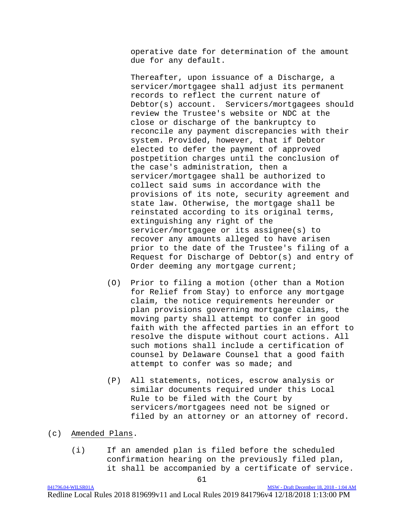operative date for determination of the amount due for any default.

Thereafter, upon issuance of a Discharge, a servicer/mortgagee shall adjust its permanent records to reflect the current nature of Debtor(s) account. Servicers/mortgagees should review the Trustee's website or NDC at the close or discharge of the bankruptcy to reconcile any payment discrepancies with their system. Provided, however, that if Debtor elected to defer the payment of approved postpetition charges until the conclusion of the case's administration, then a servicer/mortgagee shall be authorized to collect said sums in accordance with the provisions of its note, security agreement and state law. Otherwise, the mortgage shall be reinstated according to its original terms, extinguishing any right of the servicer/mortgagee or its assignee(s) to recover any amounts alleged to have arisen prior to the date of the Trustee's filing of a Request for Discharge of Debtor(s) and entry of Order deeming any mortgage current;

- (O) Prior to filing a motion (other than a Motion for Relief from Stay) to enforce any mortgage claim, the notice requirements hereunder or plan provisions governing mortgage claims, the moving party shall attempt to confer in good faith with the affected parties in an effort to resolve the dispute without court actions. All such motions shall include a certification of counsel by Delaware Counsel that a good faith attempt to confer was so made; and
- (P) All statements, notices, escrow analysis or similar documents required under this Local Rule to be filed with the Court by servicers/mortgagees need not be signed or filed by an attorney or an attorney of record.

### (c) Amended Plans.

(i) If an amended plan is filed before the scheduled confirmation hearing on the previously filed plan, it shall be accompanied by a certificate of service.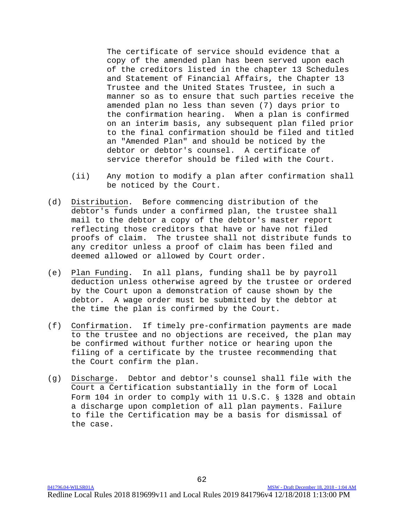The certificate of service should evidence that a copy of the amended plan has been served upon each of the creditors listed in the chapter 13 Schedules and Statement of Financial Affairs, the Chapter 13 Trustee and the United States Trustee, in such a manner so as to ensure that such parties receive the amended plan no less than seven (7) days prior to the confirmation hearing. When a plan is confirmed on an interim basis, any subsequent plan filed prior to the final confirmation should be filed and titled an "Amended Plan" and should be noticed by the debtor or debtor's counsel. A certificate of service therefor should be filed with the Court.

- (ii) Any motion to modify a plan after confirmation shall be noticed by the Court.
- (d) Distribution. Before commencing distribution of the debtor's funds under a confirmed plan, the trustee shall mail to the debtor a copy of the debtor's master report reflecting those creditors that have or have not filed proofs of claim. The trustee shall not distribute funds to any creditor unless a proof of claim has been filed and deemed allowed or allowed by Court order.
- (e) Plan Funding. In all plans, funding shall be by payroll deduction unless otherwise agreed by the trustee or ordered by the Court upon a demonstration of cause shown by the debtor. A wage order must be submitted by the debtor at the time the plan is confirmed by the Court.
- (f) Confirmation. If timely pre-confirmation payments are made to the trustee and no objections are received, the plan may be confirmed without further notice or hearing upon the filing of a certificate by the trustee recommending that the Court confirm the plan.
- (g) Discharge. Debtor and debtor's counsel shall file with the Court a Certification substantially in the form of Local Form 104 in order to comply with 11 U.S.C. § 1328 and obtain a discharge upon completion of all plan payments. Failure to file the Certification may be a basis for dismissal of the case.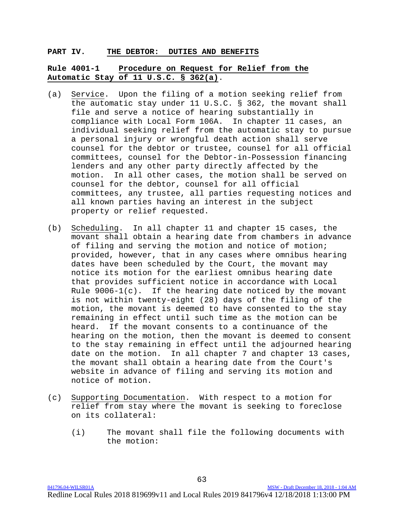#### **PART IV. THE DEBTOR: DUTIES AND BENEFITS**

## **Rule 4001-1 Procedure on Request for Relief from the Automatic Stay of 11 U.S.C. § 362(a)**.

- (a) Service. Upon the filing of a motion seeking relief from the automatic stay under 11 U.S.C. § 362, the movant shall file and serve a notice of hearing substantially in compliance with Local Form 106A. In chapter 11 cases, an individual seeking relief from the automatic stay to pursue a personal injury or wrongful death action shall serve counsel for the debtor or trustee, counsel for all official committees, counsel for the Debtor-in-Possession financing lenders and any other party directly affected by the motion. In all other cases, the motion shall be served on counsel for the debtor, counsel for all official committees, any trustee, all parties requesting notices and all known parties having an interest in the subject property or relief requested.
- (b) Scheduling. In all chapter 11 and chapter 15 cases, the movant shall obtain a hearing date from chambers in advance of filing and serving the motion and notice of motion; provided, however, that in any cases where omnibus hearing dates have been scheduled by the Court, the movant may notice its motion for the earliest omnibus hearing date that provides sufficient notice in accordance with Local Rule  $9006-1(c)$ . If the hearing date noticed by the movant is not within twenty-eight (28) days of the filing of the motion, the movant is deemed to have consented to the stay remaining in effect until such time as the motion can be heard. If the movant consents to a continuance of the hearing on the motion, then the movant is deemed to consent to the stay remaining in effect until the adjourned hearing date on the motion. In all chapter 7 and chapter 13 cases, the movant shall obtain a hearing date from the Court's website in advance of filing and serving its motion and notice of motion.
- (c) Supporting Documentation. With respect to a motion for relief from stay where the movant is seeking to foreclose on its collateral:
	- (i) The movant shall file the following documents with the motion: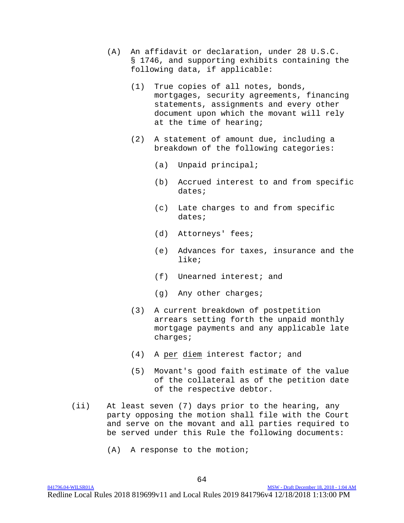- (A) An affidavit or declaration, under 28 U.S.C. § 1746, and supporting exhibits containing the following data, if applicable:
	- (1) True copies of all notes, bonds, mortgages, security agreements, financing statements, assignments and every other document upon which the movant will rely at the time of hearing;
	- (2) A statement of amount due, including a breakdown of the following categories:
		- (a) Unpaid principal;
		- (b) Accrued interest to and from specific dates;
		- (c) Late charges to and from specific dates;
		- (d) Attorneys' fees;
		- (e) Advances for taxes, insurance and the like;
		- (f) Unearned interest; and
		- (g) Any other charges;
	- (3) A current breakdown of postpetition arrears setting forth the unpaid monthly mortgage payments and any applicable late charges;
	- (4) A per diem interest factor; and
	- (5) Movant's good faith estimate of the value of the collateral as of the petition date of the respective debtor.
- (ii) At least seven (7) days prior to the hearing, any party opposing the motion shall file with the Court and serve on the movant and all parties required to be served under this Rule the following documents:
	- (A) A response to the motion;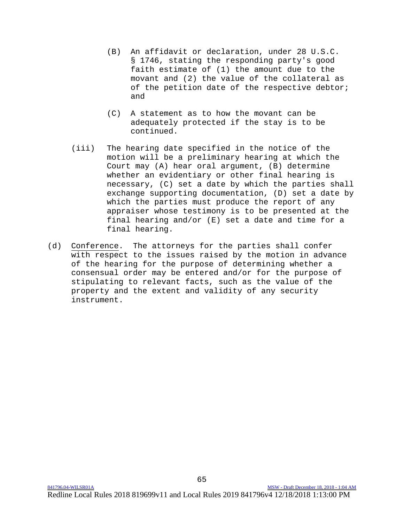- (B) An affidavit or declaration, under 28 U.S.C. § 1746, stating the responding party's good faith estimate of (1) the amount due to the movant and (2) the value of the collateral as of the petition date of the respective debtor; and
- (C) A statement as to how the movant can be adequately protected if the stay is to be continued.
- (iii) The hearing date specified in the notice of the motion will be a preliminary hearing at which the Court may (A) hear oral argument, (B) determine whether an evidentiary or other final hearing is necessary, (C) set a date by which the parties shall exchange supporting documentation, (D) set a date by which the parties must produce the report of any appraiser whose testimony is to be presented at the final hearing and/or (E) set a date and time for a final hearing.
- (d) Conference. The attorneys for the parties shall confer with respect to the issues raised by the motion in advance of the hearing for the purpose of determining whether a consensual order may be entered and/or for the purpose of stipulating to relevant facts, such as the value of the property and the extent and validity of any security instrument.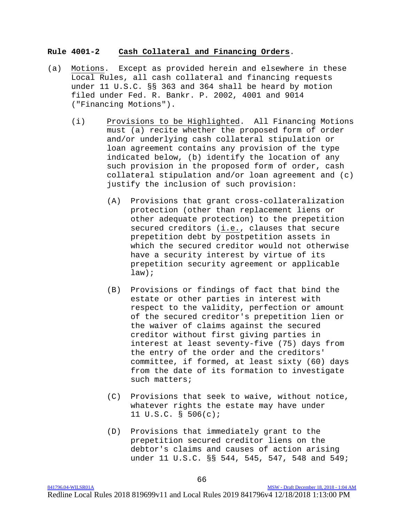# **Rule 4001-2 Cash Collateral and Financing Orders**.

- (a) Motions. Except as provided herein and elsewhere in these Local Rules, all cash collateral and financing requests under 11 U.S.C. §§ 363 and 364 shall be heard by motion filed under Fed. R. Bankr. P. 2002, 4001 and 9014 ("Financing Motions").
	- (i) Provisions to be Highlighted. All Financing Motions must (a) recite whether the proposed form of order and/or underlying cash collateral stipulation or loan agreement contains any provision of the type indicated below, (b) identify the location of any such provision in the proposed form of order, cash collateral stipulation and/or loan agreement and (c) justify the inclusion of such provision:
		- (A) Provisions that grant cross-collateralization protection (other than replacement liens or other adequate protection) to the prepetition secured creditors (i.e., clauses that secure prepetition debt by postpetition assets in which the secured creditor would not otherwise have a security interest by virtue of its prepetition security agreement or applicable law);
		- (B) Provisions or findings of fact that bind the estate or other parties in interest with respect to the validity, perfection or amount of the secured creditor's prepetition lien or the waiver of claims against the secured creditor without first giving parties in interest at least seventy-five (75) days from the entry of the order and the creditors' committee, if formed, at least sixty (60) days from the date of its formation to investigate such matters;
		- (C) Provisions that seek to waive, without notice, whatever rights the estate may have under 11 U.S.C. § 506(c);
		- (D) Provisions that immediately grant to the prepetition secured creditor liens on the debtor's claims and causes of action arising under 11 U.S.C. §§ 544, 545, 547, 548 and 549;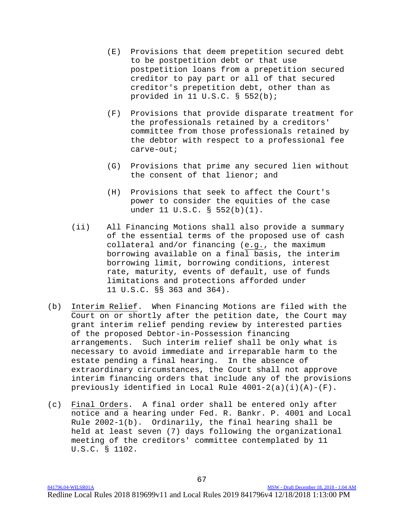- (E) Provisions that deem prepetition secured debt to be postpetition debt or that use postpetition loans from a prepetition secured creditor to pay part or all of that secured creditor's prepetition debt, other than as provided in 11 U.S.C. § 552(b);
- (F) Provisions that provide disparate treatment for the professionals retained by a creditors' committee from those professionals retained by the debtor with respect to a professional fee carve-out;
- (G) Provisions that prime any secured lien without the consent of that lienor; and
- (H) Provisions that seek to affect the Court's power to consider the equities of the case under 11 U.S.C. § 552(b)(1).
- (ii) All Financing Motions shall also provide a summary of the essential terms of the proposed use of cash collateral and/or financing (e.g., the maximum borrowing available on a final basis, the interim borrowing limit, borrowing conditions, interest rate, maturity, events of default, use of funds limitations and protections afforded under 11 U.S.C. §§ 363 and 364).
- (b) Interim Relief. When Financing Motions are filed with the Court on or shortly after the petition date, the Court may grant interim relief pending review by interested parties of the proposed Debtor-in-Possession financing arrangements. Such interim relief shall be only what is necessary to avoid immediate and irreparable harm to the estate pending a final hearing. In the absence of extraordinary circumstances, the Court shall not approve interim financing orders that include any of the provisions previously identified in Local Rule  $4001-2(a)(i)(A)-(F)$ .
- (c) Final Orders. A final order shall be entered only after notice and a hearing under Fed. R. Bankr. P. 4001 and Local Rule 2002-1(b). Ordinarily, the final hearing shall be held at least seven (7) days following the organizational meeting of the creditors' committee contemplated by 11 U.S.C. § 1102.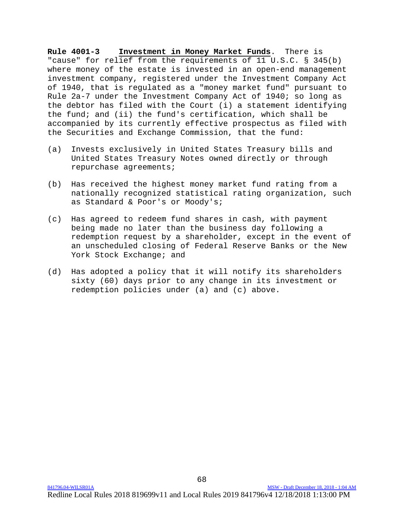**Rule 4001-3 Investment in Money Market Funds**. There is "cause" for relief from the requirements of 11 U.S.C. § 345(b) where money of the estate is invested in an open-end management investment company, registered under the Investment Company Act of 1940, that is regulated as a "money market fund" pursuant to Rule 2a-7 under the Investment Company Act of 1940; so long as the debtor has filed with the Court (i) a statement identifying the fund; and (ii) the fund's certification, which shall be accompanied by its currently effective prospectus as filed with the Securities and Exchange Commission, that the fund:

- (a) Invests exclusively in United States Treasury bills and United States Treasury Notes owned directly or through repurchase agreements;
- (b) Has received the highest money market fund rating from a nationally recognized statistical rating organization, such as Standard & Poor's or Moody's;
- (c) Has agreed to redeem fund shares in cash, with payment being made no later than the business day following a redemption request by a shareholder, except in the event of an unscheduled closing of Federal Reserve Banks or the New York Stock Exchange; and
- (d) Has adopted a policy that it will notify its shareholders sixty (60) days prior to any change in its investment or redemption policies under (a) and (c) above.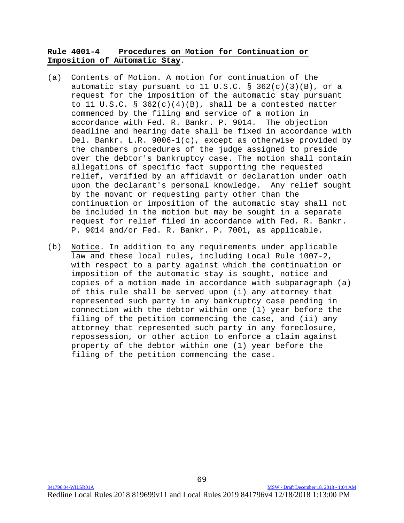# **Rule 4001-4 Procedures on Motion for Continuation or Imposition of Automatic Stay**.

- (a) Contents of Motion. A motion for continuation of the automatic stay pursuant to 11 U.S.C. § 362(c)(3)(B), or a request for the imposition of the automatic stay pursuant to 11 U.S.C. §  $362(c)(4)(B)$ , shall be a contested matter commenced by the filing and service of a motion in accordance with Fed. R. Bankr. P. 9014. The objection deadline and hearing date shall be fixed in accordance with Del. Bankr. L.R. 9006-1(c), except as otherwise provided by the chambers procedures of the judge assigned to preside over the debtor's bankruptcy case. The motion shall contain allegations of specific fact supporting the requested relief, verified by an affidavit or declaration under oath upon the declarant's personal knowledge. Any relief sought by the movant or requesting party other than the continuation or imposition of the automatic stay shall not be included in the motion but may be sought in a separate request for relief filed in accordance with Fed. R. Bankr. P. 9014 and/or Fed. R. Bankr. P. 7001, as applicable.
- (b) Notice. In addition to any requirements under applicable law and these local rules, including Local Rule 1007-2, with respect to a party against which the continuation or imposition of the automatic stay is sought, notice and copies of a motion made in accordance with subparagraph (a) of this rule shall be served upon (i) any attorney that represented such party in any bankruptcy case pending in connection with the debtor within one (1) year before the filing of the petition commencing the case, and (ii) any attorney that represented such party in any foreclosure, repossession, or other action to enforce a claim against property of the debtor within one (1) year before the filing of the petition commencing the case.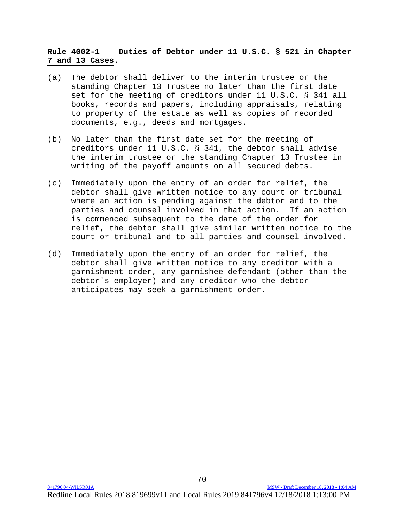# **Rule 4002-1 Duties of Debtor under 11 U.S.C. § 521 in Chapter 7 and 13 Cases**.

- (a) The debtor shall deliver to the interim trustee or the standing Chapter 13 Trustee no later than the first date set for the meeting of creditors under 11 U.S.C. § 341 all books, records and papers, including appraisals, relating to property of the estate as well as copies of recorded documents, e.g., deeds and mortgages.
- (b) No later than the first date set for the meeting of creditors under 11 U.S.C. § 341, the debtor shall advise the interim trustee or the standing Chapter 13 Trustee in writing of the payoff amounts on all secured debts.
- (c) Immediately upon the entry of an order for relief, the debtor shall give written notice to any court or tribunal where an action is pending against the debtor and to the parties and counsel involved in that action. If an action is commenced subsequent to the date of the order for relief, the debtor shall give similar written notice to the court or tribunal and to all parties and counsel involved.
- (d) Immediately upon the entry of an order for relief, the debtor shall give written notice to any creditor with a garnishment order, any garnishee defendant (other than the debtor's employer) and any creditor who the debtor anticipates may seek a garnishment order.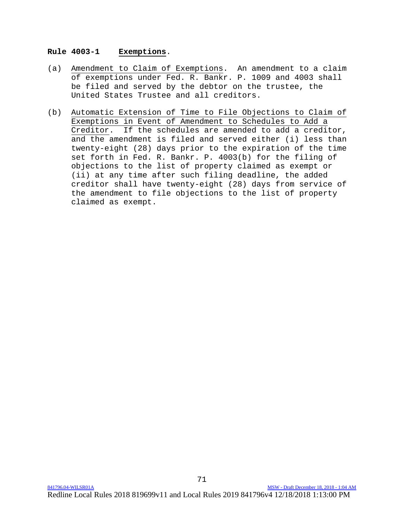## **Rule 4003-1 Exemptions**.

- (a) Amendment to Claim of Exemptions. An amendment to a claim of exemptions under Fed. R. Bankr. P. 1009 and 4003 shall be filed and served by the debtor on the trustee, the United States Trustee and all creditors.
- (b) Automatic Extension of Time to File Objections to Claim of Exemptions in Event of Amendment to Schedules to Add a Creditor. If the schedules are amended to add a creditor, and the amendment is filed and served either (i) less than twenty-eight (28) days prior to the expiration of the time set forth in Fed. R. Bankr. P. 4003(b) for the filing of objections to the list of property claimed as exempt or (ii) at any time after such filing deadline, the added creditor shall have twenty-eight (28) days from service of the amendment to file objections to the list of property claimed as exempt.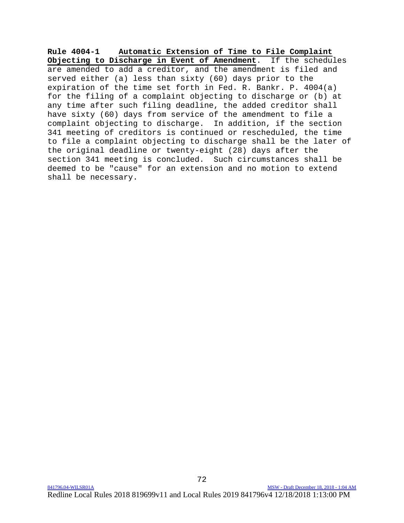**Rule 4004-1 Automatic Extension of Time to File Complaint Objecting to Discharge in Event of Amendment**. If the schedules are amended to add a creditor, and the amendment is filed and served either (a) less than sixty (60) days prior to the expiration of the time set forth in Fed. R. Bankr. P. 4004(a) for the filing of a complaint objecting to discharge or (b) at any time after such filing deadline, the added creditor shall have sixty (60) days from service of the amendment to file a complaint objecting to discharge. In addition, if the section 341 meeting of creditors is continued or rescheduled, the time to file a complaint objecting to discharge shall be the later of the original deadline or twenty-eight (28) days after the section 341 meeting is concluded. Such circumstances shall be deemed to be "cause" for an extension and no motion to extend shall be necessary.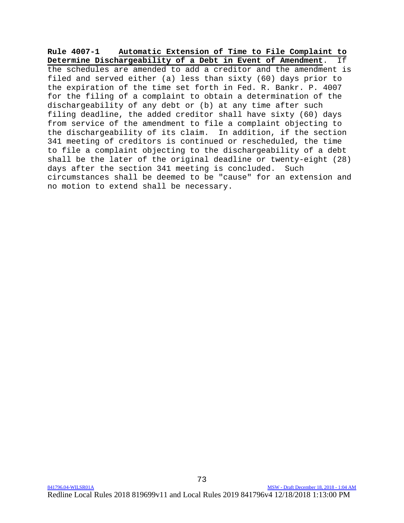**Rule 4007-1 Automatic Extension of Time to File Complaint to Determine Dischargeability of a Debt in Event of Amendment**. If the schedules are amended to add a creditor and the amendment is filed and served either (a) less than sixty (60) days prior to the expiration of the time set forth in Fed. R. Bankr. P. 4007 for the filing of a complaint to obtain a determination of the dischargeability of any debt or (b) at any time after such filing deadline, the added creditor shall have sixty (60) days from service of the amendment to file a complaint objecting to the dischargeability of its claim. In addition, if the section 341 meeting of creditors is continued or rescheduled, the time to file a complaint objecting to the dischargeability of a debt shall be the later of the original deadline or twenty-eight (28) days after the section 341 meeting is concluded. Such circumstances shall be deemed to be "cause" for an extension and no motion to extend shall be necessary.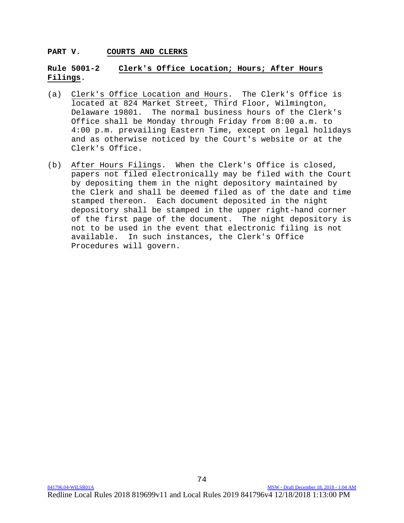### **PART V. COURTS AND CLERKS**

# **Rule 5001-2 Clerk's Office Location; Hours; After Hours Filings**.

- (a) Clerk's Office Location and Hours. The Clerk's Office is located at 824 Market Street, Third Floor, Wilmington, Delaware 19801. The normal business hours of the Clerk's Office shall be Monday through Friday from 8:00 a.m. to 4:00 p.m. prevailing Eastern Time, except on legal holidays and as otherwise noticed by the Court's website or at the Clerk's Office.
- (b) After Hours Filings. When the Clerk's Office is closed, papers not filed electronically may be filed with the Court by depositing them in the night depository maintained by the Clerk and shall be deemed filed as of the date and time stamped thereon. Each document deposited in the night depository shall be stamped in the upper right-hand corner of the first page of the document. The night depository is not to be used in the event that electronic filing is not available. In such instances, the Clerk's Office Procedures will govern.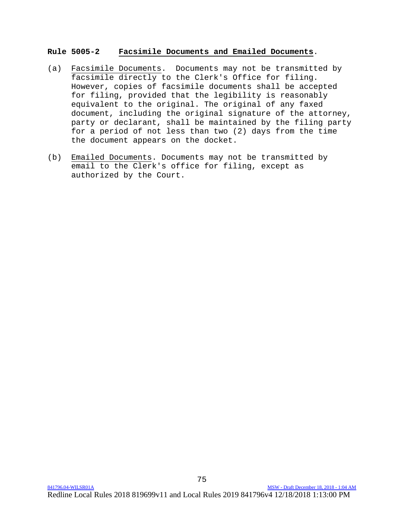### **Rule 5005-2 Facsimile Documents and Emailed Documents**.

- (a) Facsimile Documents. Documents may not be transmitted by facsimile directly to the Clerk's Office for filing. However, copies of facsimile documents shall be accepted for filing, provided that the legibility is reasonably equivalent to the original. The original of any faxed document, including the original signature of the attorney, party or declarant, shall be maintained by the filing party for a period of not less than two (2) days from the time the document appears on the docket.
- (b) Emailed Documents. Documents may not be transmitted by email to the Clerk's office for filing, except as authorized by the Court.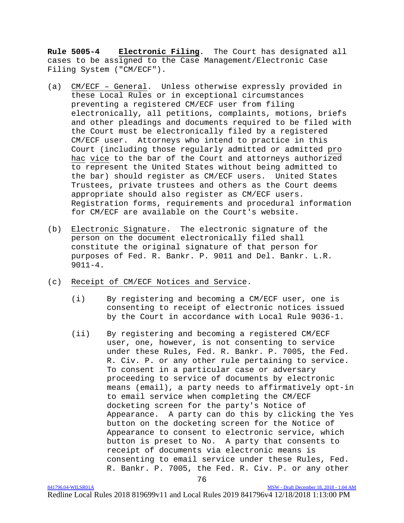**Rule 5005-4 Electronic Filing**. The Court has designated all cases to be assigned to the Case Management/Electronic Case Filing System ("CM/ECF").

- (a) CM/ECF General. Unless otherwise expressly provided in these Local Rules or in exceptional circumstances preventing a registered CM/ECF user from filing electronically, all petitions, complaints, motions, briefs and other pleadings and documents required to be filed with the Court must be electronically filed by a registered CM/ECF user. Attorneys who intend to practice in this Court (including those regularly admitted or admitted pro hac vice to the bar of the Court and attorneys authorized to represent the United States without being admitted to the bar) should register as CM/ECF users. United States Trustees, private trustees and others as the Court deems appropriate should also register as CM/ECF users. Registration forms, requirements and procedural information for CM/ECF are available on the Court's website.
- (b) Electronic Signature. The electronic signature of the person on the document electronically filed shall constitute the original signature of that person for purposes of Fed. R. Bankr. P. 9011 and Del. Bankr. L.R. 9011-4.
- (c) Receipt of CM/ECF Notices and Service.
	- (i) By registering and becoming a CM/ECF user, one is consenting to receipt of electronic notices issued by the Court in accordance with Local Rule 9036-1.
	- (ii) By registering and becoming a registered CM/ECF user, one, however, is not consenting to service under these Rules, Fed. R. Bankr. P. 7005, the Fed. R. Civ. P. or any other rule pertaining to service. To consent in a particular case or adversary proceeding to service of documents by electronic means (email), a party needs to affirmatively opt-in to email service when completing the CM/ECF docketing screen for the party's Notice of Appearance. A party can do this by clicking the Yes button on the docketing screen for the Notice of Appearance to consent to electronic service, which button is preset to No. A party that consents to receipt of documents via electronic means is consenting to email service under these Rules, Fed. R. Bankr. P. 7005, the Fed. R. Civ. P. or any other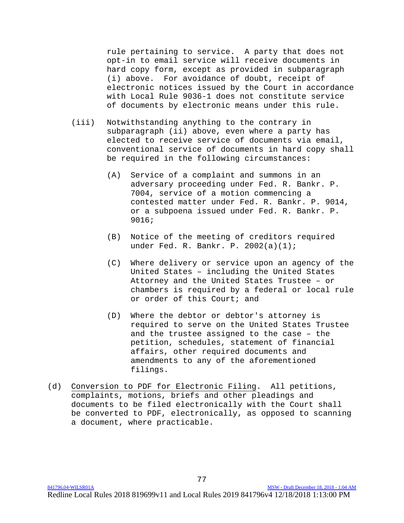rule pertaining to service. A party that does not opt-in to email service will receive documents in hard copy form, except as provided in subparagraph (i) above. For avoidance of doubt, receipt of electronic notices issued by the Court in accordance with Local Rule 9036-1 does not constitute service of documents by electronic means under this rule.

- (iii) Notwithstanding anything to the contrary in subparagraph (ii) above, even where a party has elected to receive service of documents via email, conventional service of documents in hard copy shall be required in the following circumstances:
	- (A) Service of a complaint and summons in an adversary proceeding under Fed. R. Bankr. P. 7004, service of a motion commencing a contested matter under Fed. R. Bankr. P. 9014, or a subpoena issued under Fed. R. Bankr. P. 9016;
	- (B) Notice of the meeting of creditors required under Fed. R. Bankr. P. 2002(a)(1);
	- (C) Where delivery or service upon an agency of the United States – including the United States Attorney and the United States Trustee – or chambers is required by a federal or local rule or order of this Court; and
	- (D) Where the debtor or debtor's attorney is required to serve on the United States Trustee and the trustee assigned to the case – the petition, schedules, statement of financial affairs, other required documents and amendments to any of the aforementioned filings.
- (d) Conversion to PDF for Electronic Filing. All petitions, complaints, motions, briefs and other pleadings and documents to be filed electronically with the Court shall be converted to PDF, electronically, as opposed to scanning a document, where practicable.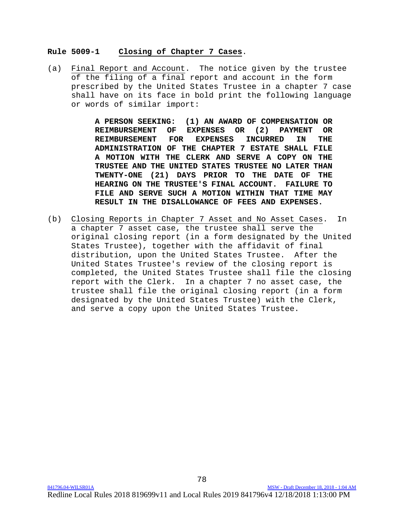#### **Rule 5009-1 Closing of Chapter 7 Cases**.

(a) Final Report and Account. The notice given by the trustee of the filing of a final report and account in the form prescribed by the United States Trustee in a chapter 7 case shall have on its face in bold print the following language or words of similar import:

> **A PERSON SEEKING: (1) AN AWARD OF COMPENSATION OR REIMBURSEMENT OF EXPENSES OR (2) PAYMENT OR REIMBURSEMENT FOR EXPENSES INCURRED IN THE ADMINISTRATION OF THE CHAPTER 7 ESTATE SHALL FILE A MOTION WITH THE CLERK AND SERVE A COPY ON THE TRUSTEE AND THE UNITED STATES TRUSTEE NO LATER THAN TWENTY-ONE (21) DAYS PRIOR TO THE DATE OF THE HEARING ON THE TRUSTEE'S FINAL ACCOUNT. FAILURE TO FILE AND SERVE SUCH A MOTION WITHIN THAT TIME MAY RESULT IN THE DISALLOWANCE OF FEES AND EXPENSES.**

(b) Closing Reports in Chapter 7 Asset and No Asset Cases. In a chapter 7 asset case, the trustee shall serve the original closing report (in a form designated by the United States Trustee), together with the affidavit of final distribution, upon the United States Trustee. After the United States Trustee's review of the closing report is completed, the United States Trustee shall file the closing report with the Clerk. In a chapter 7 no asset case, the trustee shall file the original closing report (in a form designated by the United States Trustee) with the Clerk, and serve a copy upon the United States Trustee.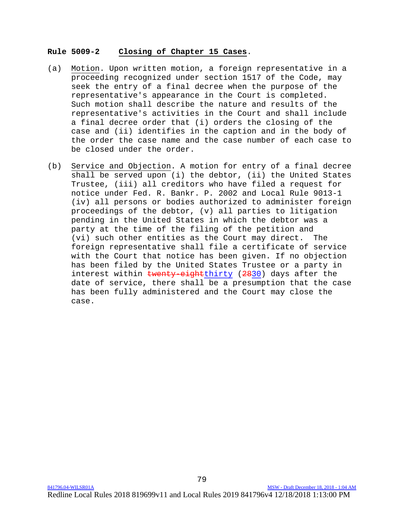#### **Rule 5009-2 Closing of Chapter 15 Cases**.

- (a) Motion. Upon written motion, a foreign representative in a proceeding recognized under section 1517 of the Code, may seek the entry of a final decree when the purpose of the representative's appearance in the Court is completed. Such motion shall describe the nature and results of the representative's activities in the Court and shall include a final decree order that (i) orders the closing of the case and (ii) identifies in the caption and in the body of the order the case name and the case number of each case to be closed under the order.
- (b) Service and Objection. A motion for entry of a final decree shall be served upon (i) the debtor, (ii) the United States Trustee, (iii) all creditors who have filed a request for notice under Fed. R. Bankr. P. 2002 and Local Rule 9013-1 (iv) all persons or bodies authorized to administer foreign proceedings of the debtor, (v) all parties to litigation pending in the United States in which the debtor was a party at the time of the filing of the petition and (vi) such other entities as the Court may direct. The foreign representative shall file a certificate of service with the Court that notice has been given. If no objection has been filed by the United States Trustee or a party in interest within  $\frac{L}{L}$   $\frac{L}{L}$   $\frac{L}{L}$   $\frac{L}{L}$   $\frac{L}{L}$   $\frac{L}{L}$   $\frac{L}{L}$   $\frac{L}{L}$   $\frac{L}{L}$   $\frac{L}{L}$   $\frac{L}{L}$   $\frac{L}{L}$   $\frac{L}{L}$   $\frac{L}{L}$   $\frac{L}{L}$   $\frac{L}{L}$   $\frac{L}{L}$   $\frac{L}{L}$   $\frac{L}{L}$   $\frac{L}{L}$   $\frac{L$ date of service, there shall be a presumption that the case has been fully administered and the Court may close the case.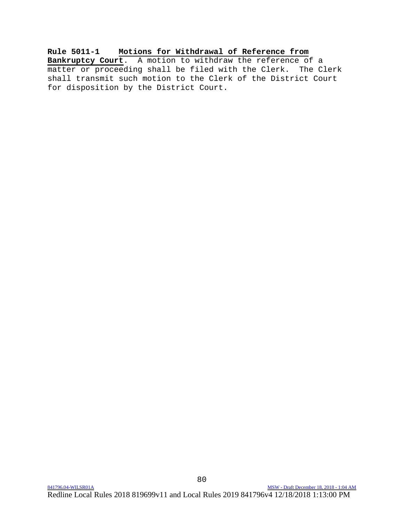# **Rule 5011-1 Motions for Withdrawal of Reference from Bankruptcy Court**. A motion to withdraw the reference of a matter or proceeding shall be filed with the Clerk. The Clerk shall transmit such motion to the Clerk of the District Court for disposition by the District Court.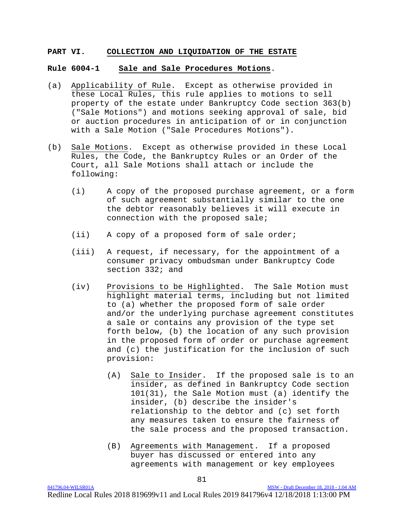#### **PART VI. COLLECTION AND LIQUIDATION OF THE ESTATE**

### **Rule 6004-1 Sale and Sale Procedures Motions**.

- (a) Applicability of Rule. Except as otherwise provided in these Local Rules, this rule applies to motions to sell property of the estate under Bankruptcy Code section 363(b) ("Sale Motions") and motions seeking approval of sale, bid or auction procedures in anticipation of or in conjunction with a Sale Motion ("Sale Procedures Motions").
- (b) Sale Motions. Except as otherwise provided in these Local Rules, the Code, the Bankruptcy Rules or an Order of the Court, all Sale Motions shall attach or include the following:
	- (i) A copy of the proposed purchase agreement, or a form of such agreement substantially similar to the one the debtor reasonably believes it will execute in connection with the proposed sale;
	- (ii) A copy of a proposed form of sale order;
	- (iii) A request, if necessary, for the appointment of a consumer privacy ombudsman under Bankruptcy Code section 332; and
	- (iv) Provisions to be Highlighted. The Sale Motion must highlight material terms, including but not limited to (a) whether the proposed form of sale order and/or the underlying purchase agreement constitutes a sale or contains any provision of the type set forth below, (b) the location of any such provision in the proposed form of order or purchase agreement and (c) the justification for the inclusion of such provision:
		- (A) Sale to Insider. If the proposed sale is to an insider, as defined in Bankruptcy Code section 101(31), the Sale Motion must (a) identify the insider, (b) describe the insider's relationship to the debtor and (c) set forth any measures taken to ensure the fairness of the sale process and the proposed transaction.
		- (B) Agreements with Management. If a proposed buyer has discussed or entered into any agreements with management or key employees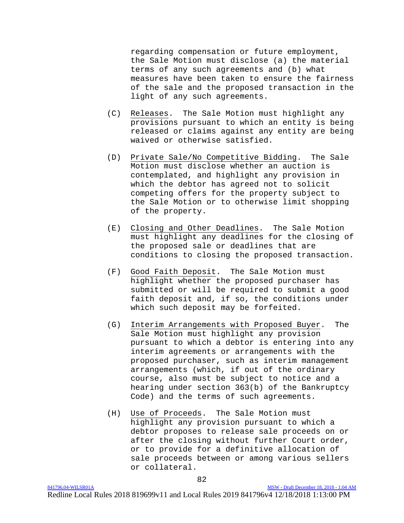regarding compensation or future employment, the Sale Motion must disclose (a) the material terms of any such agreements and (b) what measures have been taken to ensure the fairness of the sale and the proposed transaction in the light of any such agreements.

- (C) Releases. The Sale Motion must highlight any provisions pursuant to which an entity is being released or claims against any entity are being waived or otherwise satisfied.
- (D) Private Sale/No Competitive Bidding. The Sale Motion must disclose whether an auction is contemplated, and highlight any provision in which the debtor has agreed not to solicit competing offers for the property subject to the Sale Motion or to otherwise limit shopping of the property.
- (E) Closing and Other Deadlines. The Sale Motion must highlight any deadlines for the closing of the proposed sale or deadlines that are conditions to closing the proposed transaction.
- (F) Good Faith Deposit. The Sale Motion must highlight whether the proposed purchaser has submitted or will be required to submit a good faith deposit and, if so, the conditions under which such deposit may be forfeited.
- (G) Interim Arrangements with Proposed Buyer. The Sale Motion must highlight any provision pursuant to which a debtor is entering into any interim agreements or arrangements with the proposed purchaser, such as interim management arrangements (which, if out of the ordinary course, also must be subject to notice and a hearing under section 363(b) of the Bankruptcy Code) and the terms of such agreements.
- (H) Use of Proceeds. The Sale Motion must highlight any provision pursuant to which a debtor proposes to release sale proceeds on or after the closing without further Court order, or to provide for a definitive allocation of sale proceeds between or among various sellers or collateral.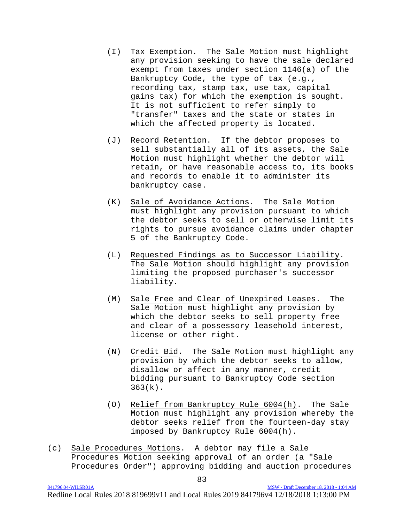- (I) Tax Exemption. The Sale Motion must highlight any provision seeking to have the sale declared exempt from taxes under section 1146(a) of the Bankruptcy Code, the type of tax (e.g., recording tax, stamp tax, use tax, capital gains tax) for which the exemption is sought. It is not sufficient to refer simply to "transfer" taxes and the state or states in which the affected property is located.
- (J) Record Retention. If the debtor proposes to sell substantially all of its assets, the Sale Motion must highlight whether the debtor will retain, or have reasonable access to, its books and records to enable it to administer its bankruptcy case.
- (K) Sale of Avoidance Actions. The Sale Motion must highlight any provision pursuant to which the debtor seeks to sell or otherwise limit its rights to pursue avoidance claims under chapter 5 of the Bankruptcy Code.
- (L) Requested Findings as to Successor Liability. The Sale Motion should highlight any provision limiting the proposed purchaser's successor liability.
- (M) Sale Free and Clear of Unexpired Leases. The Sale Motion must highlight any provision by which the debtor seeks to sell property free and clear of a possessory leasehold interest, license or other right.
- (N) Credit Bid. The Sale Motion must highlight any provision by which the debtor seeks to allow, disallow or affect in any manner, credit bidding pursuant to Bankruptcy Code section 363(k).
- (O) Relief from Bankruptcy Rule 6004(h). The Sale Motion must highlight any provision whereby the debtor seeks relief from the fourteen-day stay imposed by Bankruptcy Rule 6004(h).
- (c) Sale Procedures Motions. A debtor may file a Sale Procedures Motion seeking approval of an order (a "Sale Procedures Order") approving bidding and auction procedures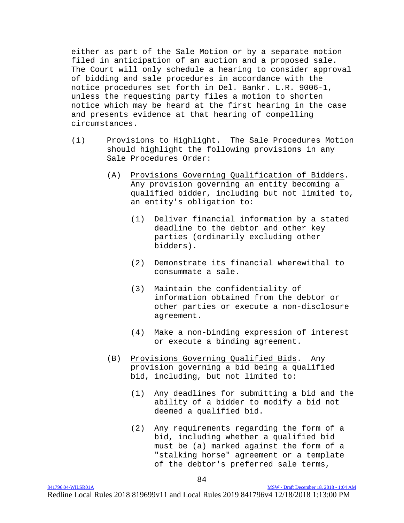either as part of the Sale Motion or by a separate motion filed in anticipation of an auction and a proposed sale. The Court will only schedule a hearing to consider approval of bidding and sale procedures in accordance with the notice procedures set forth in Del. Bankr. L.R. 9006-1, unless the requesting party files a motion to shorten notice which may be heard at the first hearing in the case and presents evidence at that hearing of compelling circumstances.

- (i) Provisions to Highlight. The Sale Procedures Motion should highlight the following provisions in any Sale Procedures Order:
	- (A) Provisions Governing Qualification of Bidders. Any provision governing an entity becoming a qualified bidder, including but not limited to, an entity's obligation to:
		- (1) Deliver financial information by a stated deadline to the debtor and other key parties (ordinarily excluding other bidders).
		- (2) Demonstrate its financial wherewithal to consummate a sale.
		- (3) Maintain the confidentiality of information obtained from the debtor or other parties or execute a non-disclosure agreement.
		- (4) Make a non-binding expression of interest or execute a binding agreement.
	- (B) Provisions Governing Qualified Bids. Any provision governing a bid being a qualified bid, including, but not limited to:
		- (1) Any deadlines for submitting a bid and the ability of a bidder to modify a bid not deemed a qualified bid.
		- (2) Any requirements regarding the form of a bid, including whether a qualified bid must be (a) marked against the form of a "stalking horse" agreement or a template of the debtor's preferred sale terms,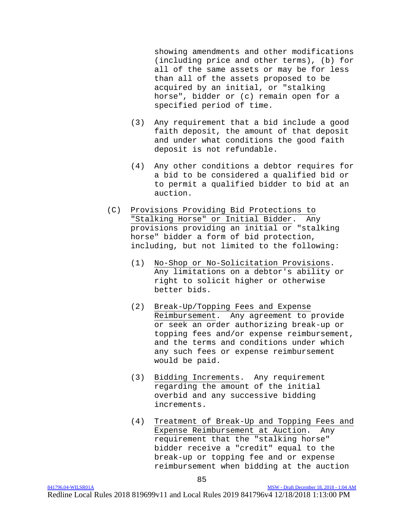showing amendments and other modifications (including price and other terms), (b) for all of the same assets or may be for less than all of the assets proposed to be acquired by an initial, or "stalking horse", bidder or (c) remain open for a specified period of time.

- (3) Any requirement that a bid include a good faith deposit, the amount of that deposit and under what conditions the good faith deposit is not refundable.
- (4) Any other conditions a debtor requires for a bid to be considered a qualified bid or to permit a qualified bidder to bid at an auction.
- (C) Provisions Providing Bid Protections to "Stalking Horse" or Initial Bidder. Any provisions providing an initial or "stalking horse" bidder a form of bid protection, including, but not limited to the following:
	- (1) No-Shop or No-Solicitation Provisions. Any limitations on a debtor's ability or right to solicit higher or otherwise better bids.
	- (2) Break-Up/Topping Fees and Expense Reimbursement. Any agreement to provide or seek an order authorizing break-up or topping fees and/or expense reimbursement, and the terms and conditions under which any such fees or expense reimbursement would be paid.
	- (3) Bidding Increments. Any requirement regarding the amount of the initial overbid and any successive bidding increments.
	- (4) Treatment of Break-Up and Topping Fees and Expense Reimbursement at Auction. Any requirement that the "stalking horse" bidder receive a "credit" equal to the break-up or topping fee and or expense reimbursement when bidding at the auction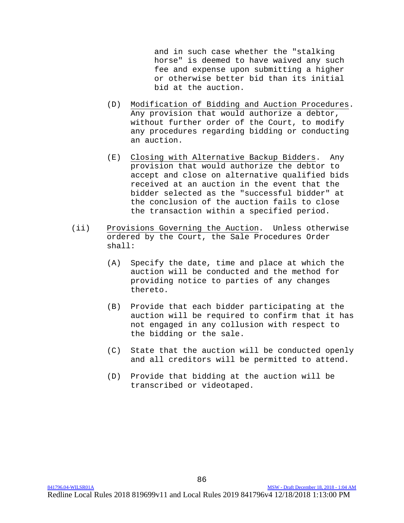and in such case whether the "stalking horse" is deemed to have waived any such fee and expense upon submitting a higher or otherwise better bid than its initial bid at the auction.

- (D) Modification of Bidding and Auction Procedures. Any provision that would authorize a debtor, without further order of the Court, to modify any procedures regarding bidding or conducting an auction.
- (E) Closing with Alternative Backup Bidders. Any provision that would authorize the debtor to accept and close on alternative qualified bids received at an auction in the event that the bidder selected as the "successful bidder" at the conclusion of the auction fails to close the transaction within a specified period.
- (ii) Provisions Governing the Auction. Unless otherwise ordered by the Court, the Sale Procedures Order shall:
	- (A) Specify the date, time and place at which the auction will be conducted and the method for providing notice to parties of any changes thereto.
	- (B) Provide that each bidder participating at the auction will be required to confirm that it has not engaged in any collusion with respect to the bidding or the sale.
	- (C) State that the auction will be conducted openly and all creditors will be permitted to attend.
	- (D) Provide that bidding at the auction will be transcribed or videotaped.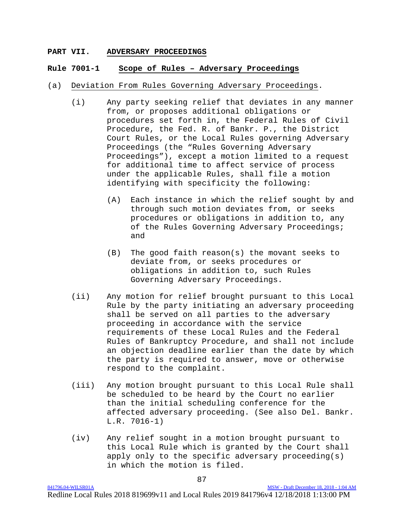### **PART VII. ADVERSARY PROCEEDINGS**

### **Rule 7001-1 Scope of Rules – Adversary Proceedings**

# (a) Deviation From Rules Governing Adversary Proceedings.

- (i) Any party seeking relief that deviates in any manner from, or proposes additional obligations or procedures set forth in, the Federal Rules of Civil Procedure, the Fed. R. of Bankr. P., the District Court Rules, or the Local Rules governing Adversary Proceedings (the "Rules Governing Adversary Proceedings"), except a motion limited to a request for additional time to affect service of process under the applicable Rules, shall file a motion identifying with specificity the following:
	- (A) Each instance in which the relief sought by and through such motion deviates from, or seeks procedures or obligations in addition to, any of the Rules Governing Adversary Proceedings; and
	- (B) The good faith reason(s) the movant seeks to deviate from, or seeks procedures or obligations in addition to, such Rules Governing Adversary Proceedings.
- (ii) Any motion for relief brought pursuant to this Local Rule by the party initiating an adversary proceeding shall be served on all parties to the adversary proceeding in accordance with the service requirements of these Local Rules and the Federal Rules of Bankruptcy Procedure, and shall not include an objection deadline earlier than the date by which the party is required to answer, move or otherwise respond to the complaint.
- (iii) Any motion brought pursuant to this Local Rule shall be scheduled to be heard by the Court no earlier than the initial scheduling conference for the affected adversary proceeding. (See also Del. Bankr. L.R. 7016-1)
- (iv) Any relief sought in a motion brought pursuant to this Local Rule which is granted by the Court shall apply only to the specific adversary proceeding(s) in which the motion is filed.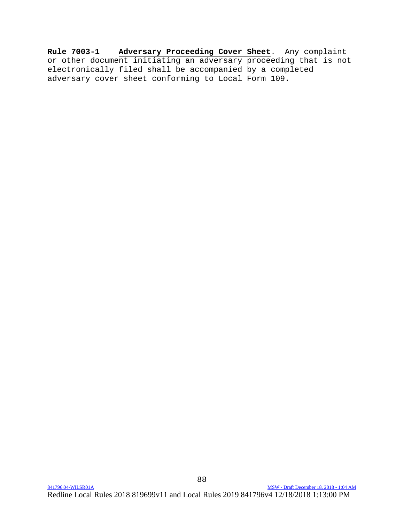**Rule 7003-1 Adversary Proceeding Cover Sheet**. Any complaint or other document initiating an adversary proceeding that is not electronically filed shall be accompanied by a completed adversary cover sheet conforming to Local Form 109.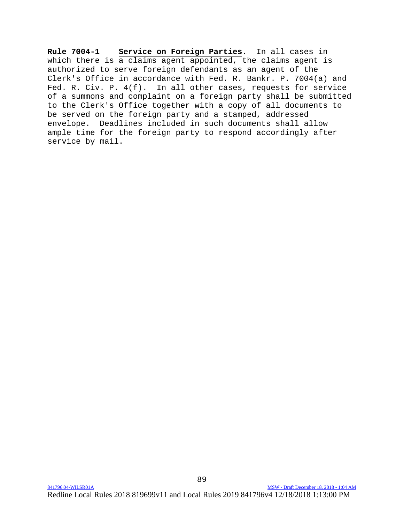**Rule 7004-1 Service on Foreign Parties**. In all cases in which there is a claims agent appointed, the claims agent is authorized to serve foreign defendants as an agent of the Clerk's Office in accordance with Fed. R. Bankr. P. 7004(a) and Fed. R. Civ. P. 4(f). In all other cases, requests for service of a summons and complaint on a foreign party shall be submitted to the Clerk's Office together with a copy of all documents to be served on the foreign party and a stamped, addressed envelope. Deadlines included in such documents shall allow ample time for the foreign party to respond accordingly after service by mail.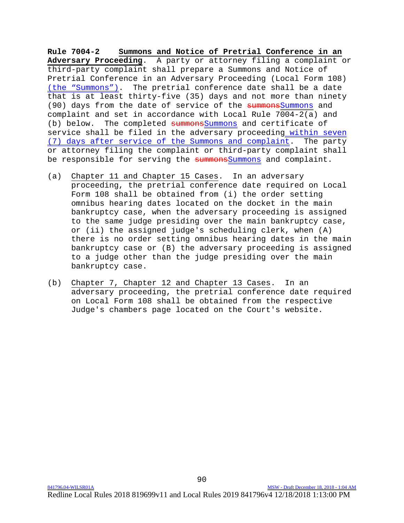**Rule 7004-2 Summons and Notice of Pretrial Conference in an Adversary Proceeding**. A party or attorney filing a complaint or third-party complaint shall prepare a Summons and Notice of Pretrial Conference in an Adversary Proceeding (Local Form 108) (the "Summons"). The pretrial conference date shall be a date that is at least thirty-five (35) days and not more than ninety (90) days from the date of service of the summonsSummons and complaint and set in accordance with Local Rule 7004-2(a) and (b) below. The completed summonsSummons and certificate of service shall be filed in the adversary proceeding within seven (7) days after service of the Summons and complaint. The party or attorney filing the complaint or third-party complaint shall be responsible for serving the summonsSummons and complaint.

- (a) Chapter 11 and Chapter 15 Cases. In an adversary proceeding, the pretrial conference date required on Local Form 108 shall be obtained from (i) the order setting omnibus hearing dates located on the docket in the main bankruptcy case, when the adversary proceeding is assigned to the same judge presiding over the main bankruptcy case, or (ii) the assigned judge's scheduling clerk, when (A) there is no order setting omnibus hearing dates in the main bankruptcy case or (B) the adversary proceeding is assigned to a judge other than the judge presiding over the main bankruptcy case.
- (b) Chapter 7, Chapter 12 and Chapter 13 Cases. In an adversary proceeding, the pretrial conference date required on Local Form 108 shall be obtained from the respective Judge's chambers page located on the Court's website.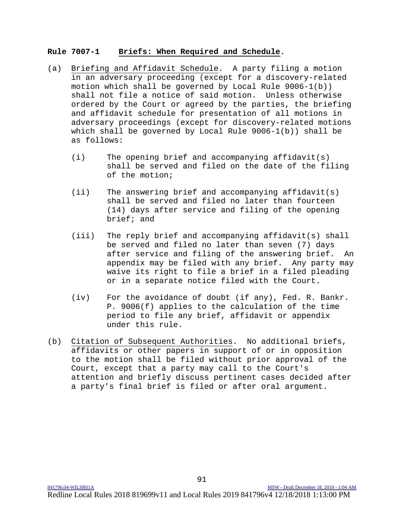## **Rule 7007-1 Briefs: When Required and Schedule**.

- (a) Briefing and Affidavit Schedule. A party filing a motion in an adversary proceeding (except for a discovery-related motion which shall be governed by Local Rule 9006-1(b)) shall not file a notice of said motion. Unless otherwise ordered by the Court or agreed by the parties, the briefing and affidavit schedule for presentation of all motions in adversary proceedings (except for discovery-related motions which shall be governed by Local Rule 9006-1(b)) shall be as follows:
	- (i) The opening brief and accompanying affidavit(s) shall be served and filed on the date of the filing of the motion;
	- (ii) The answering brief and accompanying affidavit(s) shall be served and filed no later than fourteen (14) days after service and filing of the opening brief; and
	- (iii) The reply brief and accompanying affidavit(s) shall be served and filed no later than seven (7) days after service and filing of the answering brief. An appendix may be filed with any brief. Any party may waive its right to file a brief in a filed pleading or in a separate notice filed with the Court.
	- (iv) For the avoidance of doubt (if any), Fed. R. Bankr. P. 9006(f) applies to the calculation of the time period to file any brief, affidavit or appendix under this rule.
- (b) Citation of Subsequent Authorities. No additional briefs, affidavits or other papers in support of or in opposition to the motion shall be filed without prior approval of the Court, except that a party may call to the Court's attention and briefly discuss pertinent cases decided after a party's final brief is filed or after oral argument.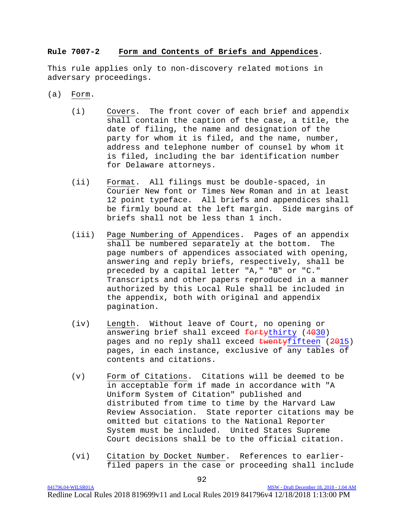# **Rule 7007-2 Form and Contents of Briefs and Appendices**.

This rule applies only to non-discovery related motions in adversary proceedings.

- (a) Form.
	- (i) Covers. The front cover of each brief and appendix shall contain the caption of the case, a title, the date of filing, the name and designation of the party for whom it is filed, and the name, number, address and telephone number of counsel by whom it is filed, including the bar identification number for Delaware attorneys.
	- (ii) Format. All filings must be double-spaced, in Courier New font or Times New Roman and in at least 12 point typeface. All briefs and appendices shall be firmly bound at the left margin. Side margins of briefs shall not be less than 1 inch.
	- (iii) Page Numbering of Appendices. Pages of an appendix shall be numbered separately at the bottom. The page numbers of appendices associated with opening, answering and reply briefs, respectively, shall be preceded by a capital letter "A," "B" or "C." Transcripts and other papers reproduced in a manner authorized by this Local Rule shall be included in the appendix, both with original and appendix pagination.
	- (iv) Length. Without leave of Court, no opening or answering brief shall exceed fortythirty (4030) pages and no reply shall exceed twentyfifteen (2015) pages, in each instance, exclusive of any tables of contents and citations.
	- (v) Form of Citations. Citations will be deemed to be in acceptable form if made in accordance with "A Uniform System of Citation" published and distributed from time to time by the Harvard Law Review Association. State reporter citations may be omitted but citations to the National Reporter System must be included. United States Supreme Court decisions shall be to the official citation.
	- (vi) Citation by Docket Number. References to earlierfiled papers in the case or proceeding shall include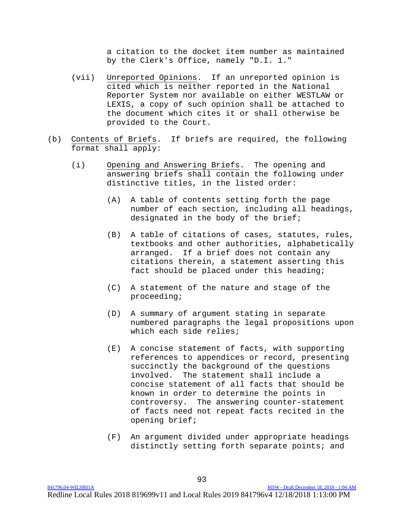a citation to the docket item number as maintained by the Clerk's Office, namely "D.I. 1."

- (vii) Unreported Opinions. If an unreported opinion is cited which is neither reported in the National Reporter System nor available on either WESTLAW or LEXIS, a copy of such opinion shall be attached to the document which cites it or shall otherwise be provided to the Court.
- (b) Contents of Briefs. If briefs are required, the following format shall apply:
	- (i) Opening and Answering Briefs. The opening and answering briefs shall contain the following under distinctive titles, in the listed order:
		- (A) A table of contents setting forth the page number of each section, including all headings, designated in the body of the brief;
		- (B) A table of citations of cases, statutes, rules, textbooks and other authorities, alphabetically arranged. If a brief does not contain any citations therein, a statement asserting this fact should be placed under this heading;
		- (C) A statement of the nature and stage of the proceeding;
		- (D) A summary of argument stating in separate numbered paragraphs the legal propositions upon which each side relies;
		- (E) A concise statement of facts, with supporting references to appendices or record, presenting succinctly the background of the questions involved. The statement shall include a concise statement of all facts that should be known in order to determine the points in controversy. The answering counter-statement of facts need not repeat facts recited in the opening brief;
		- (F) An argument divided under appropriate headings distinctly setting forth separate points; and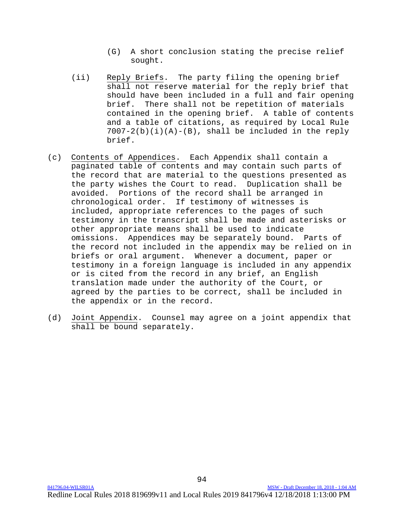- (G) A short conclusion stating the precise relief sought.
- (ii) Reply Briefs. The party filing the opening brief shall not reserve material for the reply brief that should have been included in a full and fair opening<br>brief. There shall not be repetition of materials There shall not be repetition of materials contained in the opening brief. A table of contents and a table of citations, as required by Local Rule  $7007-2(b)(i)(A)-(B)$ , shall be included in the reply brief.
- (c) Contents of Appendices. Each Appendix shall contain a paginated table of contents and may contain such parts of the record that are material to the questions presented as the party wishes the Court to read. Duplication shall be avoided. Portions of the record shall be arranged in chronological order. If testimony of witnesses is included, appropriate references to the pages of such testimony in the transcript shall be made and asterisks or other appropriate means shall be used to indicate omissions. Appendices may be separately bound. Parts of the record not included in the appendix may be relied on in briefs or oral argument. Whenever a document, paper or testimony in a foreign language is included in any appendix or is cited from the record in any brief, an English translation made under the authority of the Court, or agreed by the parties to be correct, shall be included in the appendix or in the record.
- (d) Joint Appendix. Counsel may agree on a joint appendix that shall be bound separately.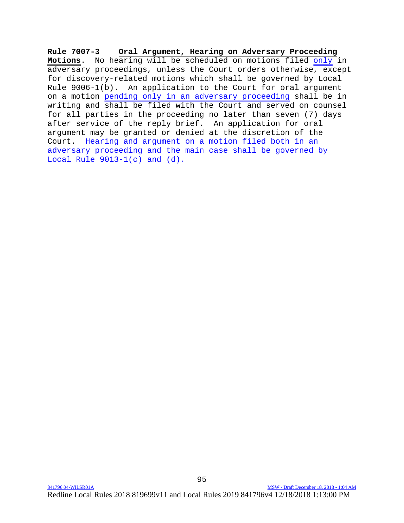**Rule 7007-3 Oral Argument, Hearing on Adversary Proceeding Motions**. No hearing will be scheduled on motions filed only in adversary proceedings, unless the Court orders otherwise, except for discovery-related motions which shall be governed by Local Rule 9006-1(b). An application to the Court for oral argument on a motion pending only in an adversary proceeding shall be in writing and shall be filed with the Court and served on counsel for all parties in the proceeding no later than seven (7) days after service of the reply brief. An application for oral argument may be granted or denied at the discretion of the Court. Hearing and argument on a motion filed both in an adversary proceeding and the main case shall be governed by Local Rule  $9013-1(c)$  and  $(d)$ .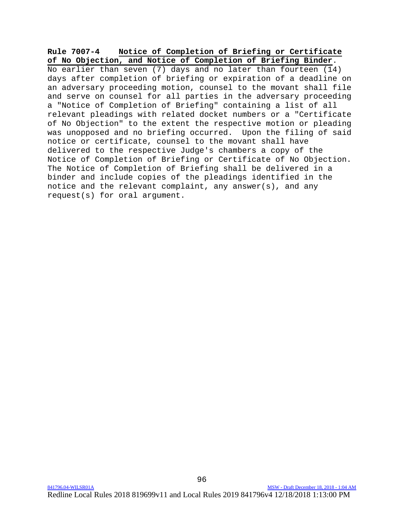# **Rule 7007-4 Notice of Completion of Briefing or Certificate of No Objection, and Notice of Completion of Briefing Binder**.

No earlier than seven (7) days and no later than fourteen  $(14)$ days after completion of briefing or expiration of a deadline on an adversary proceeding motion, counsel to the movant shall file and serve on counsel for all parties in the adversary proceeding a "Notice of Completion of Briefing" containing a list of all relevant pleadings with related docket numbers or a "Certificate of No Objection" to the extent the respective motion or pleading was unopposed and no briefing occurred. Upon the filing of said notice or certificate, counsel to the movant shall have delivered to the respective Judge's chambers a copy of the Notice of Completion of Briefing or Certificate of No Objection. The Notice of Completion of Briefing shall be delivered in a binder and include copies of the pleadings identified in the notice and the relevant complaint, any answer(s), and any request(s) for oral argument.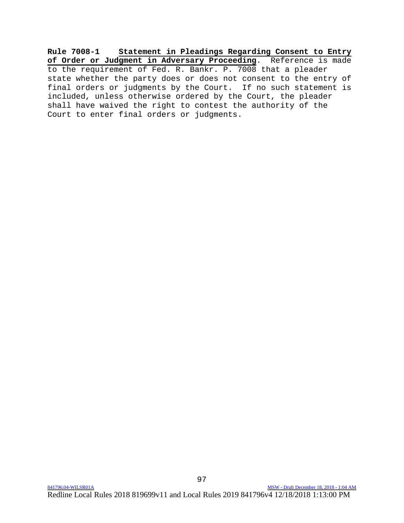**Rule 7008-1 Statement in Pleadings Regarding Consent to Entry of Order or Judgment in Adversary Proceeding**. Reference is made to the requirement of Fed. R. Bankr. P. 7008 that a pleader state whether the party does or does not consent to the entry of final orders or judgments by the Court. If no such statement is included, unless otherwise ordered by the Court, the pleader shall have waived the right to contest the authority of the Court to enter final orders or judgments.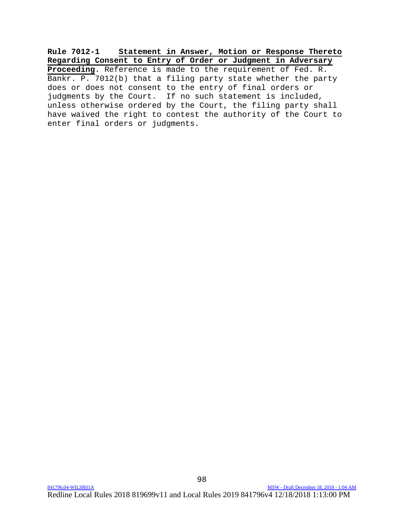**Rule 7012-1 Statement in Answer, Motion or Response Thereto Regarding Consent to Entry of Order or Judgment in Adversary Proceeding**. Reference is made to the requirement of Fed. R. Bankr. P. 7012(b) that a filing party state whether the party does or does not consent to the entry of final orders or judgments by the Court. If no such statement is included, unless otherwise ordered by the Court, the filing party shall have waived the right to contest the authority of the Court to enter final orders or judgments.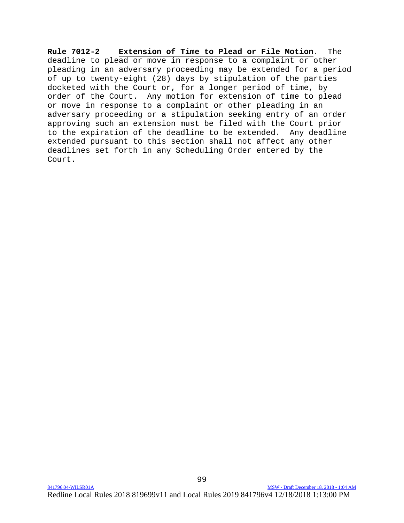**Rule 7012-2 Extension of Time to Plead or File Motion**. The deadline to plead or move in response to a complaint or other pleading in an adversary proceeding may be extended for a period of up to twenty-eight (28) days by stipulation of the parties docketed with the Court or, for a longer period of time, by order of the Court. Any motion for extension of time to plead or move in response to a complaint or other pleading in an adversary proceeding or a stipulation seeking entry of an order approving such an extension must be filed with the Court prior to the expiration of the deadline to be extended. Any deadline extended pursuant to this section shall not affect any other deadlines set forth in any Scheduling Order entered by the Court.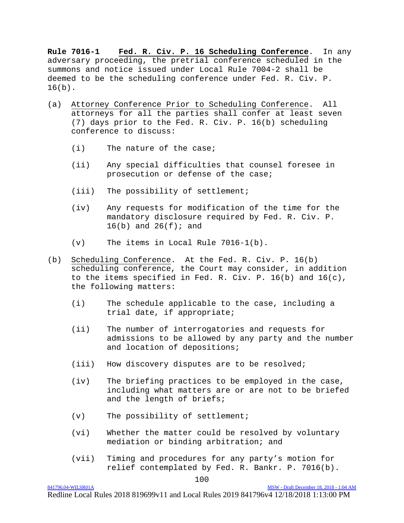**Rule 7016-1 Fed. R. Civ. P. 16 Scheduling Conference**. In any adversary proceeding, the pretrial conference scheduled in the summons and notice issued under Local Rule 7004-2 shall be deemed to be the scheduling conference under Fed. R. Civ. P.  $16(b)$ .

- (a) Attorney Conference Prior to Scheduling Conference. All attorneys for all the parties shall confer at least seven (7) days prior to the Fed. R. Civ. P. 16(b) scheduling conference to discuss:
	- (i) The nature of the case;
	- (ii) Any special difficulties that counsel foresee in prosecution or defense of the case;
	- (iii) The possibility of settlement;
	- (iv) Any requests for modification of the time for the mandatory disclosure required by Fed. R. Civ. P.  $16(b)$  and  $26(f)$ ; and
	- (v) The items in Local Rule 7016-1(b).
- (b) Scheduling Conference. At the Fed. R. Civ. P. 16(b) scheduling conference, the Court may consider, in addition to the items specified in Fed. R. Civ. P. 16(b) and 16(c), the following matters:
	- (i) The schedule applicable to the case, including a trial date, if appropriate;
	- (ii) The number of interrogatories and requests for admissions to be allowed by any party and the number and location of depositions;
	- (iii) How discovery disputes are to be resolved;
	- (iv) The briefing practices to be employed in the case, including what matters are or are not to be briefed and the length of briefs;
	- (v) The possibility of settlement;
	- (vi) Whether the matter could be resolved by voluntary mediation or binding arbitration; and
	- (vii) Timing and procedures for any party's motion for relief contemplated by Fed. R. Bankr. P. 7016(b).

841796.04-WILSR01A MSW - Draft December 18, 2018 - 1:04 AM

Redline Local Rules 2018 819699v11 and Local Rules 2019 841796v4 12/18/2018 1:13:00 PM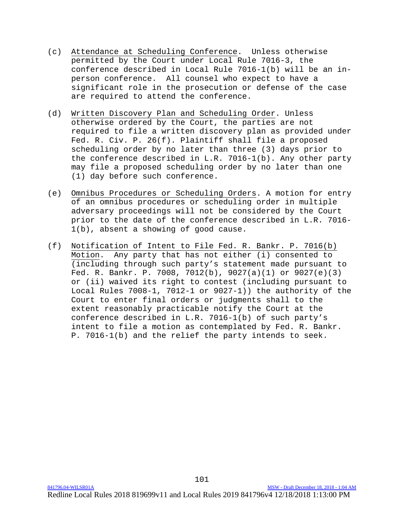- (c) Attendance at Scheduling Conference. Unless otherwise permitted by the Court under Local Rule 7016-3, the conference described in Local Rule 7016-1(b) will be an inperson conference. All counsel who expect to have a significant role in the prosecution or defense of the case are required to attend the conference.
- (d) Written Discovery Plan and Scheduling Order. Unless otherwise ordered by the Court, the parties are not required to file a written discovery plan as provided under Fed. R. Civ. P. 26(f). Plaintiff shall file a proposed scheduling order by no later than three (3) days prior to the conference described in L.R. 7016-1(b). Any other party may file a proposed scheduling order by no later than one (1) day before such conference.
- (e) Omnibus Procedures or Scheduling Orders. A motion for entry of an omnibus procedures or scheduling order in multiple adversary proceedings will not be considered by the Court prior to the date of the conference described in L.R. 7016- 1(b), absent a showing of good cause.
- (f) Notification of Intent to File Fed. R. Bankr. P. 7016(b) Motion. Any party that has not either (i) consented to (including through such party's statement made pursuant to Fed. R. Bankr. P. 7008, 7012(b), 9027(a)(1) or 9027(e)(3) or (ii) waived its right to contest (including pursuant to Local Rules 7008-1, 7012-1 or 9027-1)) the authority of the Court to enter final orders or judgments shall to the extent reasonably practicable notify the Court at the conference described in L.R. 7016-1(b) of such party's intent to file a motion as contemplated by Fed. R. Bankr. P. 7016-1(b) and the relief the party intends to seek.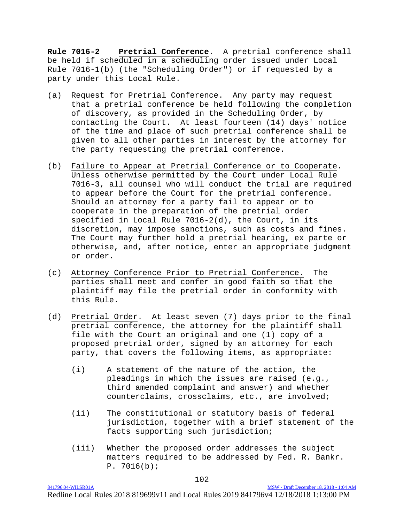**Rule 7016-2 Pretrial Conference**. A pretrial conference shall be held if scheduled in a scheduling order issued under Local Rule 7016-1(b) (the "Scheduling Order") or if requested by a party under this Local Rule.

- (a) Request for Pretrial Conference. Any party may request that a pretrial conference be held following the completion of discovery, as provided in the Scheduling Order, by contacting the Court. At least fourteen (14) days' notice of the time and place of such pretrial conference shall be given to all other parties in interest by the attorney for the party requesting the pretrial conference.
- (b) Failure to Appear at Pretrial Conference or to Cooperate. Unless otherwise permitted by the Court under Local Rule 7016-3, all counsel who will conduct the trial are required to appear before the Court for the pretrial conference. Should an attorney for a party fail to appear or to cooperate in the preparation of the pretrial order specified in Local Rule 7016-2(d), the Court, in its discretion, may impose sanctions, such as costs and fines. The Court may further hold a pretrial hearing, ex parte or otherwise, and, after notice, enter an appropriate judgment or order.
- (c) Attorney Conference Prior to Pretrial Conference. The parties shall meet and confer in good faith so that the plaintiff may file the pretrial order in conformity with this Rule.
- (d) Pretrial Order. At least seven (7) days prior to the final pretrial conference, the attorney for the plaintiff shall file with the Court an original and one (1) copy of a proposed pretrial order, signed by an attorney for each party, that covers the following items, as appropriate:
	- (i) A statement of the nature of the action, the pleadings in which the issues are raised (e.g., third amended complaint and answer) and whether counterclaims, crossclaims, etc., are involved;
	- (ii) The constitutional or statutory basis of federal jurisdiction, together with a brief statement of the facts supporting such jurisdiction;
	- (iii) Whether the proposed order addresses the subject matters required to be addressed by Fed. R. Bankr. P. 7016(b);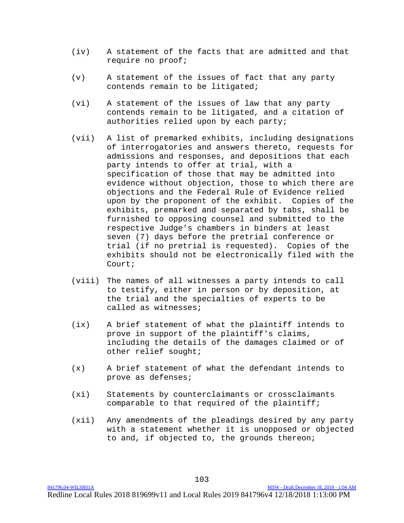- (iv) A statement of the facts that are admitted and that require no proof;
- (v) A statement of the issues of fact that any party contends remain to be litigated;
- (vi) A statement of the issues of law that any party contends remain to be litigated, and a citation of authorities relied upon by each party;
- (vii) A list of premarked exhibits, including designations of interrogatories and answers thereto, requests for admissions and responses, and depositions that each party intends to offer at trial, with a specification of those that may be admitted into evidence without objection, those to which there are objections and the Federal Rule of Evidence relied upon by the proponent of the exhibit. Copies of the exhibits, premarked and separated by tabs, shall be furnished to opposing counsel and submitted to the respective Judge's chambers in binders at least seven (7) days before the pretrial conference or trial (if no pretrial is requested). Copies of the exhibits should not be electronically filed with the Court;
- (viii) The names of all witnesses a party intends to call to testify, either in person or by deposition, at the trial and the specialties of experts to be called as witnesses;
- (ix) A brief statement of what the plaintiff intends to prove in support of the plaintiff's claims, including the details of the damages claimed or of other relief sought;
- (x) A brief statement of what the defendant intends to prove as defenses;
- (xi) Statements by counterclaimants or crossclaimants comparable to that required of the plaintiff;
- (xii) Any amendments of the pleadings desired by any party with a statement whether it is unopposed or objected to and, if objected to, the grounds thereon;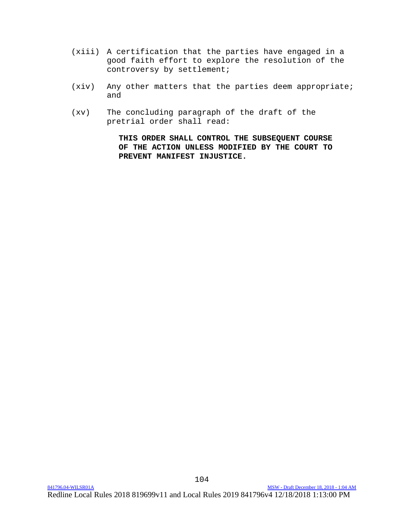- (xiii) A certification that the parties have engaged in a good faith effort to explore the resolution of the controversy by settlement;
- (xiv) Any other matters that the parties deem appropriate; and
- (xv) The concluding paragraph of the draft of the pretrial order shall read:

**THIS ORDER SHALL CONTROL THE SUBSEQUENT COURSE OF THE ACTION UNLESS MODIFIED BY THE COURT TO PREVENT MANIFEST INJUSTICE.**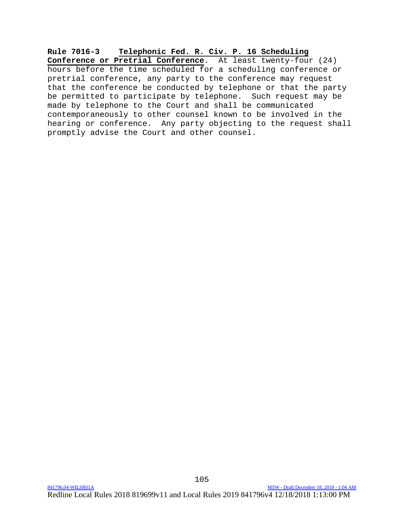**Rule 7016-3 Telephonic Fed. R. Civ. P. 16 Scheduling Conference or Pretrial Conference**. At least twenty-four (24) hours before the time scheduled for a scheduling conference or pretrial conference, any party to the conference may request that the conference be conducted by telephone or that the party be permitted to participate by telephone. Such request may be made by telephone to the Court and shall be communicated contemporaneously to other counsel known to be involved in the hearing or conference. Any party objecting to the request shall promptly advise the Court and other counsel.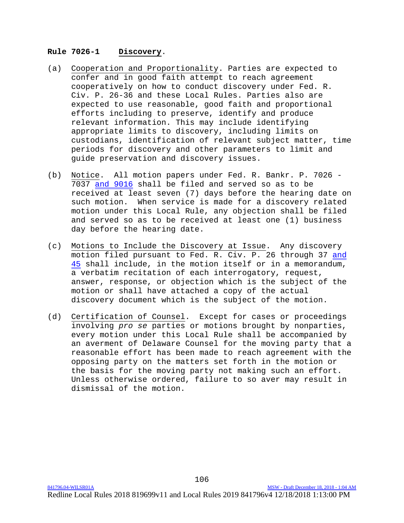#### **Rule 7026-1 Discovery**.

- (a) Cooperation and Proportionality. Parties are expected to confer and in good faith attempt to reach agreement cooperatively on how to conduct discovery under Fed. R. Civ. P. 26-36 and these Local Rules. Parties also are expected to use reasonable, good faith and proportional efforts including to preserve, identify and produce relevant information. This may include identifying appropriate limits to discovery, including limits on custodians, identification of relevant subject matter, time periods for discovery and other parameters to limit and guide preservation and discovery issues.
- (b) Notice. All motion papers under Fed. R. Bankr. P. 7026 7037 and 9016 shall be filed and served so as to be received at least seven (7) days before the hearing date on such motion. When service is made for a discovery related motion under this Local Rule, any objection shall be filed and served so as to be received at least one (1) business day before the hearing date.
- (c) Motions to Include the Discovery at Issue. Any discovery motion filed pursuant to Fed. R. Civ. P. 26 through 37 and 45 shall include, in the motion itself or in a memorandum, a verbatim recitation of each interrogatory, request, answer, response, or objection which is the subject of the motion or shall have attached a copy of the actual discovery document which is the subject of the motion.
- (d) Certification of Counsel. Except for cases or proceedings involving *pro se* parties or motions brought by nonparties, every motion under this Local Rule shall be accompanied by an averment of Delaware Counsel for the moving party that a reasonable effort has been made to reach agreement with the opposing party on the matters set forth in the motion or the basis for the moving party not making such an effort. Unless otherwise ordered, failure to so aver may result in dismissal of the motion.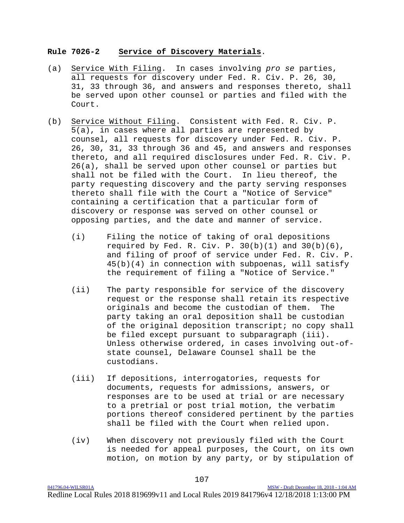### **Rule 7026-2 Service of Discovery Materials**.

- (a) Service With Filing. In cases involving *pro se* parties, all requests for discovery under Fed. R. Civ. P. 26, 30, 31, 33 through 36, and answers and responses thereto, shall be served upon other counsel or parties and filed with the Court.
- (b) Service Without Filing. Consistent with Fed. R. Civ. P. 5(a), in cases where all parties are represented by counsel, all requests for discovery under Fed. R. Civ. P. 26, 30, 31, 33 through 36 and 45, and answers and responses thereto, and all required disclosures under Fed. R. Civ. P. 26(a), shall be served upon other counsel or parties but shall not be filed with the Court. In lieu thereof, the party requesting discovery and the party serving responses thereto shall file with the Court a "Notice of Service" containing a certification that a particular form of discovery or response was served on other counsel or opposing parties, and the date and manner of service.
	- (i) Filing the notice of taking of oral depositions required by Fed. R. Civ. P.  $30(b)(1)$  and  $30(b)(6)$ , and filing of proof of service under Fed. R. Civ. P. 45(b)(4) in connection with subpoenas, will satisfy the requirement of filing a "Notice of Service."
	- (ii) The party responsible for service of the discovery request or the response shall retain its respective originals and become the custodian of them. The party taking an oral deposition shall be custodian of the original deposition transcript; no copy shall be filed except pursuant to subparagraph (iii). Unless otherwise ordered, in cases involving out-ofstate counsel, Delaware Counsel shall be the custodians.
	- (iii) If depositions, interrogatories, requests for documents, requests for admissions, answers, or responses are to be used at trial or are necessary to a pretrial or post trial motion, the verbatim portions thereof considered pertinent by the parties shall be filed with the Court when relied upon.
	- (iv) When discovery not previously filed with the Court is needed for appeal purposes, the Court, on its own motion, on motion by any party, or by stipulation of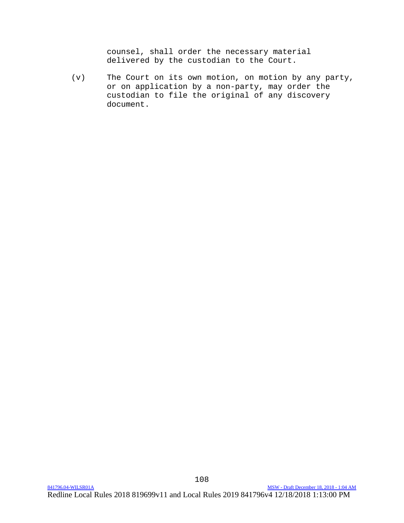counsel, shall order the necessary material delivered by the custodian to the Court.

(v) The Court on its own motion, on motion by any party, or on application by a non-party, may order the custodian to file the original of any discovery document.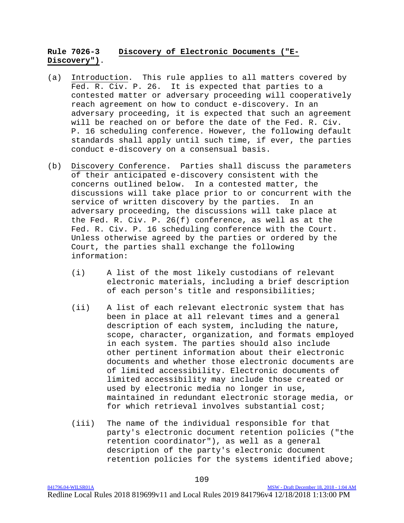# **Rule 7026-3 Discovery of Electronic Documents ("E-Discovery")**.

- (a) Introduction. This rule applies to all matters covered by Fed. R. Civ. P. 26. It is expected that parties to a contested matter or adversary proceeding will cooperatively reach agreement on how to conduct e-discovery. In an adversary proceeding, it is expected that such an agreement will be reached on or before the date of the Fed. R. Civ. P. 16 scheduling conference. However, the following default standards shall apply until such time, if ever, the parties conduct e-discovery on a consensual basis.
- (b) Discovery Conference. Parties shall discuss the parameters of their anticipated e-discovery consistent with the concerns outlined below. In a contested matter, the discussions will take place prior to or concurrent with the service of written discovery by the parties. In an adversary proceeding, the discussions will take place at the Fed. R. Civ. P. 26(f) conference, as well as at the Fed. R. Civ. P. 16 scheduling conference with the Court. Unless otherwise agreed by the parties or ordered by the Court, the parties shall exchange the following information:
	- (i) A list of the most likely custodians of relevant electronic materials, including a brief description of each person's title and responsibilities;
	- (ii) A list of each relevant electronic system that has been in place at all relevant times and a general description of each system, including the nature, scope, character, organization, and formats employed in each system. The parties should also include other pertinent information about their electronic documents and whether those electronic documents are of limited accessibility. Electronic documents of limited accessibility may include those created or used by electronic media no longer in use, maintained in redundant electronic storage media, or for which retrieval involves substantial cost;
	- (iii) The name of the individual responsible for that party's electronic document retention policies ("the retention coordinator"), as well as a general description of the party's electronic document retention policies for the systems identified above;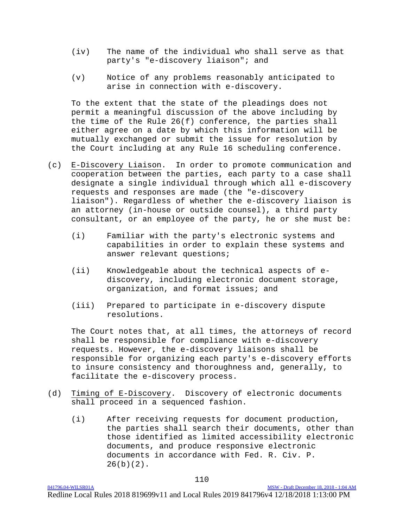- (iv) The name of the individual who shall serve as that party's "e-discovery liaison"; and
- (v) Notice of any problems reasonably anticipated to arise in connection with e-discovery.

To the extent that the state of the pleadings does not permit a meaningful discussion of the above including by the time of the Rule 26(f) conference, the parties shall either agree on a date by which this information will be mutually exchanged or submit the issue for resolution by the Court including at any Rule 16 scheduling conference.

- (c) E-Discovery Liaison. In order to promote communication and cooperation between the parties, each party to a case shall designate a single individual through which all e-discovery requests and responses are made (the "e-discovery liaison"). Regardless of whether the e-discovery liaison is an attorney (in-house or outside counsel), a third party consultant, or an employee of the party, he or she must be:
	- (i) Familiar with the party's electronic systems and capabilities in order to explain these systems and answer relevant questions;
	- (ii) Knowledgeable about the technical aspects of ediscovery, including electronic document storage, organization, and format issues; and
	- (iii) Prepared to participate in e-discovery dispute resolutions.

The Court notes that, at all times, the attorneys of record shall be responsible for compliance with e-discovery requests. However, the e-discovery liaisons shall be responsible for organizing each party's e-discovery efforts to insure consistency and thoroughness and, generally, to facilitate the e-discovery process.

- (d) Timing of E-Discovery. Discovery of electronic documents shall proceed in a sequenced fashion.
	- (i) After receiving requests for document production, the parties shall search their documents, other than those identified as limited accessibility electronic documents, and produce responsive electronic documents in accordance with Fed. R. Civ. P.  $26(b)(2)$ .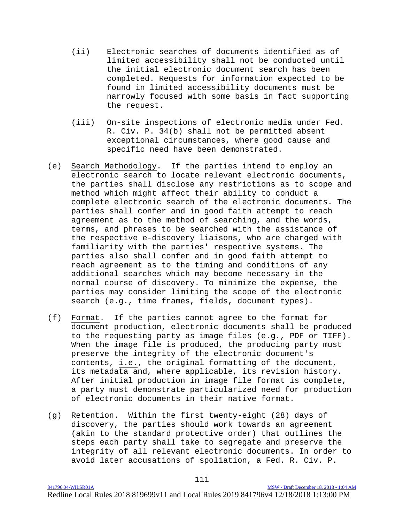- (ii) Electronic searches of documents identified as of limited accessibility shall not be conducted until the initial electronic document search has been completed. Requests for information expected to be found in limited accessibility documents must be narrowly focused with some basis in fact supporting the request.
- (iii) On-site inspections of electronic media under Fed. R. Civ. P. 34(b) shall not be permitted absent exceptional circumstances, where good cause and specific need have been demonstrated.
- (e) Search Methodology. If the parties intend to employ an electronic search to locate relevant electronic documents, the parties shall disclose any restrictions as to scope and method which might affect their ability to conduct a complete electronic search of the electronic documents. The parties shall confer and in good faith attempt to reach agreement as to the method of searching, and the words, terms, and phrases to be searched with the assistance of the respective e-discovery liaisons, who are charged with familiarity with the parties' respective systems. The parties also shall confer and in good faith attempt to reach agreement as to the timing and conditions of any additional searches which may become necessary in the normal course of discovery. To minimize the expense, the parties may consider limiting the scope of the electronic search (e.g., time frames, fields, document types).
- (f) Format. If the parties cannot agree to the format for document production, electronic documents shall be produced to the requesting party as image files (e.g., PDF or TIFF). When the image file is produced, the producing party must preserve the integrity of the electronic document's contents, i.e., the original formatting of the document, its metadata and, where applicable, its revision history. After initial production in image file format is complete, a party must demonstrate particularized need for production of electronic documents in their native format.
- (g) Retention. Within the first twenty-eight (28) days of discovery, the parties should work towards an agreement (akin to the standard protective order) that outlines the steps each party shall take to segregate and preserve the integrity of all relevant electronic documents. In order to avoid later accusations of spoliation, a Fed. R. Civ. P.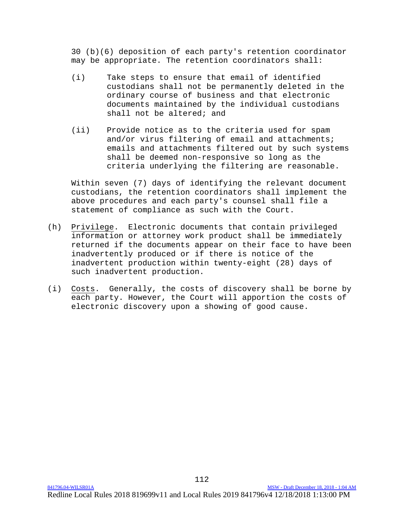30 (b)(6) deposition of each party's retention coordinator may be appropriate. The retention coordinators shall:

- (i) Take steps to ensure that email of identified custodians shall not be permanently deleted in the ordinary course of business and that electronic documents maintained by the individual custodians shall not be altered; and
- (ii) Provide notice as to the criteria used for spam and/or virus filtering of email and attachments; emails and attachments filtered out by such systems shall be deemed non-responsive so long as the criteria underlying the filtering are reasonable.

Within seven (7) days of identifying the relevant document custodians, the retention coordinators shall implement the above procedures and each party's counsel shall file a statement of compliance as such with the Court.

- (h) Privilege. Electronic documents that contain privileged information or attorney work product shall be immediately returned if the documents appear on their face to have been inadvertently produced or if there is notice of the inadvertent production within twenty-eight (28) days of such inadvertent production.
- (i) Costs. Generally, the costs of discovery shall be borne by each party. However, the Court will apportion the costs of electronic discovery upon a showing of good cause.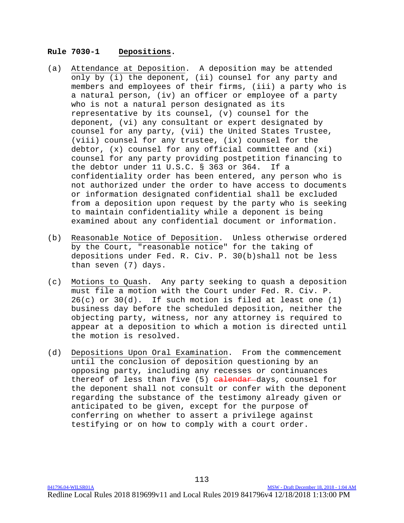### **Rule 7030-1 Depositions.**

- (a) Attendance at Deposition. A deposition may be attended only by (i) the deponent, (ii) counsel for any party and members and employees of their firms, (iii) a party who is a natural person, (iv) an officer or employee of a party who is not a natural person designated as its representative by its counsel, (v) counsel for the deponent, (vi) any consultant or expert designated by counsel for any party, (vii) the United States Trustee, (viii) counsel for any trustee, (ix) counsel for the debtor, (x) counsel for any official committee and (xi) counsel for any party providing postpetition financing to<br>the debtor under 11 U.S.C. § 363 or 364. If a the debtor under  $11$  U.S.C. § 363 or 364. confidentiality order has been entered, any person who is not authorized under the order to have access to documents or information designated confidential shall be excluded from a deposition upon request by the party who is seeking to maintain confidentiality while a deponent is being examined about any confidential document or information.
- (b) Reasonable Notice of Deposition. Unless otherwise ordered by the Court, "reasonable notice" for the taking of depositions under Fed. R. Civ. P. 30(b)shall not be less than seven (7) days.
- (c) Motions to Quash. Any party seeking to quash a deposition must file a motion with the Court under Fed. R. Civ. P. 26(c) or 30(d). If such motion is filed at least one (1) business day before the scheduled deposition, neither the objecting party, witness, nor any attorney is required to appear at a deposition to which a motion is directed until the motion is resolved.
- (d) Depositions Upon Oral Examination. From the commencement until the conclusion of deposition questioning by an opposing party, including any recesses or continuances thereof of less than five (5) calendar days, counsel for the deponent shall not consult or confer with the deponent regarding the substance of the testimony already given or anticipated to be given, except for the purpose of conferring on whether to assert a privilege against testifying or on how to comply with a court order.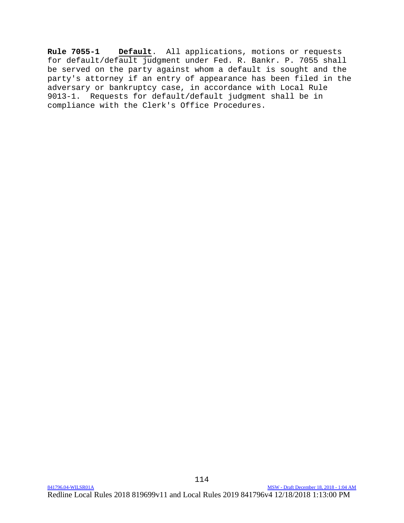**Rule 7055-1 Default**. All applications, motions or requests for default/default judgment under Fed. R. Bankr. P. 7055 shall be served on the party against whom a default is sought and the party's attorney if an entry of appearance has been filed in the adversary or bankruptcy case, in accordance with Local Rule 9013-1. Requests for default/default judgment shall be in compliance with the Clerk's Office Procedures.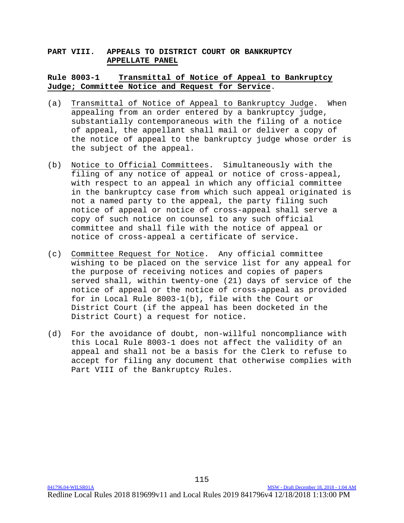## **PART VIII. APPEALS TO DISTRICT COURT OR BANKRUPTCY APPELLATE PANEL**

## **Rule 8003-1 Transmittal of Notice of Appeal to Bankruptcy Judge; Committee Notice and Request for Service**.

- (a) Transmittal of Notice of Appeal to Bankruptcy Judge. When appealing from an order entered by a bankruptcy judge, substantially contemporaneous with the filing of a notice of appeal, the appellant shall mail or deliver a copy of the notice of appeal to the bankruptcy judge whose order is the subject of the appeal.
- (b) Notice to Official Committees. Simultaneously with the filing of any notice of appeal or notice of cross-appeal, with respect to an appeal in which any official committee in the bankruptcy case from which such appeal originated is not a named party to the appeal, the party filing such notice of appeal or notice of cross-appeal shall serve a copy of such notice on counsel to any such official committee and shall file with the notice of appeal or notice of cross-appeal a certificate of service.
- (c) Committee Request for Notice. Any official committee wishing to be placed on the service list for any appeal for the purpose of receiving notices and copies of papers served shall, within twenty-one (21) days of service of the notice of appeal or the notice of cross-appeal as provided for in Local Rule 8003-1(b), file with the Court or District Court (if the appeal has been docketed in the District Court) a request for notice.
- (d) For the avoidance of doubt, non-willful noncompliance with this Local Rule 8003-1 does not affect the validity of an appeal and shall not be a basis for the Clerk to refuse to accept for filing any document that otherwise complies with Part VIII of the Bankruptcy Rules.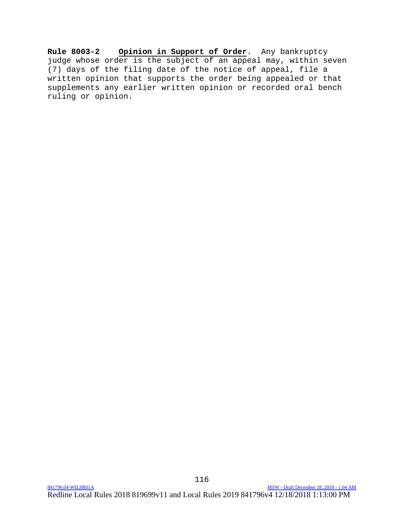**Rule 8003-2 Opinion in Support of Order**. Any bankruptcy judge whose order is the subject of an appeal may, within seven (7) days of the filing date of the notice of appeal, file a written opinion that supports the order being appealed or that supplements any earlier written opinion or recorded oral bench ruling or opinion.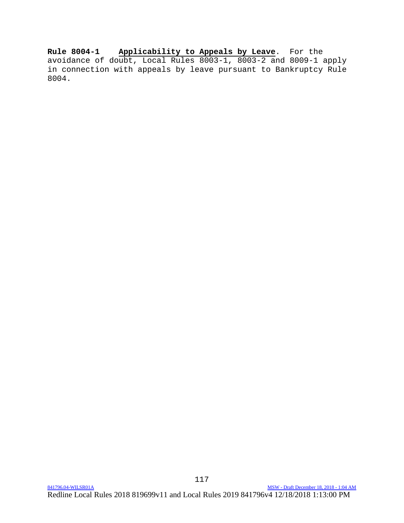**Rule 8004-1 Applicability to Appeals by Leave**. For the avoidance of doubt, Local Rules 8003-1, 8003-2 and 8009-1 apply in connection with appeals by leave pursuant to Bankruptcy Rule 8004.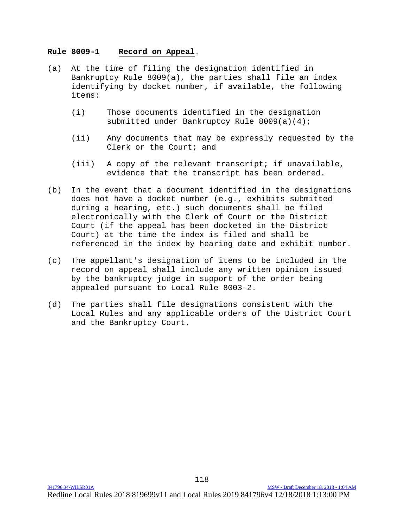## **Rule 8009-1 Record on Appeal**.

- (a) At the time of filing the designation identified in Bankruptcy Rule 8009(a), the parties shall file an index identifying by docket number, if available, the following items:
	- (i) Those documents identified in the designation submitted under Bankruptcy Rule 8009(a)(4);
	- (ii) Any documents that may be expressly requested by the Clerk or the Court; and
	- (iii) A copy of the relevant transcript; if unavailable, evidence that the transcript has been ordered.
- (b) In the event that a document identified in the designations does not have a docket number (e.g., exhibits submitted during a hearing, etc.) such documents shall be filed electronically with the Clerk of Court or the District Court (if the appeal has been docketed in the District Court) at the time the index is filed and shall be referenced in the index by hearing date and exhibit number.
- (c) The appellant's designation of items to be included in the record on appeal shall include any written opinion issued by the bankruptcy judge in support of the order being appealed pursuant to Local Rule 8003-2.
- (d) The parties shall file designations consistent with the Local Rules and any applicable orders of the District Court and the Bankruptcy Court.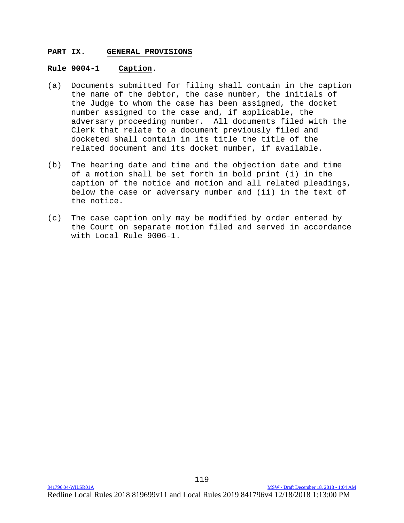### **PART IX. GENERAL PROVISIONS**

## **Rule 9004-1 Caption**.

- (a) Documents submitted for filing shall contain in the caption the name of the debtor, the case number, the initials of the Judge to whom the case has been assigned, the docket number assigned to the case and, if applicable, the adversary proceeding number. All documents filed with the Clerk that relate to a document previously filed and docketed shall contain in its title the title of the related document and its docket number, if available.
- (b) The hearing date and time and the objection date and time of a motion shall be set forth in bold print (i) in the caption of the notice and motion and all related pleadings, below the case or adversary number and (ii) in the text of the notice.
- (c) The case caption only may be modified by order entered by the Court on separate motion filed and served in accordance with Local Rule 9006-1.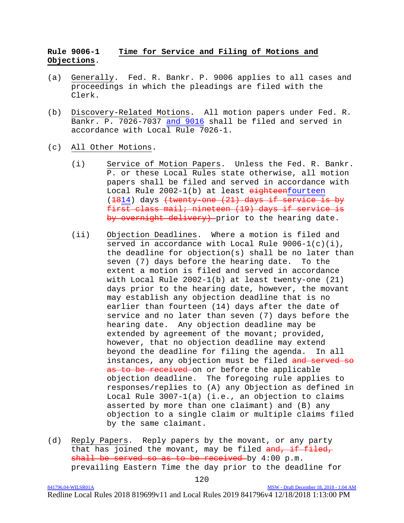# **Rule 9006-1 Time for Service and Filing of Motions and Objections**.

- (a) Generally. Fed. R. Bankr. P. 9006 applies to all cases and proceedings in which the pleadings are filed with the Clerk.
- (b) Discovery-Related Motions. All motion papers under Fed. R. Bankr. P. 7026-7037 and 9016 shall be filed and served in accordance with Local Rule 7026-1.
- (c) All Other Motions.
	- (i) Service of Motion Papers. Unless the Fed. R. Bankr. P. or these Local Rules state otherwise, all motion papers shall be filed and served in accordance with Local Rule 2002-1(b) at least eighteenfourteen (1814) days (twenty-one (21) days if service is by first class mail; nineteen (19) days if service is by overnight delivery) prior to the hearing date.
	- (ii) Objection Deadlines. Where a motion is filed and served in accordance with Local Rule  $9006-1(c)(i)$ , the deadline for objection(s) shall be no later than seven (7) days before the hearing date. To the extent a motion is filed and served in accordance with Local Rule 2002-1(b) at least twenty-one (21) days prior to the hearing date, however, the movant may establish any objection deadline that is no earlier than fourteen (14) days after the date of service and no later than seven (7) days before the hearing date. Any objection deadline may be extended by agreement of the movant; provided, however, that no objection deadline may extend<br>bevond the deadline for filing the agenda. In all beyond the deadline for filing the agenda. instances, any objection must be filed and served so as to be received on or before the applicable objection deadline. The foregoing rule applies to responses/replies to (A) any Objection as defined in Local Rule 3007-1(a) (i.e., an objection to claims asserted by more than one claimant) and (B) any objection to a single claim or multiple claims filed by the same claimant.
- (d) Reply Papers. Reply papers by the movant, or any party that has joined the movant, may be filed and, if filed, shall be served so as to be received by 4:00 p.m. prevailing Eastern Time the day prior to the deadline for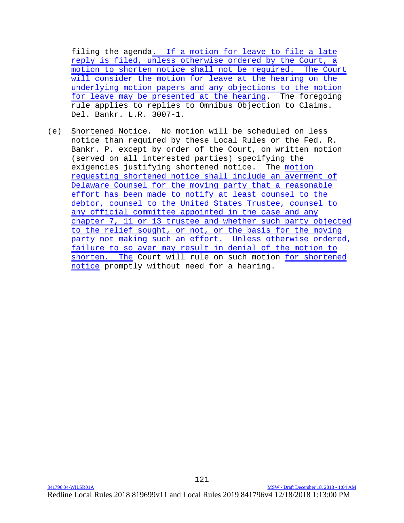filing the agenda. If a motion for leave to file a late reply is filed, unless otherwise ordered by the Court, a motion to shorten notice shall not be required. The Court will consider the motion for leave at the hearing on the underlying motion papers and any objections to the motion for leave may be presented at the hearing. The foregoing rule applies to replies to Omnibus Objection to Claims. Del. Bankr. L.R. 3007-1.

(e) Shortened Notice. No motion will be scheduled on less notice than required by these Local Rules or the Fed. R. Bankr. P. except by order of the Court, on written motion (served on all interested parties) specifying the exigencies justifying shortened notice. The motion requesting shortened notice shall include an averment of Delaware Counsel for the moving party that a reasonable effort has been made to notify at least counsel to the debtor, counsel to the United States Trustee, counsel to any official committee appointed in the case and any chapter 7, 11 or 13 trustee and whether such party objected to the relief sought, or not, or the basis for the moving party not making such an effort. Unless otherwise ordered, failure to so aver may result in denial of the motion to shorten. The Court will rule on such motion for shortened notice promptly without need for a hearing.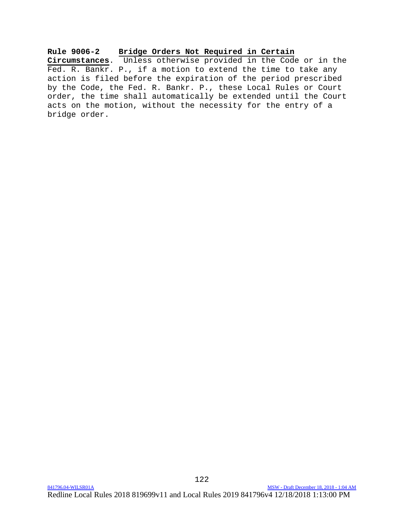**Rule 9006-2 Bridge Orders Not Required in Certain Circumstances**. Unless otherwise provided in the Code or in the Fed. R. Bankr. P., if a motion to extend the time to take any action is filed before the expiration of the period prescribed by the Code, the Fed. R. Bankr. P., these Local Rules or Court order, the time shall automatically be extended until the Court acts on the motion, without the necessity for the entry of a bridge order.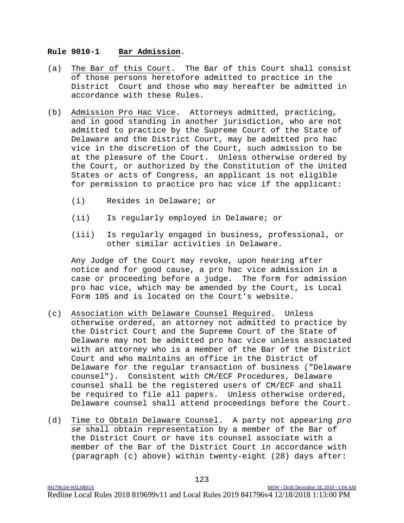## **Rule 9010-1 Bar Admission**.

- (a) The Bar of this Court. The Bar of this Court shall consist of those persons heretofore admitted to practice in the District Court and those who may hereafter be admitted in accordance with these Rules.
- (b) Admission Pro Hac Vice. Attorneys admitted, practicing, and in good standing in another jurisdiction, who are not admitted to practice by the Supreme Court of the State of Delaware and the District Court, may be admitted pro hac vice in the discretion of the Court, such admission to be at the pleasure of the Court. Unless otherwise ordered by the Court, or authorized by the Constitution of the United States or acts of Congress, an applicant is not eligible for permission to practice pro hac vice if the applicant:
	- (i) Resides in Delaware; or
	- (ii) Is regularly employed in Delaware; or
	- (iii) Is regularly engaged in business, professional, or other similar activities in Delaware.

Any Judge of the Court may revoke, upon hearing after notice and for good cause, a pro hac vice admission in a case or proceeding before a judge. The form for admission pro hac vice, which may be amended by the Court, is Local Form 105 and is located on the Court's website.

- (c) Association with Delaware Counsel Required. Unless otherwise ordered, an attorney not admitted to practice by the District Court and the Supreme Court of the State of Delaware may not be admitted pro hac vice unless associated with an attorney who is a member of the Bar of the District Court and who maintains an office in the District of Delaware for the regular transaction of business ("Delaware counsel"). Consistent with CM/ECF Procedures, Delaware counsel shall be the registered users of CM/ECF and shall be required to file all papers. Unless otherwise ordered, Delaware counsel shall attend proceedings before the Court.
- (d) Time to Obtain Delaware Counsel. A party not appearing *pro se* shall obtain representation by a member of the Bar of the District Court or have its counsel associate with a member of the Bar of the District Court in accordance with (paragraph (c) above) within twenty-eight (28) days after: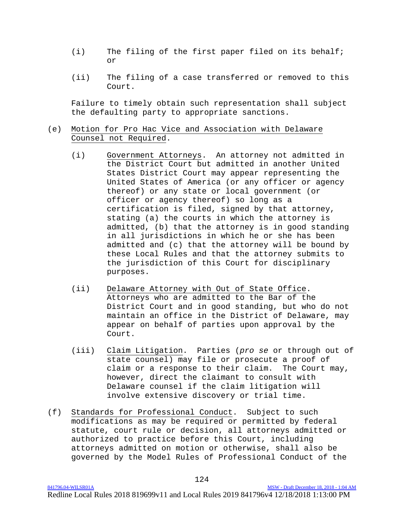- (i) The filing of the first paper filed on its behalf; or
- (ii) The filing of a case transferred or removed to this Court.

Failure to timely obtain such representation shall subject the defaulting party to appropriate sanctions.

# (e) Motion for Pro Hac Vice and Association with Delaware Counsel not Required.

- (i) Government Attorneys. An attorney not admitted in the District Court but admitted in another United States District Court may appear representing the United States of America (or any officer or agency thereof) or any state or local government (or officer or agency thereof) so long as a certification is filed, signed by that attorney, stating (a) the courts in which the attorney is admitted, (b) that the attorney is in good standing in all jurisdictions in which he or she has been admitted and (c) that the attorney will be bound by these Local Rules and that the attorney submits to the jurisdiction of this Court for disciplinary purposes.
- (ii) Delaware Attorney with Out of State Office. Attorneys who are admitted to the Bar of the District Court and in good standing, but who do not maintain an office in the District of Delaware, may appear on behalf of parties upon approval by the Court.
- (iii) Claim Litigation. Parties (*pro se* or through out of state counsel) may file or prosecute a proof of claim or a response to their claim. The Court may, however, direct the claimant to consult with Delaware counsel if the claim litigation will involve extensive discovery or trial time.
- (f) Standards for Professional Conduct. Subject to such modifications as may be required or permitted by federal statute, court rule or decision, all attorneys admitted or authorized to practice before this Court, including attorneys admitted on motion or otherwise, shall also be governed by the Model Rules of Professional Conduct of the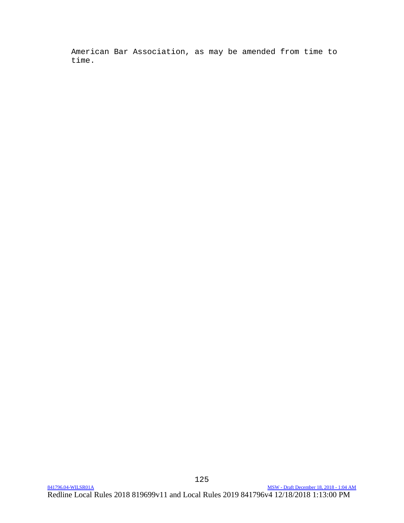American Bar Association, as may be amended from time to time.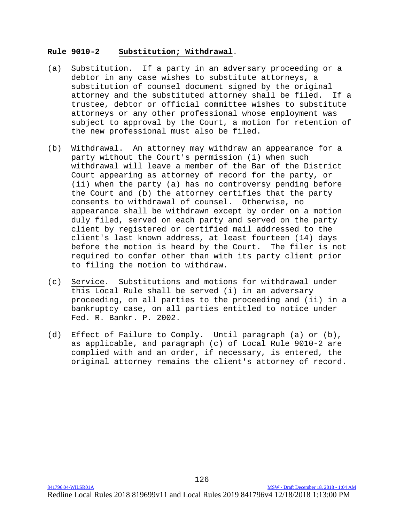#### **Rule 9010-2 Substitution; Withdrawal**.

- (a) Substitution. If a party in an adversary proceeding or a debtor in any case wishes to substitute attorneys, a substitution of counsel document signed by the original attorney and the substituted attorney shall be filed. If a trustee, debtor or official committee wishes to substitute attorneys or any other professional whose employment was subject to approval by the Court, a motion for retention of the new professional must also be filed.
- (b) Withdrawal. An attorney may withdraw an appearance for a party without the Court's permission (i) when such withdrawal will leave a member of the Bar of the District Court appearing as attorney of record for the party, or (ii) when the party (a) has no controversy pending before the Court and (b) the attorney certifies that the party consents to withdrawal of counsel. Otherwise, no appearance shall be withdrawn except by order on a motion duly filed, served on each party and served on the party client by registered or certified mail addressed to the client's last known address, at least fourteen (14) days before the motion is heard by the Court. The filer is not required to confer other than with its party client prior to filing the motion to withdraw.
- (c) Service. Substitutions and motions for withdrawal under this Local Rule shall be served (i) in an adversary proceeding, on all parties to the proceeding and (ii) in a bankruptcy case, on all parties entitled to notice under Fed. R. Bankr. P. 2002.
- (d) Effect of Failure to Comply. Until paragraph (a) or (b), as applicable, and paragraph (c) of Local Rule 9010-2 are complied with and an order, if necessary, is entered, the original attorney remains the client's attorney of record.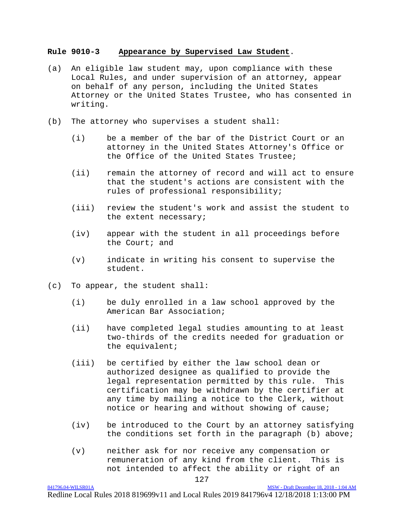#### **Rule 9010-3 Appearance by Supervised Law Student**.

- (a) An eligible law student may, upon compliance with these Local Rules, and under supervision of an attorney, appear on behalf of any person, including the United States Attorney or the United States Trustee, who has consented in writing.
- (b) The attorney who supervises a student shall:
	- (i) be a member of the bar of the District Court or an attorney in the United States Attorney's Office or the Office of the United States Trustee;
	- (ii) remain the attorney of record and will act to ensure that the student's actions are consistent with the rules of professional responsibility;
	- (iii) review the student's work and assist the student to the extent necessary;
	- (iv) appear with the student in all proceedings before the Court; and
	- (v) indicate in writing his consent to supervise the student.
- (c) To appear, the student shall:
	- (i) be duly enrolled in a law school approved by the American Bar Association;
	- (ii) have completed legal studies amounting to at least two-thirds of the credits needed for graduation or the equivalent;
	- (iii) be certified by either the law school dean or authorized designee as qualified to provide the legal representation permitted by this rule. This certification may be withdrawn by the certifier at any time by mailing a notice to the Clerk, without notice or hearing and without showing of cause;
	- (iv) be introduced to the Court by an attorney satisfying the conditions set forth in the paragraph (b) above;
	- (v) neither ask for nor receive any compensation or remuneration of any kind from the client. This is not intended to affect the ability or right of an

127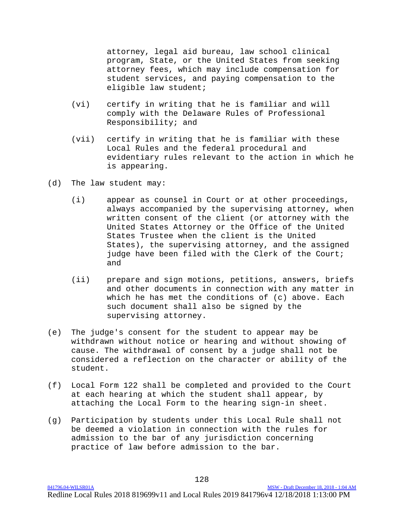attorney, legal aid bureau, law school clinical program, State, or the United States from seeking attorney fees, which may include compensation for student services, and paying compensation to the eligible law student;

- (vi) certify in writing that he is familiar and will comply with the Delaware Rules of Professional Responsibility; and
- (vii) certify in writing that he is familiar with these Local Rules and the federal procedural and evidentiary rules relevant to the action in which he is appearing.
- (d) The law student may:
	- (i) appear as counsel in Court or at other proceedings, always accompanied by the supervising attorney, when written consent of the client (or attorney with the United States Attorney or the Office of the United States Trustee when the client is the United States), the supervising attorney, and the assigned judge have been filed with the Clerk of the Court; and
	- (ii) prepare and sign motions, petitions, answers, briefs and other documents in connection with any matter in which he has met the conditions of (c) above. Each such document shall also be signed by the supervising attorney.
- (e) The judge's consent for the student to appear may be withdrawn without notice or hearing and without showing of cause. The withdrawal of consent by a judge shall not be considered a reflection on the character or ability of the student.
- (f) Local Form 122 shall be completed and provided to the Court at each hearing at which the student shall appear, by attaching the Local Form to the hearing sign-in sheet.
- (g) Participation by students under this Local Rule shall not be deemed a violation in connection with the rules for admission to the bar of any jurisdiction concerning practice of law before admission to the bar.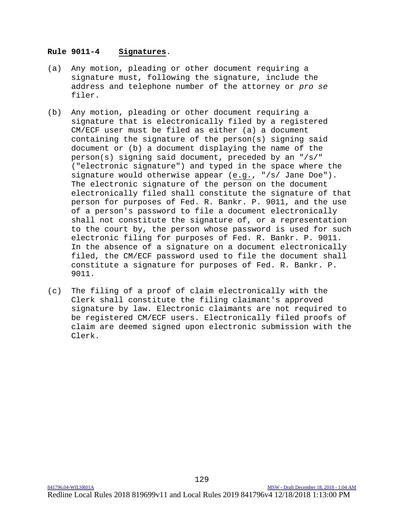### **Rule 9011-4 Signatures**.

- (a) Any motion, pleading or other document requiring a signature must, following the signature, include the address and telephone number of the attorney or *pro se* filer.
- (b) Any motion, pleading or other document requiring a signature that is electronically filed by a registered CM/ECF user must be filed as either (a) a document containing the signature of the person(s) signing said document or (b) a document displaying the name of the person(s) signing said document, preceded by an "/s/" ("electronic signature") and typed in the space where the signature would otherwise appear (e.g., "/s/ Jane Doe"). The electronic signature of the person on the document electronically filed shall constitute the signature of that person for purposes of Fed. R. Bankr. P. 9011, and the use of a person's password to file a document electronically shall not constitute the signature of, or a representation to the court by, the person whose password is used for such electronic filing for purposes of Fed. R. Bankr. P. 9011. In the absence of a signature on a document electronically filed, the CM/ECF password used to file the document shall constitute a signature for purposes of Fed. R. Bankr. P. 9011.
- (c) The filing of a proof of claim electronically with the Clerk shall constitute the filing claimant's approved signature by law. Electronic claimants are not required to be registered CM/ECF users. Electronically filed proofs of claim are deemed signed upon electronic submission with the Clerk.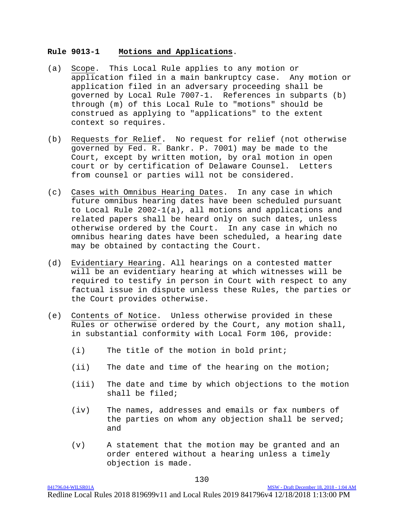#### **Rule 9013-1 Motions and Applications**.

- (a) Scope. This Local Rule applies to any motion or application filed in a main bankruptcy case. Any motion or application filed in an adversary proceeding shall be governed by Local Rule 7007-1. References in subparts (b) through (m) of this Local Rule to "motions" should be construed as applying to "applications" to the extent context so requires.
- (b) Requests for Relief. No request for relief (not otherwise governed by Fed. R. Bankr. P. 7001) may be made to the Court, except by written motion, by oral motion in open court or by certification of Delaware Counsel. Letters from counsel or parties will not be considered.
- (c) Cases with Omnibus Hearing Dates. In any case in which future omnibus hearing dates have been scheduled pursuant to Local Rule 2002-1(a), all motions and applications and related papers shall be heard only on such dates, unless otherwise ordered by the Court. In any case in which no omnibus hearing dates have been scheduled, a hearing date may be obtained by contacting the Court.
- (d) Evidentiary Hearing. All hearings on a contested matter will be an evidentiary hearing at which witnesses will be required to testify in person in Court with respect to any factual issue in dispute unless these Rules, the parties or the Court provides otherwise.
- (e) Contents of Notice. Unless otherwise provided in these Rules or otherwise ordered by the Court, any motion shall, in substantial conformity with Local Form 106, provide:
	- (i) The title of the motion in bold print;
	- (ii) The date and time of the hearing on the motion;
	- (iii) The date and time by which objections to the motion shall be filed;
	- (iv) The names, addresses and emails or fax numbers of the parties on whom any objection shall be served; and
	- (v) A statement that the motion may be granted and an order entered without a hearing unless a timely objection is made.

130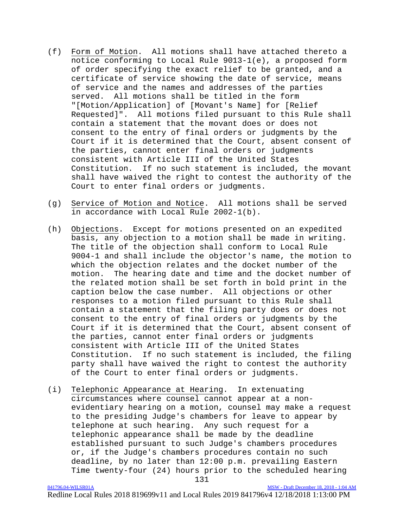- (f) Form of Motion. All motions shall have attached thereto a notice conforming to Local Rule 9013-1(e), a proposed form of order specifying the exact relief to be granted, and a certificate of service showing the date of service, means of service and the names and addresses of the parties served. All motions shall be titled in the form "[Motion/Application] of [Movant's Name] for [Relief Requested]". All motions filed pursuant to this Rule shall contain a statement that the movant does or does not consent to the entry of final orders or judgments by the Court if it is determined that the Court, absent consent of the parties, cannot enter final orders or judgments consistent with Article III of the United States Constitution. If no such statement is included, the movant shall have waived the right to contest the authority of the Court to enter final orders or judgments.
- (g) Service of Motion and Notice. All motions shall be served in accordance with Local Rule 2002-1(b).
- (h) Objections. Except for motions presented on an expedited basis, any objection to a motion shall be made in writing. The title of the objection shall conform to Local Rule 9004-1 and shall include the objector's name, the motion to which the objection relates and the docket number of the motion. The hearing date and time and the docket number of the related motion shall be set forth in bold print in the caption below the case number. All objections or other responses to a motion filed pursuant to this Rule shall contain a statement that the filing party does or does not consent to the entry of final orders or judgments by the Court if it is determined that the Court, absent consent of the parties, cannot enter final orders or judgments consistent with Article III of the United States Constitution. If no such statement is included, the filing party shall have waived the right to contest the authority of the Court to enter final orders or judgments.
- 131 (i) Telephonic Appearance at Hearing. In extenuating circumstances where counsel cannot appear at a nonevidentiary hearing on a motion, counsel may make a request to the presiding Judge's chambers for leave to appear by telephone at such hearing. Any such request for a telephonic appearance shall be made by the deadline established pursuant to such Judge's chambers procedures or, if the Judge's chambers procedures contain no such deadline, by no later than 12:00 p.m. prevailing Eastern Time twenty-four (24) hours prior to the scheduled hearing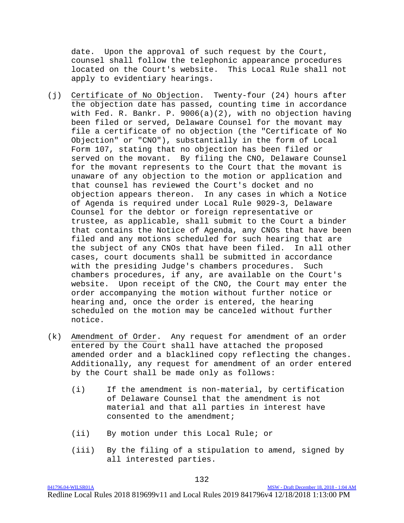date. Upon the approval of such request by the Court, counsel shall follow the telephonic appearance procedures<br>located on the Court's website. This Local Rule shall not located on the Court's website. apply to evidentiary hearings.

- (j) Certificate of No Objection. Twenty-four (24) hours after the objection date has passed, counting time in accordance with Fed. R. Bankr. P. 9006(a)(2), with no objection having been filed or served, Delaware Counsel for the movant may file a certificate of no objection (the "Certificate of No Objection" or "CNO"), substantially in the form of Local Form 107, stating that no objection has been filed or served on the movant. By filing the CNO, Delaware Counsel for the movant represents to the Court that the movant is unaware of any objection to the motion or application and that counsel has reviewed the Court's docket and no objection appears thereon. In any cases in which a Notice of Agenda is required under Local Rule 9029-3, Delaware Counsel for the debtor or foreign representative or trustee, as applicable, shall submit to the Court a binder that contains the Notice of Agenda, any CNOs that have been filed and any motions scheduled for such hearing that are the subject of any CNOs that have been filed. In all other cases, court documents shall be submitted in accordance with the presiding Judge's chambers procedures. Such chambers procedures, if any, are available on the Court's website. Upon receipt of the CNO, the Court may enter the order accompanying the motion without further notice or hearing and, once the order is entered, the hearing scheduled on the motion may be canceled without further notice.
- (k) Amendment of Order. Any request for amendment of an order entered by the Court shall have attached the proposed amended order and a blacklined copy reflecting the changes. Additionally, any request for amendment of an order entered by the Court shall be made only as follows:
	- (i) If the amendment is non-material, by certification of Delaware Counsel that the amendment is not material and that all parties in interest have consented to the amendment;
	- (ii) By motion under this Local Rule; or
	- (iii) By the filing of a stipulation to amend, signed by all interested parties.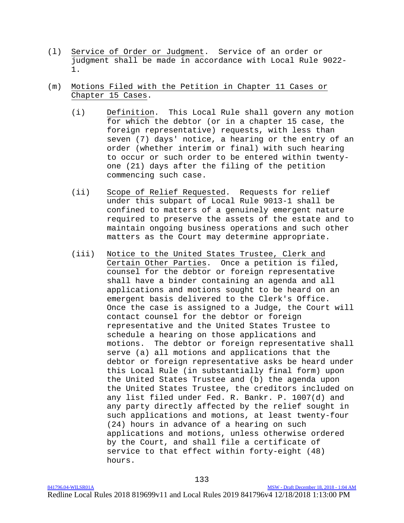(l) Service of Order or Judgment. Service of an order or judgment shall be made in accordance with Local Rule 9022- 1.

## (m) Motions Filed with the Petition in Chapter 11 Cases or Chapter 15 Cases.

- (i) Definition. This Local Rule shall govern any motion for which the debtor (or in a chapter 15 case, the foreign representative) requests, with less than seven (7) days' notice, a hearing or the entry of an order (whether interim or final) with such hearing to occur or such order to be entered within twentyone (21) days after the filing of the petition commencing such case.
- (ii) Scope of Relief Requested. Requests for relief under this subpart of Local Rule 9013-1 shall be confined to matters of a genuinely emergent nature required to preserve the assets of the estate and to maintain ongoing business operations and such other matters as the Court may determine appropriate.
- (iii) Notice to the United States Trustee, Clerk and Certain Other Parties. Once a petition is filed, counsel for the debtor or foreign representative shall have a binder containing an agenda and all applications and motions sought to be heard on an emergent basis delivered to the Clerk's Office. Once the case is assigned to a Judge, the Court will contact counsel for the debtor or foreign representative and the United States Trustee to schedule a hearing on those applications and motions. The debtor or foreign representative shall serve (a) all motions and applications that the debtor or foreign representative asks be heard under this Local Rule (in substantially final form) upon the United States Trustee and (b) the agenda upon the United States Trustee, the creditors included on any list filed under Fed. R. Bankr. P. 1007(d) and any party directly affected by the relief sought in such applications and motions, at least twenty-four (24) hours in advance of a hearing on such applications and motions, unless otherwise ordered by the Court, and shall file a certificate of service to that effect within forty-eight (48) hours.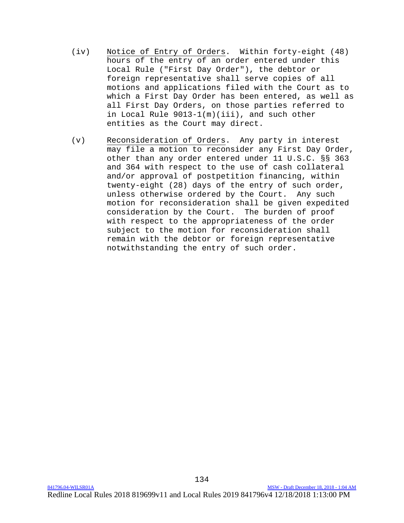- (iv) Notice of Entry of Orders. Within forty-eight (48) hours of the entry of an order entered under this Local Rule ("First Day Order"), the debtor or foreign representative shall serve copies of all motions and applications filed with the Court as to which a First Day Order has been entered, as well as all First Day Orders, on those parties referred to in Local Rule 9013-1(m)(iii), and such other entities as the Court may direct.
- (v) Reconsideration of Orders. Any party in interest may file a motion to reconsider any First Day Order, other than any order entered under 11 U.S.C. §§ 363 and 364 with respect to the use of cash collateral and/or approval of postpetition financing, within twenty-eight (28) days of the entry of such order, unless otherwise ordered by the Court. Any such motion for reconsideration shall be given expedited consideration by the Court. The burden of proof with respect to the appropriateness of the order subject to the motion for reconsideration shall remain with the debtor or foreign representative notwithstanding the entry of such order.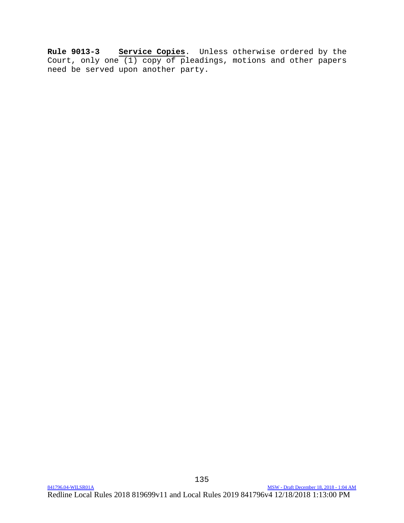**Rule 9013-3 Service Copies**. Unless otherwise ordered by the Court, only one (1) copy of pleadings, motions and other papers need be served upon another party.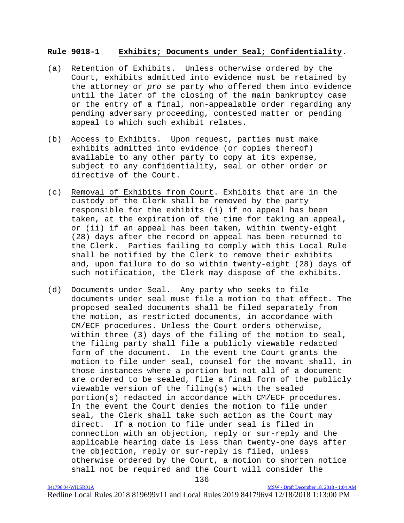## **Rule 9018-1 Exhibits; Documents under Seal; Confidentiality**.

- (a) Retention of Exhibits. Unless otherwise ordered by the Court, exhibits admitted into evidence must be retained by the attorney or *pro se* party who offered them into evidence until the later of the closing of the main bankruptcy case or the entry of a final, non-appealable order regarding any pending adversary proceeding, contested matter or pending appeal to which such exhibit relates.
- (b) Access to Exhibits. Upon request, parties must make exhibits admitted into evidence (or copies thereof) available to any other party to copy at its expense, subject to any confidentiality, seal or other order or directive of the Court.
- (c) Removal of Exhibits from Court. Exhibits that are in the custody of the Clerk shall be removed by the party responsible for the exhibits (i) if no appeal has been taken, at the expiration of the time for taking an appeal, or (ii) if an appeal has been taken, within twenty-eight (28) days after the record on appeal has been returned to the Clerk. Parties failing to comply with this Local Rule shall be notified by the Clerk to remove their exhibits and, upon failure to do so within twenty-eight (28) days of such notification, the Clerk may dispose of the exhibits.
- (d) Documents under Seal. Any party who seeks to file documents under seal must file a motion to that effect. The proposed sealed documents shall be filed separately from the motion, as restricted documents, in accordance with CM/ECF procedures. Unless the Court orders otherwise, within three (3) days of the filing of the motion to seal, the filing party shall file a publicly viewable redacted form of the document. In the event the Court grants the motion to file under seal, counsel for the movant shall, in those instances where a portion but not all of a document are ordered to be sealed, file a final form of the publicly viewable version of the filing(s) with the sealed portion(s) redacted in accordance with CM/ECF procedures. In the event the Court denies the motion to file under seal, the Clerk shall take such action as the Court may<br>direct. If a motion to file under seal is filed in If a motion to file under seal is filed in connection with an objection, reply or sur-reply and the applicable hearing date is less than twenty-one days after the objection, reply or sur-reply is filed, unless otherwise ordered by the Court, a motion to shorten notice shall not be required and the Court will consider the

136

841796.04-WILSR01A MSW - Draft December 18, 2018 - 1:04 AM

Redline Local Rules 2018 819699v11 and Local Rules 2019 841796v4 12/18/2018 1:13:00 PM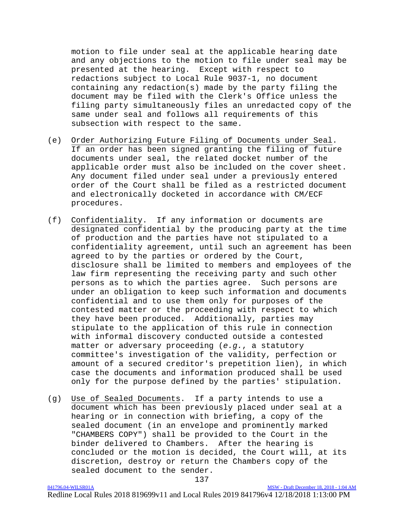motion to file under seal at the applicable hearing date and any objections to the motion to file under seal may be presented at the hearing. Except with respect to redactions subject to Local Rule 9037-1, no document containing any redaction(s) made by the party filing the document may be filed with the Clerk's Office unless the filing party simultaneously files an unredacted copy of the same under seal and follows all requirements of this subsection with respect to the same.

- (e) Order Authorizing Future Filing of Documents under Seal. If an order has been signed granting the filing of future documents under seal, the related docket number of the applicable order must also be included on the cover sheet. Any document filed under seal under a previously entered order of the Court shall be filed as a restricted document and electronically docketed in accordance with CM/ECF procedures.
- (f) Confidentiality. If any information or documents are designated confidential by the producing party at the time of production and the parties have not stipulated to a confidentiality agreement, until such an agreement has been agreed to by the parties or ordered by the Court, disclosure shall be limited to members and employees of the law firm representing the receiving party and such other persons as to which the parties agree. Such persons are under an obligation to keep such information and documents confidential and to use them only for purposes of the contested matter or the proceeding with respect to which they have been produced. Additionally, parties may stipulate to the application of this rule in connection with informal discovery conducted outside a contested matter or adversary proceeding (*e.g.*, a statutory committee's investigation of the validity, perfection or amount of a secured creditor's prepetition lien), in which case the documents and information produced shall be used only for the purpose defined by the parties' stipulation.
- 137 (g) Use of Sealed Documents. If a party intends to use a document which has been previously placed under seal at a hearing or in connection with briefing, a copy of the sealed document (in an envelope and prominently marked "CHAMBERS COPY") shall be provided to the Court in the binder delivered to Chambers. After the hearing is concluded or the motion is decided, the Court will, at its discretion, destroy or return the Chambers copy of the sealed document to the sender.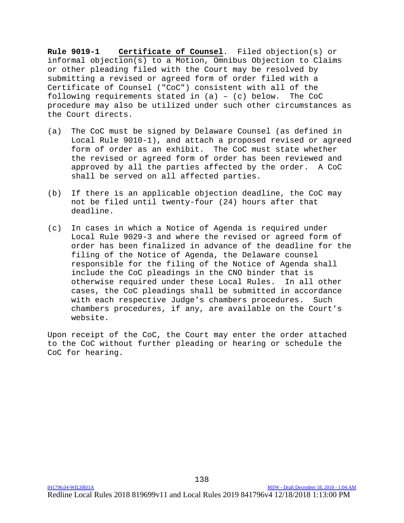**Rule 9019-1 Certificate of Counsel**. Filed objection(s) or informal objection(s) to a Motion, Omnibus Objection to Claims or other pleading filed with the Court may be resolved by submitting a revised or agreed form of order filed with a Certificate of Counsel ("CoC") consistent with all of the<br>following requirements stated in  $(a) - (c)$  below. The CoC following requirements stated in  $(a) - (c)$  below. procedure may also be utilized under such other circumstances as the Court directs.

- (a) The CoC must be signed by Delaware Counsel (as defined in Local Rule 9010-1), and attach a proposed revised or agreed form of order as an exhibit. The CoC must state whether the revised or agreed form of order has been reviewed and approved by all the parties affected by the order. A CoC shall be served on all affected parties.
- (b) If there is an applicable objection deadline, the CoC may not be filed until twenty-four (24) hours after that deadline.
- (c) In cases in which a Notice of Agenda is required under Local Rule 9029-3 and where the revised or agreed form of order has been finalized in advance of the deadline for the filing of the Notice of Agenda, the Delaware counsel responsible for the filing of the Notice of Agenda shall include the CoC pleadings in the CNO binder that is otherwise required under these Local Rules. In all other cases, the CoC pleadings shall be submitted in accordance with each respective Judge's chambers procedures. Such chambers procedures, if any, are available on the Court's website.

Upon receipt of the CoC, the Court may enter the order attached to the CoC without further pleading or hearing or schedule the CoC for hearing.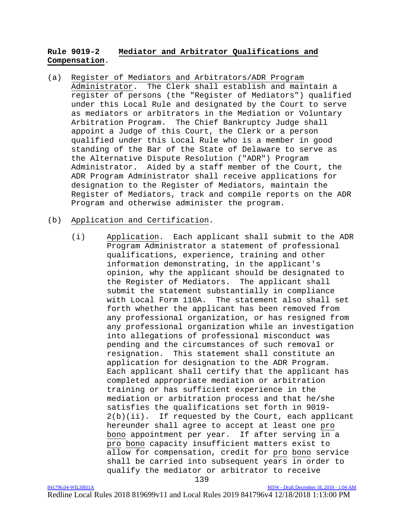# **Rule 9019-2 Mediator and Arbitrator Qualifications and Compensation**.

- (a) Register of Mediators and Arbitrators/ADR Program Administrator. The Clerk shall establish and maintain a register of persons (the "Register of Mediators") qualified under this Local Rule and designated by the Court to serve as mediators or arbitrators in the Mediation or Voluntary Arbitration Program. The Chief Bankruptcy Judge shall appoint a Judge of this Court, the Clerk or a person qualified under this Local Rule who is a member in good standing of the Bar of the State of Delaware to serve as the Alternative Dispute Resolution ("ADR") Program Administrator. Aided by a staff member of the Court, the ADR Program Administrator shall receive applications for designation to the Register of Mediators, maintain the Register of Mediators, track and compile reports on the ADR Program and otherwise administer the program.
- (b) Application and Certification.
	- (i) Application. Each applicant shall submit to the ADR Program Administrator a statement of professional qualifications, experience, training and other information demonstrating, in the applicant's opinion, why the applicant should be designated to the Register of Mediators. The applicant shall submit the statement substantially in compliance with Local Form 110A. The statement also shall set forth whether the applicant has been removed from any professional organization, or has resigned from any professional organization while an investigation into allegations of professional misconduct was pending and the circumstances of such removal or resignation. This statement shall constitute an application for designation to the ADR Program. Each applicant shall certify that the applicant has completed appropriate mediation or arbitration training or has sufficient experience in the mediation or arbitration process and that he/she satisfies the qualifications set forth in 9019-  $2(b)(ii)$ . If requested by the Court, each applicant hereunder shall agree to accept at least one pro bono appointment per year. If after serving in a pro bono capacity insufficient matters exist to allow for compensation, credit for pro bono service shall be carried into subsequent years in order to qualify the mediator or arbitrator to receive

139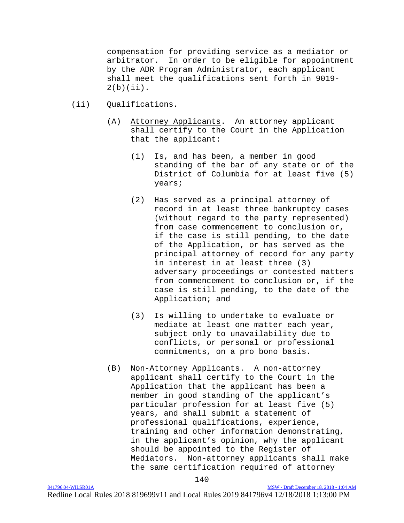compensation for providing service as a mediator or arbitrator. In order to be eligible for appointment by the ADR Program Administrator, each applicant shall meet the qualifications sent forth in 9019-  $2(b)(ii)$ .

- (ii) Qualifications.
	- (A) Attorney Applicants. An attorney applicant shall certify to the Court in the Application that the applicant:
		- (1) Is, and has been, a member in good standing of the bar of any state or of the District of Columbia for at least five (5) years;
		- (2) Has served as a principal attorney of record in at least three bankruptcy cases (without regard to the party represented) from case commencement to conclusion or, if the case is still pending, to the date of the Application, or has served as the principal attorney of record for any party in interest in at least three (3) adversary proceedings or contested matters from commencement to conclusion or, if the case is still pending, to the date of the Application; and
		- (3) Is willing to undertake to evaluate or mediate at least one matter each year, subject only to unavailability due to conflicts, or personal or professional commitments, on a pro bono basis.
	- (B) Non-Attorney Applicants. A non-attorney applicant shall certify to the Court in the Application that the applicant has been a member in good standing of the applicant's particular profession for at least five (5) years, and shall submit a statement of professional qualifications, experience, training and other information demonstrating, in the applicant's opinion, why the applicant should be appointed to the Register of Mediators. Non-attorney applicants shall make the same certification required of attorney

140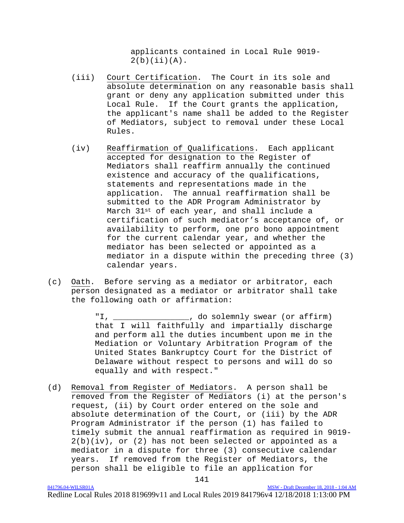applicants contained in Local Rule 9019-  $2(b)(ii)(A).$ 

- (iii) Court Certification. The Court in its sole and absolute determination on any reasonable basis shall grant or deny any application submitted under this Local Rule. If the Court grants the application, the applicant's name shall be added to the Register of Mediators, subject to removal under these Local Rules.
- (iv) Reaffirmation of Qualifications. Each applicant accepted for designation to the Register of Mediators shall reaffirm annually the continued existence and accuracy of the qualifications, statements and representations made in the application. The annual reaffirmation shall be submitted to the ADR Program Administrator by March 31st of each year, and shall include a certification of such mediator's acceptance of, or availability to perform, one pro bono appointment for the current calendar year, and whether the mediator has been selected or appointed as a mediator in a dispute within the preceding three (3) calendar years.
- (c) Oath. Before serving as a mediator or arbitrator, each person designated as a mediator or arbitrator shall take the following oath or affirmation:

"I,  $\sim$  . do solemnly swear (or affirm) that I will faithfully and impartially discharge and perform all the duties incumbent upon me in the Mediation or Voluntary Arbitration Program of the United States Bankruptcy Court for the District of Delaware without respect to persons and will do so equally and with respect."

(d) Removal from Register of Mediators. A person shall be removed from the Register of Mediators (i) at the person's request, (ii) by Court order entered on the sole and absolute determination of the Court, or (iii) by the ADR Program Administrator if the person (1) has failed to timely submit the annual reaffirmation as required in 9019-  $2(b)(iv)$ , or (2) has not been selected or appointed as a mediator in a dispute for three (3) consecutive calendar years. If removed from the Register of Mediators, the person shall be eligible to file an application for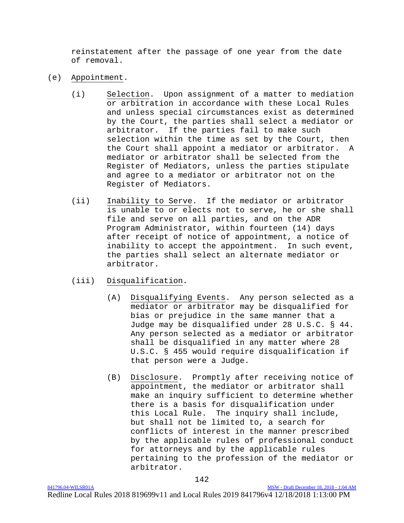reinstatement after the passage of one year from the date of removal.

- (e) Appointment.
	- (i) Selection. Upon assignment of a matter to mediation or arbitration in accordance with these Local Rules and unless special circumstances exist as determined by the Court, the parties shall select a mediator or arbitrator. If the parties fail to make such selection within the time as set by the Court, then the Court shall appoint a mediator or arbitrator. A mediator or arbitrator shall be selected from the Register of Mediators, unless the parties stipulate and agree to a mediator or arbitrator not on the Register of Mediators.
	- (ii) Inability to Serve. If the mediator or arbitrator is unable to or elects not to serve, he or she shall file and serve on all parties, and on the ADR Program Administrator, within fourteen (14) days after receipt of notice of appointment, a notice of inability to accept the appointment. In such event, the parties shall select an alternate mediator or arbitrator.
	- (iii) Disqualification.
		- (A) Disqualifying Events. Any person selected as a mediator or arbitrator may be disqualified for bias or prejudice in the same manner that a Judge may be disqualified under 28 U.S.C. § 44. Any person selected as a mediator or arbitrator shall be disqualified in any matter where 28 U.S.C. § 455 would require disqualification if that person were a Judge.
		- (B) Disclosure. Promptly after receiving notice of appointment, the mediator or arbitrator shall make an inquiry sufficient to determine whether there is a basis for disqualification under this Local Rule. The inquiry shall include, but shall not be limited to, a search for conflicts of interest in the manner prescribed by the applicable rules of professional conduct for attorneys and by the applicable rules pertaining to the profession of the mediator or arbitrator.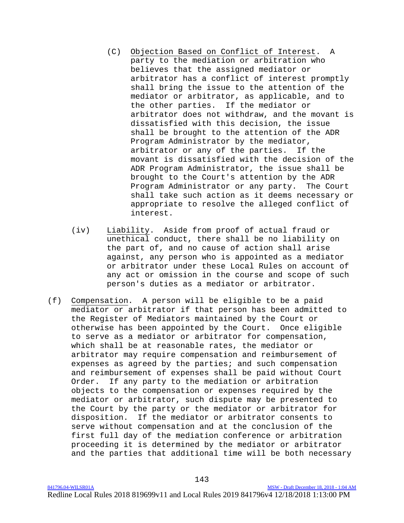- (C) Objection Based on Conflict of Interest. A party to the mediation or arbitration who believes that the assigned mediator or arbitrator has a conflict of interest promptly shall bring the issue to the attention of the mediator or arbitrator, as applicable, and to the other parties. If the mediator or arbitrator does not withdraw, and the movant is dissatisfied with this decision, the issue shall be brought to the attention of the ADR Program Administrator by the mediator, arbitrator or any of the parties. If the movant is dissatisfied with the decision of the ADR Program Administrator, the issue shall be brought to the Court's attention by the ADR Program Administrator or any party. The Court shall take such action as it deems necessary or appropriate to resolve the alleged conflict of interest.
- (iv) Liability. Aside from proof of actual fraud or unethical conduct, there shall be no liability on the part of, and no cause of action shall arise against, any person who is appointed as a mediator or arbitrator under these Local Rules on account of any act or omission in the course and scope of such person's duties as a mediator or arbitrator.
- (f) Compensation. A person will be eligible to be a paid mediator or arbitrator if that person has been admitted to the Register of Mediators maintained by the Court or otherwise has been appointed by the Court. Once eligible to serve as a mediator or arbitrator for compensation, which shall be at reasonable rates, the mediator or arbitrator may require compensation and reimbursement of expenses as agreed by the parties; and such compensation and reimbursement of expenses shall be paid without Court Order. If any party to the mediation or arbitration objects to the compensation or expenses required by the mediator or arbitrator, such dispute may be presented to the Court by the party or the mediator or arbitrator for disposition. If the mediator or arbitrator consents to serve without compensation and at the conclusion of the first full day of the mediation conference or arbitration proceeding it is determined by the mediator or arbitrator and the parties that additional time will be both necessary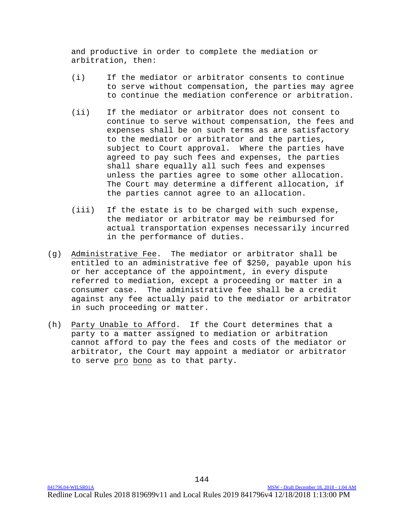and productive in order to complete the mediation or arbitration, then:

- (i) If the mediator or arbitrator consents to continue to serve without compensation, the parties may agree to continue the mediation conference or arbitration.
- (ii) If the mediator or arbitrator does not consent to continue to serve without compensation, the fees and expenses shall be on such terms as are satisfactory to the mediator or arbitrator and the parties, subject to Court approval. Where the parties have agreed to pay such fees and expenses, the parties shall share equally all such fees and expenses unless the parties agree to some other allocation. The Court may determine a different allocation, if the parties cannot agree to an allocation.
- (iii) If the estate is to be charged with such expense, the mediator or arbitrator may be reimbursed for actual transportation expenses necessarily incurred in the performance of duties.
- (g) Administrative Fee. The mediator or arbitrator shall be entitled to an administrative fee of \$250, payable upon his or her acceptance of the appointment, in every dispute referred to mediation, except a proceeding or matter in a consumer case. The administrative fee shall be a credit against any fee actually paid to the mediator or arbitrator in such proceeding or matter.
- (h) Party Unable to Afford. If the Court determines that a party to a matter assigned to mediation or arbitration cannot afford to pay the fees and costs of the mediator or arbitrator, the Court may appoint a mediator or arbitrator to serve pro bono as to that party.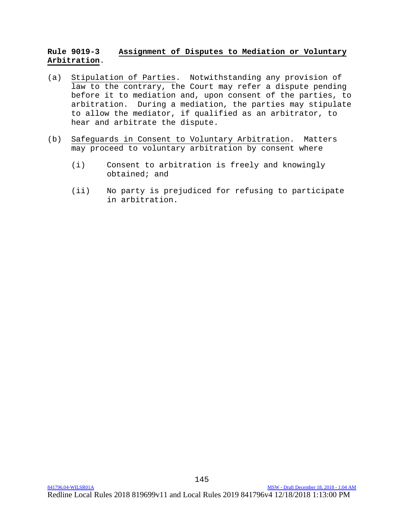# **Rule 9019-3 Assignment of Disputes to Mediation or Voluntary Arbitration**.

- (a) Stipulation of Parties. Notwithstanding any provision of law to the contrary, the Court may refer a dispute pending before it to mediation and, upon consent of the parties, to arbitration. During a mediation, the parties may stipulate to allow the mediator, if qualified as an arbitrator, to hear and arbitrate the dispute.
- (b) Safeguards in Consent to Voluntary Arbitration. Matters may proceed to voluntary arbitration by consent where
	- (i) Consent to arbitration is freely and knowingly obtained; and
	- (ii) No party is prejudiced for refusing to participate in arbitration.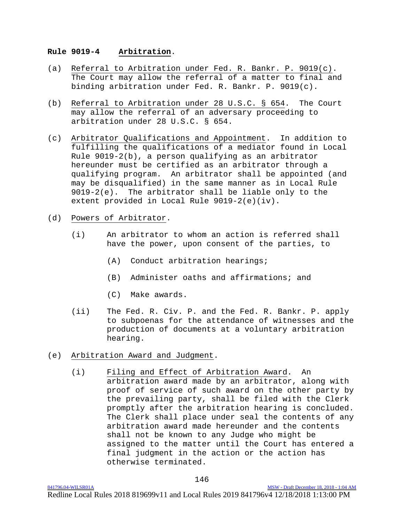## **Rule 9019-4 Arbitration**.

- (a) Referral to Arbitration under Fed. R. Bankr. P. 9019(c). The Court may allow the referral of a matter to final and binding arbitration under Fed. R. Bankr. P. 9019(c).
- (b) Referral to Arbitration under 28 U.S.C. § 654. The Court may allow the referral of an adversary proceeding to arbitration under 28 U.S.C. § 654.
- (c) Arbitrator Qualifications and Appointment. In addition to fulfilling the qualifications of a mediator found in Local Rule 9019-2(b), a person qualifying as an arbitrator hereunder must be certified as an arbitrator through a qualifying program. An arbitrator shall be appointed (and may be disqualified) in the same manner as in Local Rule 9019-2(e). The arbitrator shall be liable only to the extent provided in Local Rule 9019-2(e)(iv).
- (d) Powers of Arbitrator.
	- (i) An arbitrator to whom an action is referred shall have the power, upon consent of the parties, to
		- (A) Conduct arbitration hearings;
		- (B) Administer oaths and affirmations; and
		- (C) Make awards.
	- (ii) The Fed. R. Civ. P. and the Fed. R. Bankr. P. apply to subpoenas for the attendance of witnesses and the production of documents at a voluntary arbitration hearing.
- (e) Arbitration Award and Judgment.
	- (i) Filing and Effect of Arbitration Award. An arbitration award made by an arbitrator, along with proof of service of such award on the other party by the prevailing party, shall be filed with the Clerk promptly after the arbitration hearing is concluded. The Clerk shall place under seal the contents of any arbitration award made hereunder and the contents shall not be known to any Judge who might be assigned to the matter until the Court has entered a final judgment in the action or the action has otherwise terminated.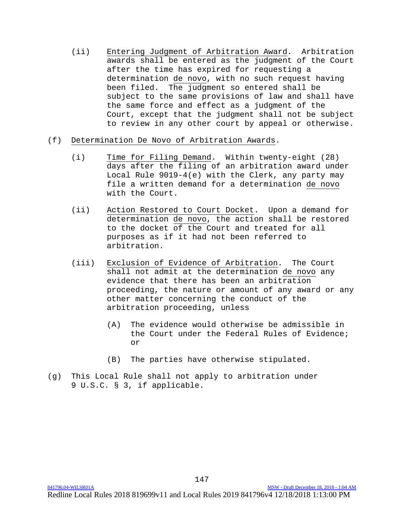- (ii) Entering Judgment of Arbitration Award. Arbitration awards shall be entered as the judgment of the Court after the time has expired for requesting a determination de novo, with no such request having been filed. The judgment so entered shall be subject to the same provisions of law and shall have the same force and effect as a judgment of the Court, except that the judgment shall not be subject to review in any other court by appeal or otherwise.
- (f) Determination De Novo of Arbitration Awards.
	- (i) Time for Filing Demand. Within twenty-eight (28) days after the filing of an arbitration award under Local Rule 9019-4(e) with the Clerk, any party may file a written demand for a determination de novo with the Court.
	- (ii) Action Restored to Court Docket. Upon a demand for determination de novo, the action shall be restored to the docket of the Court and treated for all purposes as if it had not been referred to arbitration.
	- (iii) Exclusion of Evidence of Arbitration. The Court shall not admit at the determination de novo any evidence that there has been an arbitration proceeding, the nature or amount of any award or any other matter concerning the conduct of the arbitration proceeding, unless
		- (A) The evidence would otherwise be admissible in the Court under the Federal Rules of Evidence; or
		- (B) The parties have otherwise stipulated.
- (g) This Local Rule shall not apply to arbitration under 9 U.S.C. § 3, if applicable.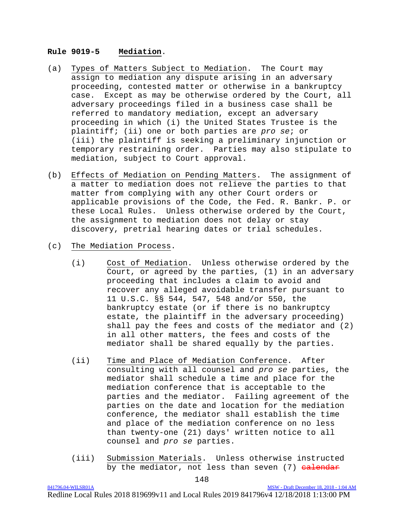#### **Rule 9019-5 Mediation**.

- (a) Types of Matters Subject to Mediation. The Court may assign to mediation any dispute arising in an adversary proceeding, contested matter or otherwise in a bankruptcy case. Except as may be otherwise ordered by the Court, all adversary proceedings filed in a business case shall be referred to mandatory mediation, except an adversary proceeding in which (i) the United States Trustee is the plaintiff; (ii) one or both parties are *pro se*; or (iii) the plaintiff is seeking a preliminary injunction or temporary restraining order. Parties may also stipulate to mediation, subject to Court approval.
- (b) Effects of Mediation on Pending Matters. The assignment of a matter to mediation does not relieve the parties to that matter from complying with any other Court orders or applicable provisions of the Code, the Fed. R. Bankr. P. or these Local Rules. Unless otherwise ordered by the Court, the assignment to mediation does not delay or stay discovery, pretrial hearing dates or trial schedules.
- (c) The Mediation Process.
	- (i) Cost of Mediation. Unless otherwise ordered by the Court, or agreed by the parties, (1) in an adversary proceeding that includes a claim to avoid and recover any alleged avoidable transfer pursuant to 11 U.S.C. §§ 544, 547, 548 and/or 550, the bankruptcy estate (or if there is no bankruptcy estate, the plaintiff in the adversary proceeding) shall pay the fees and costs of the mediator and (2) in all other matters, the fees and costs of the mediator shall be shared equally by the parties.
	- (ii) Time and Place of Mediation Conference. After consulting with all counsel and *pro se* parties, the mediator shall schedule a time and place for the mediation conference that is acceptable to the parties and the mediator. Failing agreement of the parties on the date and location for the mediation conference, the mediator shall establish the time and place of the mediation conference on no less than twenty-one (21) days' written notice to all counsel and *pro se* parties.
	- (iii) Submission Materials. Unless otherwise instructed by the mediator, not less than seven (7) calendar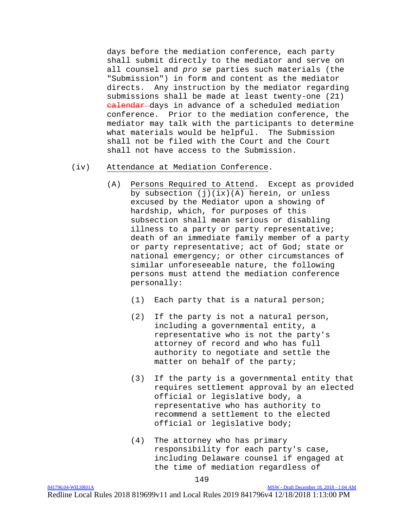days before the mediation conference, each party shall submit directly to the mediator and serve on all counsel and *pro se* parties such materials (the "Submission") in form and content as the mediator directs. Any instruction by the mediator regarding submissions shall be made at least twenty-one (21) ealendar days in advance of a scheduled mediation conference. Prior to the mediation conference, the mediator may talk with the participants to determine what materials would be helpful. The Submission shall not be filed with the Court and the Court shall not have access to the Submission.

## (iv) Attendance at Mediation Conference.

- (A) Persons Required to Attend. Except as provided by subsection  $(j)(ix)(A)$  herein, or unless excused by the Mediator upon a showing of hardship, which, for purposes of this subsection shall mean serious or disabling illness to a party or party representative; death of an immediate family member of a party or party representative; act of God; state or national emergency; or other circumstances of similar unforeseeable nature, the following persons must attend the mediation conference personally:
	- (1) Each party that is a natural person;
	- (2) If the party is not a natural person, including a governmental entity, a representative who is not the party's attorney of record and who has full authority to negotiate and settle the matter on behalf of the party;
	- (3) If the party is a governmental entity that requires settlement approval by an elected official or legislative body, a representative who has authority to recommend a settlement to the elected official or legislative body;
	- (4) The attorney who has primary responsibility for each party's case, including Delaware counsel if engaged at the time of mediation regardless of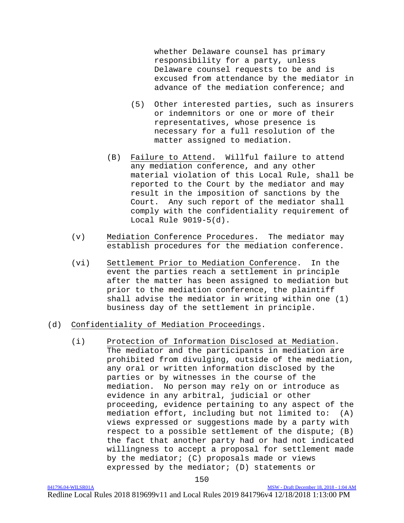whether Delaware counsel has primary responsibility for a party, unless Delaware counsel requests to be and is excused from attendance by the mediator in advance of the mediation conference; and

- (5) Other interested parties, such as insurers or indemnitors or one or more of their representatives, whose presence is necessary for a full resolution of the matter assigned to mediation.
- (B) Failure to Attend. Willful failure to attend any mediation conference, and any other material violation of this Local Rule, shall be reported to the Court by the mediator and may result in the imposition of sanctions by the Court. Any such report of the mediator shall comply with the confidentiality requirement of Local Rule 9019-5(d).
- (v) Mediation Conference Procedures. The mediator may establish procedures for the mediation conference.
- (vi) Settlement Prior to Mediation Conference. In the event the parties reach a settlement in principle after the matter has been assigned to mediation but prior to the mediation conference, the plaintiff shall advise the mediator in writing within one (1) business day of the settlement in principle.
- (d) Confidentiality of Mediation Proceedings.
	- (i) Protection of Information Disclosed at Mediation. The mediator and the participants in mediation are prohibited from divulging, outside of the mediation, any oral or written information disclosed by the parties or by witnesses in the course of the mediation. No person may rely on or introduce as evidence in any arbitral, judicial or other proceeding, evidence pertaining to any aspect of the mediation effort, including but not limited to: (A) views expressed or suggestions made by a party with respect to a possible settlement of the dispute; (B) the fact that another party had or had not indicated willingness to accept a proposal for settlement made by the mediator; (C) proposals made or views expressed by the mediator; (D) statements or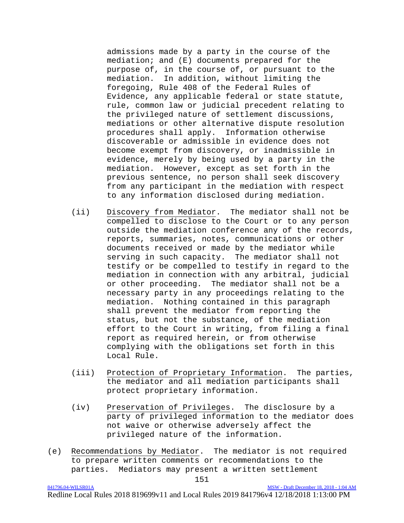admissions made by a party in the course of the mediation; and (E) documents prepared for the purpose of, in the course of, or pursuant to the mediation. In addition, without limiting the foregoing, Rule 408 of the Federal Rules of Evidence, any applicable federal or state statute, rule, common law or judicial precedent relating to the privileged nature of settlement discussions, mediations or other alternative dispute resolution procedures shall apply. Information otherwise discoverable or admissible in evidence does not become exempt from discovery, or inadmissible in evidence, merely by being used by a party in the mediation. However, except as set forth in the previous sentence, no person shall seek discovery from any participant in the mediation with respect to any information disclosed during mediation.

- (ii) Discovery from Mediator. The mediator shall not be compelled to disclose to the Court or to any person outside the mediation conference any of the records, reports, summaries, notes, communications or other documents received or made by the mediator while serving in such capacity. The mediator shall not testify or be compelled to testify in regard to the mediation in connection with any arbitral, judicial or other proceeding. The mediator shall not be a necessary party in any proceedings relating to the mediation. Nothing contained in this paragraph shall prevent the mediator from reporting the status, but not the substance, of the mediation effort to the Court in writing, from filing a final report as required herein, or from otherwise complying with the obligations set forth in this Local Rule.
- (iii) Protection of Proprietary Information. The parties, the mediator and all mediation participants shall protect proprietary information.
- (iv) Preservation of Privileges. The disclosure by a party of privileged information to the mediator does not waive or otherwise adversely affect the privileged nature of the information.
- (e) Recommendations by Mediator. The mediator is not required to prepare written comments or recommendations to the parties. Mediators may present a written settlement

151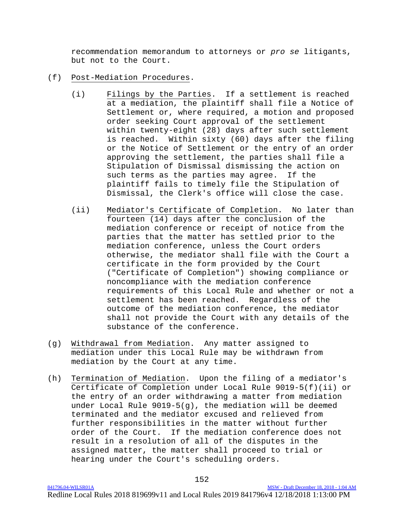recommendation memorandum to attorneys or *pro se* litigants, but not to the Court.

- (f) Post-Mediation Procedures.
	- (i) Filings by the Parties. If a settlement is reached at a mediation, the plaintiff shall file a Notice of Settlement or, where required, a motion and proposed order seeking Court approval of the settlement within twenty-eight (28) days after such settlement is reached. Within sixty (60) days after the filing or the Notice of Settlement or the entry of an order approving the settlement, the parties shall file a Stipulation of Dismissal dismissing the action on<br>such terms as the parties may agree. If the such terms as the parties may agree. plaintiff fails to timely file the Stipulation of Dismissal, the Clerk's office will close the case.
	- (ii) Mediator's Certificate of Completion. No later than fourteen (14) days after the conclusion of the mediation conference or receipt of notice from the parties that the matter has settled prior to the mediation conference, unless the Court orders otherwise, the mediator shall file with the Court a certificate in the form provided by the Court ("Certificate of Completion") showing compliance or noncompliance with the mediation conference requirements of this Local Rule and whether or not a settlement has been reached. Regardless of the outcome of the mediation conference, the mediator shall not provide the Court with any details of the substance of the conference.
- (g) Withdrawal from Mediation. Any matter assigned to mediation under this Local Rule may be withdrawn from mediation by the Court at any time.
- (h) Termination of Mediation. Upon the filing of a mediator's Certificate of Completion under Local Rule  $9019-5(f)(ii)$  or the entry of an order withdrawing a matter from mediation under Local Rule 9019-5(g), the mediation will be deemed terminated and the mediator excused and relieved from further responsibilities in the matter without further order of the Court. If the mediation conference does not result in a resolution of all of the disputes in the assigned matter, the matter shall proceed to trial or hearing under the Court's scheduling orders.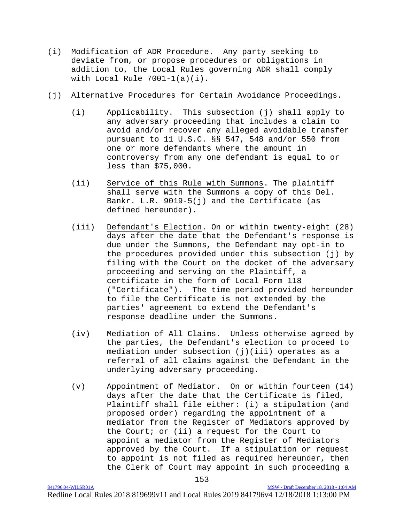(i) Modification of ADR Procedure. Any party seeking to deviate from, or propose procedures or obligations in addition to, the Local Rules governing ADR shall comply with Local Rule  $7001-1(a)(i)$ .

## (j) Alternative Procedures for Certain Avoidance Proceedings.

- (i) Applicability. This subsection (j) shall apply to any adversary proceeding that includes a claim to avoid and/or recover any alleged avoidable transfer pursuant to 11 U.S.C. §§ 547, 548 and/or 550 from one or more defendants where the amount in controversy from any one defendant is equal to or less than \$75,000.
- (ii) Service of this Rule with Summons. The plaintiff shall serve with the Summons a copy of this Del. Bankr. L.R. 9019-5(j) and the Certificate (as defined hereunder).
- (iii) Defendant's Election. On or within twenty-eight (28) days after the date that the Defendant's response is due under the Summons, the Defendant may opt-in to the procedures provided under this subsection (j) by filing with the Court on the docket of the adversary proceeding and serving on the Plaintiff, a certificate in the form of Local Form 118 ("Certificate"). The time period provided hereunder to file the Certificate is not extended by the parties' agreement to extend the Defendant's response deadline under the Summons.
- (iv) Mediation of All Claims. Unless otherwise agreed by the parties, the Defendant's election to proceed to mediation under subsection (j)(iii) operates as a referral of all claims against the Defendant in the underlying adversary proceeding.
- (v) Appointment of Mediator. On or within fourteen (14) days after the date that the Certificate is filed, Plaintiff shall file either: (i) a stipulation (and proposed order) regarding the appointment of a mediator from the Register of Mediators approved by the Court; or (ii) a request for the Court to appoint a mediator from the Register of Mediators approved by the Court. If a stipulation or request to appoint is not filed as required hereunder, then the Clerk of Court may appoint in such proceeding a

153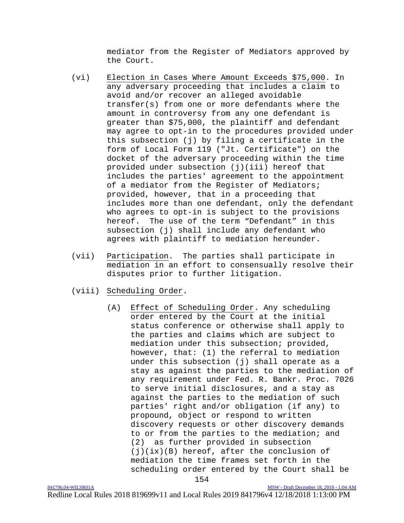mediator from the Register of Mediators approved by the Court.

- (vi) Election in Cases Where Amount Exceeds \$75,000. In any adversary proceeding that includes a claim to avoid and/or recover an alleged avoidable transfer(s) from one or more defendants where the amount in controversy from any one defendant is greater than \$75,000, the plaintiff and defendant may agree to opt-in to the procedures provided under this subsection (j) by filing a certificate in the form of Local Form 119 ("Jt. Certificate") on the docket of the adversary proceeding within the time provided under subsection (j)(iii) hereof that includes the parties' agreement to the appointment of a mediator from the Register of Mediators; provided, however, that in a proceeding that includes more than one defendant, only the defendant who agrees to opt-in is subject to the provisions hereof. The use of the term "Defendant" in this subsection (j) shall include any defendant who agrees with plaintiff to mediation hereunder.
- (vii) Participation. The parties shall participate in mediation in an effort to consensually resolve their disputes prior to further litigation.
- (viii) Scheduling Order.
	- 154 (A) Effect of Scheduling Order. Any scheduling order entered by the Court at the initial status conference or otherwise shall apply to the parties and claims which are subject to mediation under this subsection; provided, however, that: (1) the referral to mediation under this subsection (j) shall operate as a stay as against the parties to the mediation of any requirement under Fed. R. Bankr. Proc. 7026 to serve initial disclosures, and a stay as against the parties to the mediation of such parties' right and/or obligation (if any) to propound, object or respond to written discovery requests or other discovery demands to or from the parties to the mediation; and (2) as further provided in subsection (j)(ix)(B) hereof, after the conclusion of mediation the time frames set forth in the scheduling order entered by the Court shall be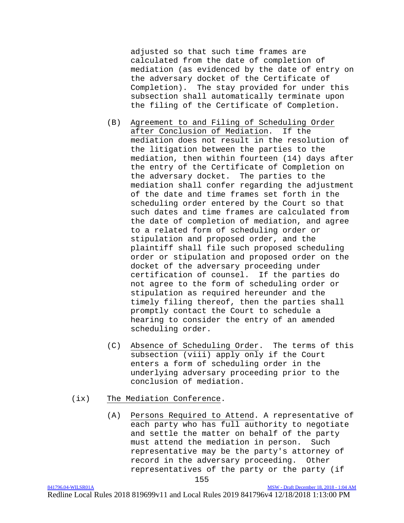adjusted so that such time frames are calculated from the date of completion of mediation (as evidenced by the date of entry on the adversary docket of the Certificate of Completion). The stay provided for under this subsection shall automatically terminate upon the filing of the Certificate of Completion.

- (B) Agreement to and Filing of Scheduling Order after Conclusion of Mediation. If the mediation does not result in the resolution of the litigation between the parties to the mediation, then within fourteen (14) days after the entry of the Certificate of Completion on the adversary docket. The parties to the mediation shall confer regarding the adjustment of the date and time frames set forth in the scheduling order entered by the Court so that such dates and time frames are calculated from the date of completion of mediation, and agree to a related form of scheduling order or stipulation and proposed order, and the plaintiff shall file such proposed scheduling order or stipulation and proposed order on the docket of the adversary proceeding under certification of counsel. If the parties do not agree to the form of scheduling order or stipulation as required hereunder and the timely filing thereof, then the parties shall promptly contact the Court to schedule a hearing to consider the entry of an amended scheduling order.
- (C) Absence of Scheduling Order. The terms of this subsection (viii) apply only if the Court enters a form of scheduling order in the underlying adversary proceeding prior to the conclusion of mediation.
- (ix) The Mediation Conference.
	- 155 (A) Persons Required to Attend. A representative of each party who has full authority to negotiate and settle the matter on behalf of the party<br>must attend the mediation in person. Such must attend the mediation in person. representative may be the party's attorney of record in the adversary proceeding. Other representatives of the party or the party (if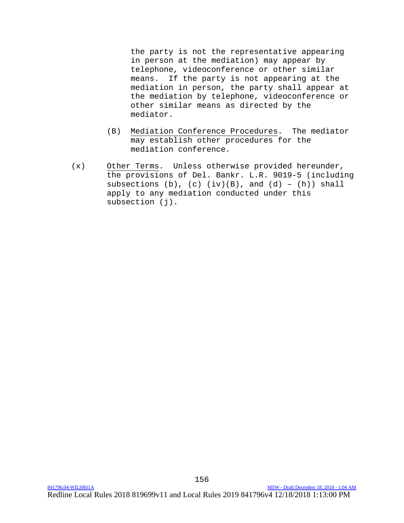the party is not the representative appearing in person at the mediation) may appear by telephone, videoconference or other similar means. If the party is not appearing at the mediation in person, the party shall appear at the mediation by telephone, videoconference or other similar means as directed by the mediator.

- (B) Mediation Conference Procedures. The mediator may establish other procedures for the mediation conference.
- (x) Other Terms. Unless otherwise provided hereunder, the provisions of Del. Bankr. L.R. 9019-5 (including subsections  $(b)$ ,  $(c)$   $(iv)(B)$ , and  $(d)$  -  $(h)$ ) shall apply to any mediation conducted under this subsection (j).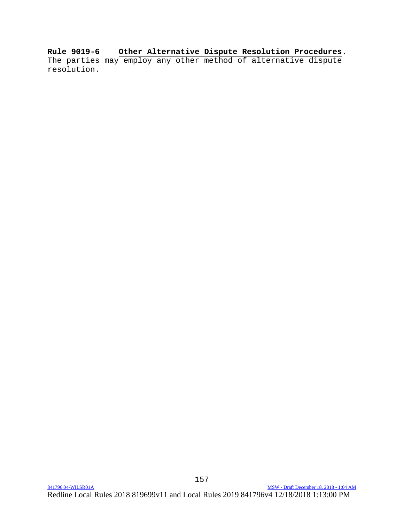**Rule 9019-6 Other Alternative Dispute Resolution Procedures**. The parties may employ any other method of alternative dispute resolution.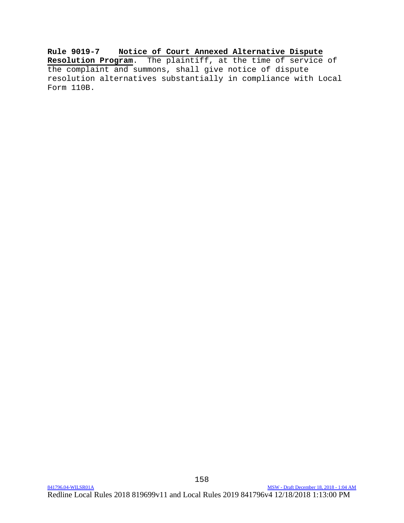**Rule 9019-7 Notice of Court Annexed Alternative Dispute Resolution Program**. The plaintiff, at the time of service of the complaint and summons, shall give notice of dispute resolution alternatives substantially in compliance with Local Form 110B.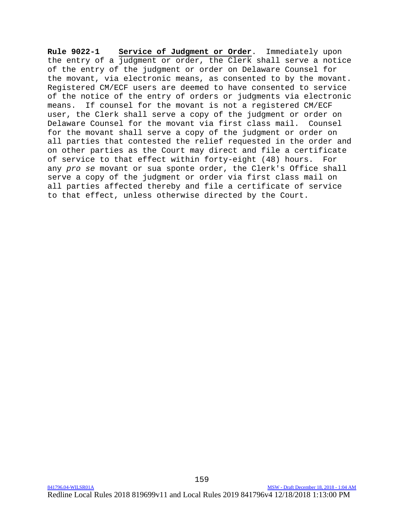**Rule 9022-1 Service of Judgment or Order**. Immediately upon the entry of a judgment or order, the Clerk shall serve a notice of the entry of the judgment or order on Delaware Counsel for the movant, via electronic means, as consented to by the movant. Registered CM/ECF users are deemed to have consented to service of the notice of the entry of orders or judgments via electronic means. If counsel for the movant is not a registered CM/ECF user, the Clerk shall serve a copy of the judgment or order on Delaware Counsel for the movant via first class mail. Counsel for the movant shall serve a copy of the judgment or order on all parties that contested the relief requested in the order and on other parties as the Court may direct and file a certificate of service to that effect within forty-eight (48) hours. For any *pro se* movant or sua sponte order, the Clerk's Office shall serve a copy of the judgment or order via first class mail on all parties affected thereby and file a certificate of service to that effect, unless otherwise directed by the Court.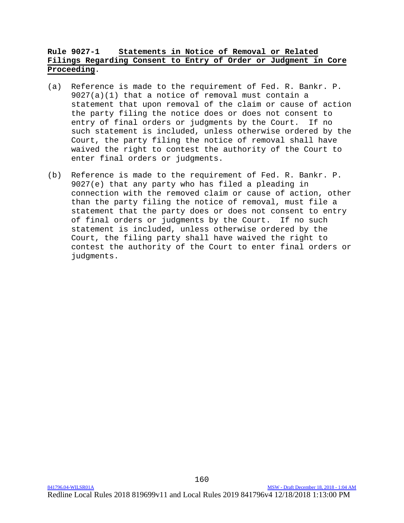# **Rule 9027-1 Statements in Notice of Removal or Related Filings Regarding Consent to Entry of Order or Judgment in Core Proceeding**.

- (a) Reference is made to the requirement of Fed. R. Bankr. P. 9027(a)(1) that a notice of removal must contain a statement that upon removal of the claim or cause of action the party filing the notice does or does not consent to entry of final orders or judgments by the Court. If no such statement is included, unless otherwise ordered by the Court, the party filing the notice of removal shall have waived the right to contest the authority of the Court to enter final orders or judgments.
- (b) Reference is made to the requirement of Fed. R. Bankr. P. 9027(e) that any party who has filed a pleading in connection with the removed claim or cause of action, other than the party filing the notice of removal, must file a statement that the party does or does not consent to entry of final orders or judgments by the Court. If no such statement is included, unless otherwise ordered by the Court, the filing party shall have waived the right to contest the authority of the Court to enter final orders or judgments.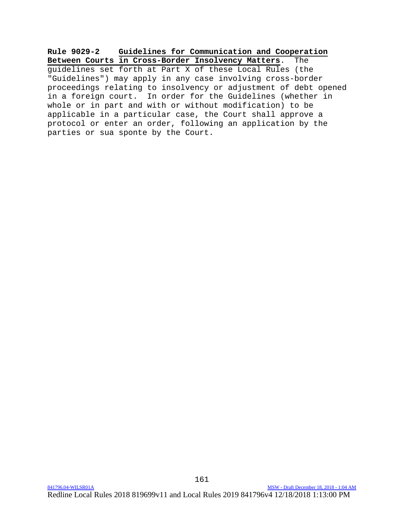**Rule 9029-2 Guidelines for Communication and Cooperation Between Courts in Cross-Border Insolvency Matters**. The

guidelines set forth at Part X of these Local Rules (the "Guidelines") may apply in any case involving cross-border proceedings relating to insolvency or adjustment of debt opened in a foreign court. In order for the Guidelines (whether in whole or in part and with or without modification) to be applicable in a particular case, the Court shall approve a protocol or enter an order, following an application by the parties or sua sponte by the Court.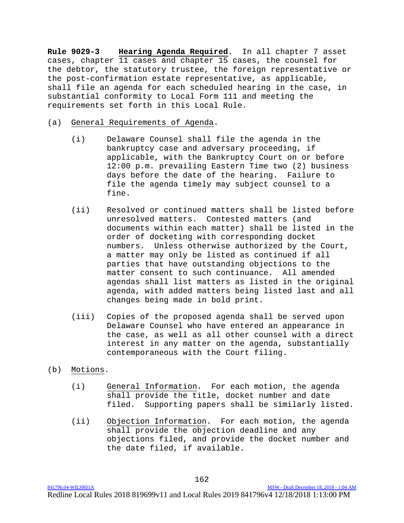**Rule 9029-3 Hearing Agenda Required**. In all chapter 7 asset cases, chapter 11 cases and chapter 15 cases, the counsel for the debtor, the statutory trustee, the foreign representative or the post-confirmation estate representative, as applicable, shall file an agenda for each scheduled hearing in the case, in substantial conformity to Local Form 111 and meeting the requirements set forth in this Local Rule.

- (a) General Requirements of Agenda.
	- (i) Delaware Counsel shall file the agenda in the bankruptcy case and adversary proceeding, if applicable, with the Bankruptcy Court on or before 12:00 p.m. prevailing Eastern Time two (2) business days before the date of the hearing. Failure to file the agenda timely may subject counsel to a fine.
	- (ii) Resolved or continued matters shall be listed before unresolved matters. Contested matters (and documents within each matter) shall be listed in the order of docketing with corresponding docket numbers. Unless otherwise authorized by the Court, a matter may only be listed as continued if all parties that have outstanding objections to the matter consent to such continuance. All amended agendas shall list matters as listed in the original agenda, with added matters being listed last and all changes being made in bold print.
	- (iii) Copies of the proposed agenda shall be served upon Delaware Counsel who have entered an appearance in the case, as well as all other counsel with a direct interest in any matter on the agenda, substantially contemporaneous with the Court filing.
- (b) Motions.
	- (i) General Information. For each motion, the agenda shall provide the title, docket number and date filed. Supporting papers shall be similarly listed.
	- (ii) Objection Information. For each motion, the agenda shall provide the objection deadline and any objections filed, and provide the docket number and the date filed, if available.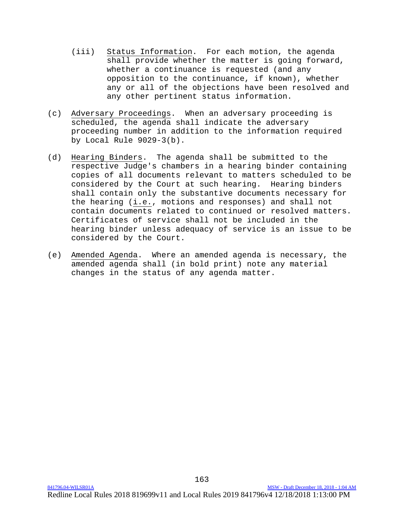- (iii) Status Information. For each motion, the agenda shall provide whether the matter is going forward, whether a continuance is requested (and any opposition to the continuance, if known), whether any or all of the objections have been resolved and any other pertinent status information.
- (c) Adversary Proceedings. When an adversary proceeding is scheduled, the agenda shall indicate the adversary proceeding number in addition to the information required by Local Rule 9029-3(b).
- (d) Hearing Binders. The agenda shall be submitted to the respective Judge's chambers in a hearing binder containing copies of all documents relevant to matters scheduled to be considered by the Court at such hearing. Hearing binders shall contain only the substantive documents necessary for the hearing (i.e., motions and responses) and shall not contain documents related to continued or resolved matters. Certificates of service shall not be included in the hearing binder unless adequacy of service is an issue to be considered by the Court.
- (e) Amended Agenda. Where an amended agenda is necessary, the amended agenda shall (in bold print) note any material changes in the status of any agenda matter.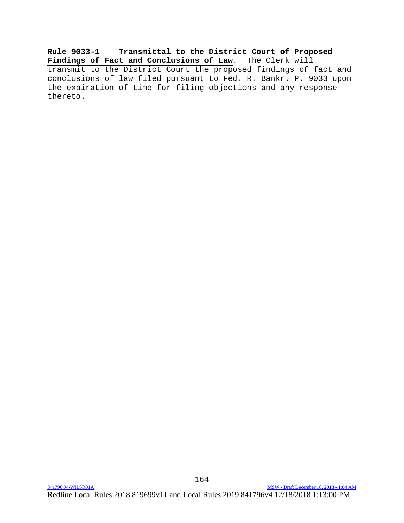# **Rule 9033-1 Transmittal to the District Court of Proposed Findings of Fact and Conclusions of Law**. The Clerk will

transmit to the District Court the proposed findings of fact and conclusions of law filed pursuant to Fed. R. Bankr. P. 9033 upon the expiration of time for filing objections and any response thereto.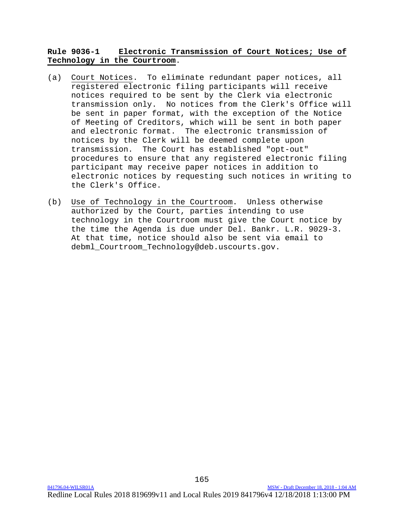## **Rule 9036-1 Electronic Transmission of Court Notices; Use of Technology in the Courtroom**.

- (a) Court Notices. To eliminate redundant paper notices, all registered electronic filing participants will receive notices required to be sent by the Clerk via electronic transmission only. No notices from the Clerk's Office will be sent in paper format, with the exception of the Notice of Meeting of Creditors, which will be sent in both paper and electronic format. The electronic transmission of notices by the Clerk will be deemed complete upon transmission. The Court has established "opt-out" procedures to ensure that any registered electronic filing participant may receive paper notices in addition to electronic notices by requesting such notices in writing to the Clerk's Office.
- (b) Use of Technology in the Courtroom. Unless otherwise authorized by the Court, parties intending to use technology in the Courtroom must give the Court notice by the time the Agenda is due under Del. Bankr. L.R. 9029-3. At that time, notice should also be sent via email to debml Courtroom Technology@deb.uscourts.gov.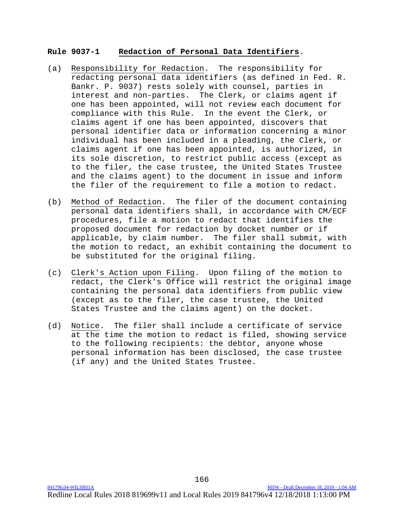#### **Rule 9037-1 Redaction of Personal Data Identifiers**.

- (a) Responsibility for Redaction. The responsibility for redacting personal data identifiers (as defined in Fed. R. Bankr. P. 9037) rests solely with counsel, parties in interest and non-parties. The Clerk, or claims agent if one has been appointed, will not review each document for compliance with this Rule. In the event the Clerk, or claims agent if one has been appointed, discovers that personal identifier data or information concerning a minor individual has been included in a pleading, the Clerk, or claims agent if one has been appointed, is authorized, in its sole discretion, to restrict public access (except as to the filer, the case trustee, the United States Trustee and the claims agent) to the document in issue and inform the filer of the requirement to file a motion to redact.
- (b) Method of Redaction. The filer of the document containing personal data identifiers shall, in accordance with CM/ECF procedures, file a motion to redact that identifies the proposed document for redaction by docket number or if applicable, by claim number. The filer shall submit, with the motion to redact, an exhibit containing the document to be substituted for the original filing.
- (c) Clerk's Action upon Filing. Upon filing of the motion to redact, the Clerk's Office will restrict the original image containing the personal data identifiers from public view (except as to the filer, the case trustee, the United States Trustee and the claims agent) on the docket.
- (d) Notice. The filer shall include a certificate of service at the time the motion to redact is filed, showing service to the following recipients: the debtor, anyone whose personal information has been disclosed, the case trustee (if any) and the United States Trustee.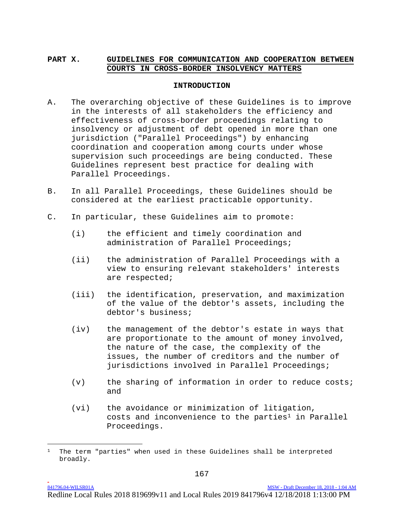# **PART X. GUIDELINES FOR COMMUNICATION AND COOPERATION BETWEEN COURTS IN CROSS-BORDER INSOLVENCY MATTERS**

## **INTRODUCTION**

- A. The overarching objective of these Guidelines is to improve in the interests of all stakeholders the efficiency and effectiveness of cross-border proceedings relating to insolvency or adjustment of debt opened in more than one jurisdiction ("Parallel Proceedings") by enhancing coordination and cooperation among courts under whose supervision such proceedings are being conducted. These Guidelines represent best practice for dealing with Parallel Proceedings.
- B. In all Parallel Proceedings, these Guidelines should be considered at the earliest practicable opportunity.
- C. In particular, these Guidelines aim to promote:
	- (i) the efficient and timely coordination and administration of Parallel Proceedings;
	- (ii) the administration of Parallel Proceedings with a view to ensuring relevant stakeholders' interests are respected;
	- (iii) the identification, preservation, and maximization of the value of the debtor's assets, including the debtor's business;
	- (iv) the management of the debtor's estate in ways that are proportionate to the amount of money involved, the nature of the case, the complexity of the issues, the number of creditors and the number of jurisdictions involved in Parallel Proceedings;
	- (v) the sharing of information in order to reduce costs; and
	- (vi) the avoidance or minimization of litigation,  $costs$  and inconvenience to the parties<sup>[1](#page-173-0)</sup> in Parallel Proceedings.

841796.04-WILSR01A MSW - Draft December 18, 2018 - 1:04 AM

Redline Local Rules 2018 819699v11 and Local Rules 2019 841796v4 12/18/2018 1:13:00 PM

<span id="page-173-0"></span>Ĩ. <sup>1</sup> The term "parties" when used in these Guidelines shall be interpreted broadly.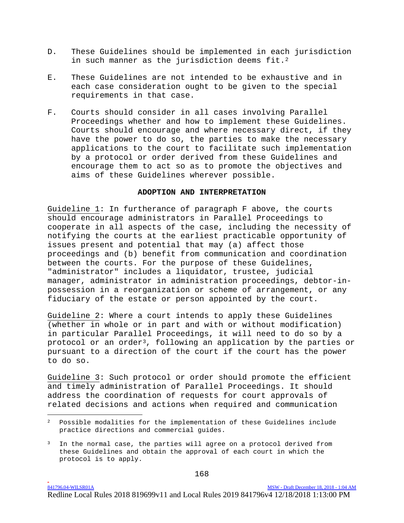- D. These Guidelines should be implemented in each jurisdiction in such manner as the jurisdiction deems  $fit.^2$
- E. These Guidelines are not intended to be exhaustive and in each case consideration ought to be given to the special requirements in that case.
- F. Courts should consider in all cases involving Parallel Proceedings whether and how to implement these Guidelines. Courts should encourage and where necessary direct, if they have the power to do so, the parties to make the necessary applications to the court to facilitate such implementation by a protocol or order derived from these Guidelines and encourage them to act so as to promote the objectives and aims of these Guidelines wherever possible.

#### **ADOPTION AND INTERPRETATION**

Guideline 1: In furtherance of paragraph F above, the courts should encourage administrators in Parallel Proceedings to cooperate in all aspects of the case, including the necessity of notifying the courts at the earliest practicable opportunity of issues present and potential that may (a) affect those proceedings and (b) benefit from communication and coordination between the courts. For the purpose of these Guidelines, "administrator" includes a liquidator, trustee, judicial manager, administrator in administration proceedings, debtor-inpossession in a reorganization or scheme of arrangement, or any fiduciary of the estate or person appointed by the court.

Guideline 2: Where a court intends to apply these Guidelines (whether in whole or in part and with or without modification) in particular Parallel Proceedings, it will need to do so by a protocol or an orde[r3](#page-174-1), following an application by the parties or pursuant to a direction of the court if the court has the power to do so.

Guideline 3: Such protocol or order should promote the efficient and timely administration of Parallel Proceedings. It should address the coordination of requests for court approvals of related decisions and actions when required and communication

<span id="page-174-0"></span>Ĩ.  $2$  Possible modalities for the implementation of these Guidelines include practice directions and commercial guides.

<span id="page-174-1"></span><sup>&</sup>lt;sup>3</sup> In the normal case, the parties will agree on a protocol derived from these Guidelines and obtain the approval of each court in which the protocol is to apply.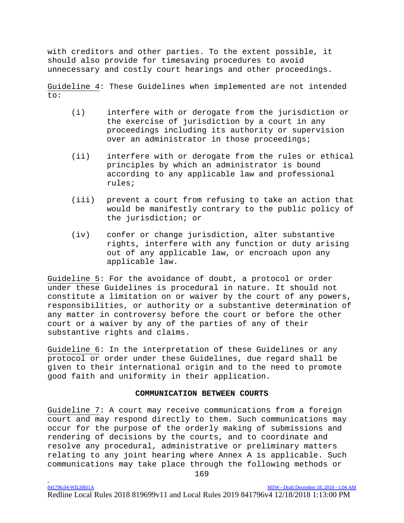with creditors and other parties. To the extent possible, it should also provide for timesaving procedures to avoid unnecessary and costly court hearings and other proceedings.

Guideline 4: These Guidelines when implemented are not intended to:

- (i) interfere with or derogate from the jurisdiction or the exercise of jurisdiction by a court in any proceedings including its authority or supervision over an administrator in those proceedings;
- (ii) interfere with or derogate from the rules or ethical principles by which an administrator is bound according to any applicable law and professional rules;
- (iii) prevent a court from refusing to take an action that would be manifestly contrary to the public policy of the jurisdiction; or
- (iv) confer or change jurisdiction, alter substantive rights, interfere with any function or duty arising out of any applicable law, or encroach upon any applicable law.

Guideline 5: For the avoidance of doubt, a protocol or order under these Guidelines is procedural in nature. It should not constitute a limitation on or waiver by the court of any powers, responsibilities, or authority or a substantive determination of any matter in controversy before the court or before the other court or a waiver by any of the parties of any of their substantive rights and claims.

Guideline 6: In the interpretation of these Guidelines or any protocol or order under these Guidelines, due regard shall be given to their international origin and to the need to promote good faith and uniformity in their application.

#### **COMMUNICATION BETWEEN COURTS**

Guideline 7: A court may receive communications from a foreign court and may respond directly to them. Such communications may occur for the purpose of the orderly making of submissions and rendering of decisions by the courts, and to coordinate and resolve any procedural, administrative or preliminary matters relating to any joint hearing where Annex A is applicable. Such communications may take place through the following methods or

Redline Local Rules 2018 819699v11 and Local Rules 2019 841796v4 12/18/2018 1:13:00 PM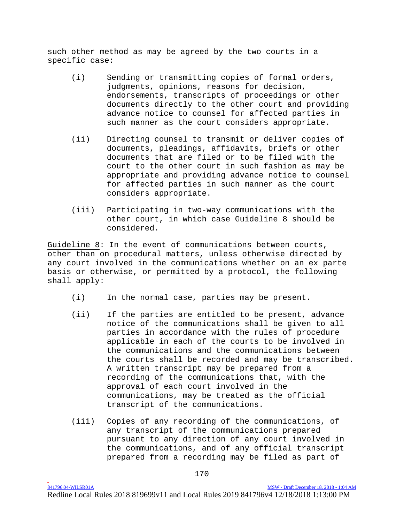such other method as may be agreed by the two courts in a specific case:

- (i) Sending or transmitting copies of formal orders, judgments, opinions, reasons for decision, endorsements, transcripts of proceedings or other documents directly to the other court and providing advance notice to counsel for affected parties in such manner as the court considers appropriate.
- (ii) Directing counsel to transmit or deliver copies of documents, pleadings, affidavits, briefs or other documents that are filed or to be filed with the court to the other court in such fashion as may be appropriate and providing advance notice to counsel for affected parties in such manner as the court considers appropriate.
- (iii) Participating in two-way communications with the other court, in which case Guideline 8 should be considered.

Guideline 8: In the event of communications between courts, other than on procedural matters, unless otherwise directed by any court involved in the communications whether on an ex parte basis or otherwise, or permitted by a protocol, the following shall apply:

- (i) In the normal case, parties may be present.
- (ii) If the parties are entitled to be present, advance notice of the communications shall be given to all parties in accordance with the rules of procedure applicable in each of the courts to be involved in the communications and the communications between the courts shall be recorded and may be transcribed. A written transcript may be prepared from a recording of the communications that, with the approval of each court involved in the communications, may be treated as the official transcript of the communications.
- (iii) Copies of any recording of the communications, of any transcript of the communications prepared pursuant to any direction of any court involved in the communications, and of any official transcript prepared from a recording may be filed as part of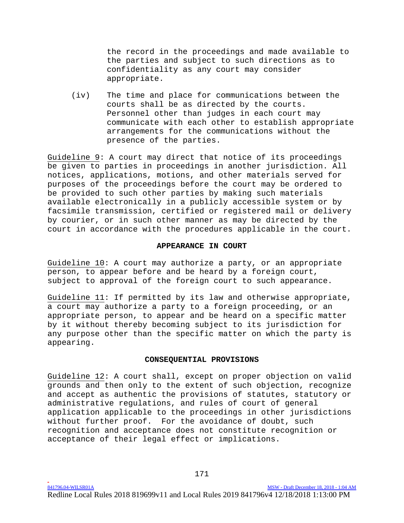the record in the proceedings and made available to the parties and subject to such directions as to confidentiality as any court may consider appropriate.

(iv) The time and place for communications between the courts shall be as directed by the courts. Personnel other than judges in each court may communicate with each other to establish appropriate arrangements for the communications without the presence of the parties.

Guideline 9: A court may direct that notice of its proceedings be given to parties in proceedings in another jurisdiction. All notices, applications, motions, and other materials served for purposes of the proceedings before the court may be ordered to be provided to such other parties by making such materials available electronically in a publicly accessible system or by facsimile transmission, certified or registered mail or delivery by courier, or in such other manner as may be directed by the court in accordance with the procedures applicable in the court.

#### **APPEARANCE IN COURT**

Guideline 10: A court may authorize a party, or an appropriate person, to appear before and be heard by a foreign court, subject to approval of the foreign court to such appearance.

Guideline 11: If permitted by its law and otherwise appropriate, a court may authorize a party to a foreign proceeding, or an appropriate person, to appear and be heard on a specific matter by it without thereby becoming subject to its jurisdiction for any purpose other than the specific matter on which the party is appearing.

## **CONSEQUENTIAL PROVISIONS**

Guideline 12: A court shall, except on proper objection on valid grounds and then only to the extent of such objection, recognize and accept as authentic the provisions of statutes, statutory or administrative regulations, and rules of court of general application applicable to the proceedings in other jurisdictions without further proof. For the avoidance of doubt, such recognition and acceptance does not constitute recognition or acceptance of their legal effect or implications.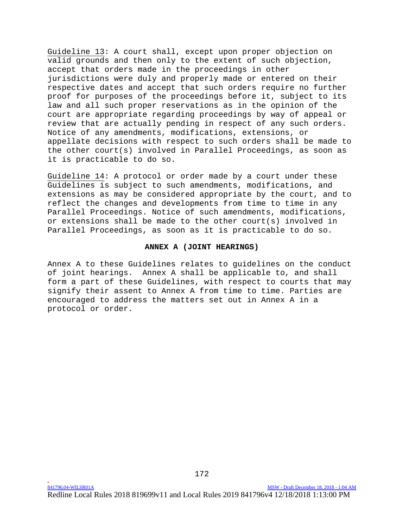Guideline 13: A court shall, except upon proper objection on valid grounds and then only to the extent of such objection, accept that orders made in the proceedings in other jurisdictions were duly and properly made or entered on their respective dates and accept that such orders require no further proof for purposes of the proceedings before it, subject to its law and all such proper reservations as in the opinion of the court are appropriate regarding proceedings by way of appeal or review that are actually pending in respect of any such orders. Notice of any amendments, modifications, extensions, or appellate decisions with respect to such orders shall be made to the other court(s) involved in Parallel Proceedings, as soon as it is practicable to do so.

Guideline 14: A protocol or order made by a court under these Guidelines is subject to such amendments, modifications, and extensions as may be considered appropriate by the court, and to reflect the changes and developments from time to time in any Parallel Proceedings. Notice of such amendments, modifications, or extensions shall be made to the other court(s) involved in Parallel Proceedings, as soon as it is practicable to do so.

#### **ANNEX A (JOINT HEARINGS)**

Annex A to these Guidelines relates to guidelines on the conduct of joint hearings. Annex A shall be applicable to, and shall form a part of these Guidelines, with respect to courts that may signify their assent to Annex A from time to time. Parties are encouraged to address the matters set out in Annex A in a protocol or order.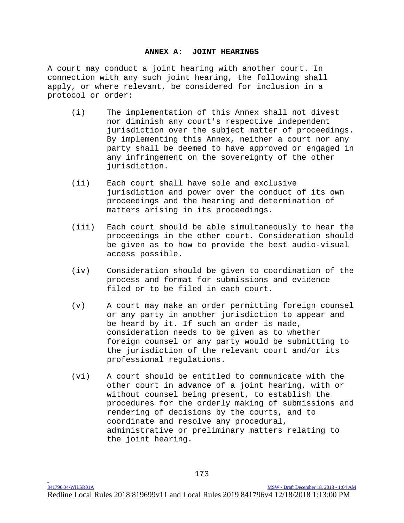#### **ANNEX A: JOINT HEARINGS**

A court may conduct a joint hearing with another court. In connection with any such joint hearing, the following shall apply, or where relevant, be considered for inclusion in a protocol or order:

- (i) The implementation of this Annex shall not divest nor diminish any court's respective independent jurisdiction over the subject matter of proceedings. By implementing this Annex, neither a court nor any party shall be deemed to have approved or engaged in any infringement on the sovereignty of the other jurisdiction.
- (ii) Each court shall have sole and exclusive jurisdiction and power over the conduct of its own proceedings and the hearing and determination of matters arising in its proceedings.
- (iii) Each court should be able simultaneously to hear the proceedings in the other court. Consideration should be given as to how to provide the best audio-visual access possible.
- (iv) Consideration should be given to coordination of the process and format for submissions and evidence filed or to be filed in each court.
- (v) A court may make an order permitting foreign counsel or any party in another jurisdiction to appear and be heard by it. If such an order is made, consideration needs to be given as to whether foreign counsel or any party would be submitting to the jurisdiction of the relevant court and/or its professional regulations.
- (vi) A court should be entitled to communicate with the other court in advance of a joint hearing, with or without counsel being present, to establish the procedures for the orderly making of submissions and rendering of decisions by the courts, and to coordinate and resolve any procedural, administrative or preliminary matters relating to the joint hearing.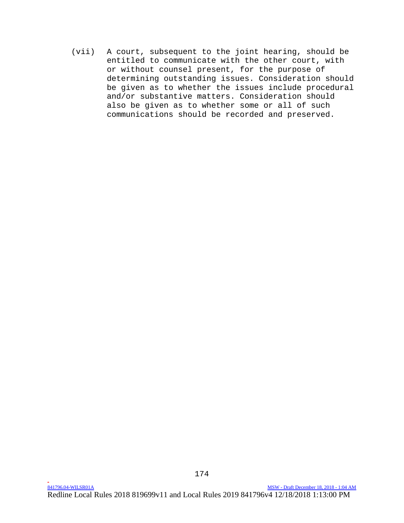(vii) A court, subsequent to the joint hearing, should be entitled to communicate with the other court, with or without counsel present, for the purpose of determining outstanding issues. Consideration should be given as to whether the issues include procedural and/or substantive matters. Consideration should also be given as to whether some or all of such communications should be recorded and preserved.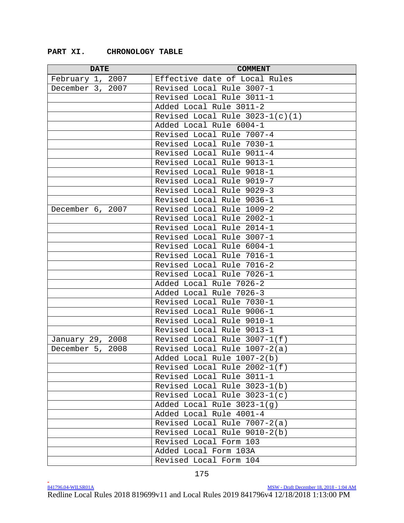| PART XI. | CHRONOLOGY TABLE |  |
|----------|------------------|--|
|          |                  |  |

| <b>DATE</b>      | <b>COMMENT</b>                       |
|------------------|--------------------------------------|
| February 1, 2007 | Effective date of Local Rules        |
| December 3, 2007 | Revised Local Rule 3007-1            |
|                  | Revised Local Rule 3011-1            |
|                  | Added Local Rule 3011-2              |
|                  | Revised Local Rule $3023-1(c)(1)$    |
|                  | Added Local Rule $600\overline{4-1}$ |
|                  | Revised Local Rule 7007-4            |
|                  | Revised Local Rule 7030-1            |
|                  | Revised Local Rule 9011-4            |
|                  | Revised Local Rule 9013-1            |
|                  | Revised Local Rule 9018-1            |
|                  | Revised Local Rule 9019-7            |
|                  | Revised Local Rule 9029-3            |
|                  | Revised Local Rule 9036-1            |
| December 6, 2007 | Revised Local Rule 1009-2            |
|                  | Revised Local Rule 2002-1            |
|                  | Revised Local Rule 2014-1            |
|                  | Revised Local Rule 3007-1            |
|                  | Revised Local Rule 6004-1            |
|                  | Revised Local Rule 7016-1            |
|                  | Revised Local Rule 7016-2            |
|                  | Revised Local Rule 7026-1            |
|                  | Added Local Rule 7026-2              |
|                  | Added Local Rule 7026-3              |
|                  | Revised Local Rule 7030-1            |
|                  | Revised Local Rule 9006-1            |
|                  | Revised Local Rule 9010-1            |
|                  | Revised Local Rule 9013-1            |
| January 29, 2008 | Revised Local Rule 3007-1(f)         |
| December 5, 2008 | Revised Local Rule 1007-2(a)         |
|                  | Added Local Rule 1007-2(b)           |
|                  | Revised Local Rule 2002-1(f)         |
|                  | Revised Local Rule 3011-1            |
|                  | Revised Local Rule 3023-1(b)         |
|                  | Revised Local Rule 3023-1(c)         |
|                  | Added Local Rule 3023-1(g)           |
|                  | Added Local Rule 4001-4              |
|                  | Revised Local Rule 7007-2(a)         |
|                  | Revised Local Rule 9010-2(b)         |
|                  | Revised Local Form 103               |
|                  | Added Local Form 103A                |
|                  | Revised Local Form 104               |

 $175$ 

841796.04-WILSR01A MSW - Draft December 18, 2018 - 1:04 AM Redline Local Rules 2018 819699v11 and Local Rules 2019 841796v4 12/18/2018 1:13:00 PM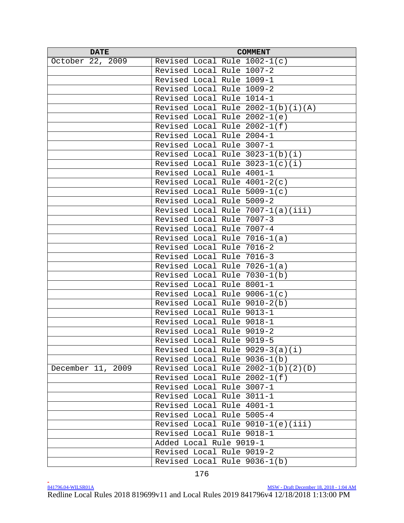| <b>DATE</b>       | <b>COMMENT</b>                       |  |  |
|-------------------|--------------------------------------|--|--|
| October 22, 2009  | Revised Local Rule 1002-1(c)         |  |  |
|                   | Revised Local Rule 1007-2            |  |  |
|                   | Revised Local Rule 1009-1            |  |  |
|                   | Revised Local Rule 1009-2            |  |  |
|                   | Revised Local Rule 1014-1            |  |  |
|                   | Revised Local Rule $2002-1(b)(i)(A)$ |  |  |
|                   | Revised Local Rule 2002-1(e)         |  |  |
|                   | Revised Local Rule 2002-1(f)         |  |  |
|                   | Revised Local Rule 2004-1            |  |  |
|                   | Revised Local Rule 3007-1            |  |  |
|                   | Revised Local Rule $3023-1(b)(i)$    |  |  |
|                   | Revised Local Rule $3023-1(c)(i)$    |  |  |
|                   | Revised Local Rule 4001-1            |  |  |
|                   | Revised Local Rule $4001-2(c)$       |  |  |
|                   | Revised Local Rule $5009-1(c)$       |  |  |
|                   | Revised Local Rule 5009-2            |  |  |
|                   | Revised Local Rule 7007-1(a)(iii)    |  |  |
|                   | Revised Local Rule 7007-3            |  |  |
|                   | Revised Local Rule 7007-4            |  |  |
|                   | Revised Local Rule 7016-1(a)         |  |  |
|                   | Revised Local Rule 7016-2            |  |  |
|                   | Revised Local Rule 7016-3            |  |  |
|                   | Revised Local Rule 7026-1(a)         |  |  |
|                   | Revised Local Rule 7030-1(b)         |  |  |
|                   | Revised Local Rule 8001-1            |  |  |
|                   | Revised Local Rule $9006-1(c)$       |  |  |
|                   | Revised Local Rule 9010-2(b)         |  |  |
|                   | Revised Local Rule 9013-1            |  |  |
|                   | Revised Local Rule 9018-1            |  |  |
|                   | Revised Local Rule 9019-2            |  |  |
|                   | Revised Local Rule 9019-5            |  |  |
|                   | Revised Local Rule 9029-3(a)(i)      |  |  |
|                   | Revised Local Rule 9036-1(b)         |  |  |
| December 11, 2009 | Revised Local Rule $2002-1(b)(2)(D)$ |  |  |
|                   | Revised Local Rule 2002-1(f)         |  |  |
|                   | Revised Local Rule 3007-1            |  |  |
|                   | Revised Local Rule 3011-1            |  |  |
|                   | Revised Local Rule 4001-1            |  |  |
|                   | Revised Local Rule 5005-4            |  |  |
|                   | Revised Local Rule $9010-1(e)$ (iii) |  |  |
|                   | Revised Local Rule 9018-1            |  |  |
|                   | Added Local Rule 9019-1              |  |  |
|                   | Revised Local Rule 9019-2            |  |  |
|                   | Revised Local Rule 9036-1(b)         |  |  |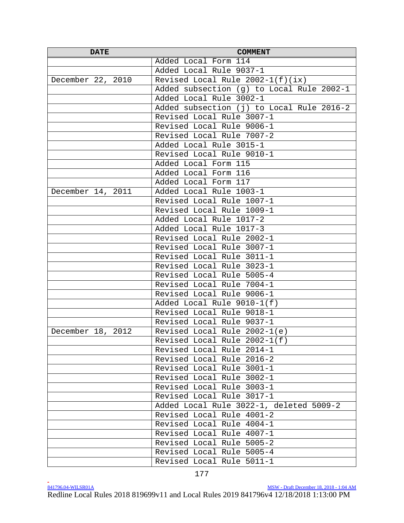| <b>DATE</b>       | <b>COMMENT</b>                            |
|-------------------|-------------------------------------------|
|                   | Added Local Form 114                      |
|                   | Added Local Rule 9037-1                   |
| December 22, 2010 | Revised Local Rule $2002-1(f)(ix)$        |
|                   | Added subsection (g) to Local Rule 2002-1 |
|                   | Added Local Rule 3002-1                   |
|                   | Added subsection (j) to Local Rule 2016-2 |
|                   | Revised Local Rule 3007-1                 |
|                   | Revised Local Rule 9006-1                 |
|                   | Revised Local Rule 7007-2                 |
|                   | Added Local Rule 3015-1                   |
|                   | Revised Local Rule 9010-1                 |
|                   | Added Local Form 115                      |
|                   | Added Local Form 116                      |
|                   | Added Local Form 117                      |
| December 14, 2011 | Added Local Rule 1003-1                   |
|                   | Revised Local Rule 1007-1                 |
|                   | Revised Local Rule 1009-1                 |
|                   | Added Local Rule 1017-2                   |
|                   | Added Local Rule 1017-3                   |
|                   | Revised Local Rule 2002-1                 |
|                   | Revised Local Rule 3007-1                 |
|                   | Revised Local Rule 3011-1                 |
|                   | Revised Local Rule 3023-1                 |
|                   | Revised Local Rule 5005-4                 |
|                   | Revised Local Rule 7004-1                 |
|                   | Revised Local Rule 9006-1                 |
|                   | Added Local Rule 9010-1(f)                |
|                   | Revised Local Rule 9018-1                 |
|                   | Revised Local Rule 9037-1                 |
| December 18, 2012 | Revised Local Rule 2002-1(e)              |
|                   | Revised Local Rule 2002-1(f)              |
|                   | Revised Local Rule 2014-1                 |
|                   | Revised Local Rule 2016-2                 |
|                   | Revised Local Rule 3001-1                 |
|                   | Revised Local Rule 3002-1                 |
|                   | Revised Local Rule 3003-1                 |
|                   | Revised Local Rule 3017-1                 |
|                   | Added Local Rule 3022-1, deleted 5009-2   |
|                   | Revised Local Rule 4001-2                 |
|                   | Revised Local Rule 4004-1                 |
|                   | Revised Local Rule 4007-1                 |
|                   | Revised Local Rule 5005-2                 |
|                   | Revised Local Rule 5005-4                 |
|                   | Revised Local Rule 5011-1                 |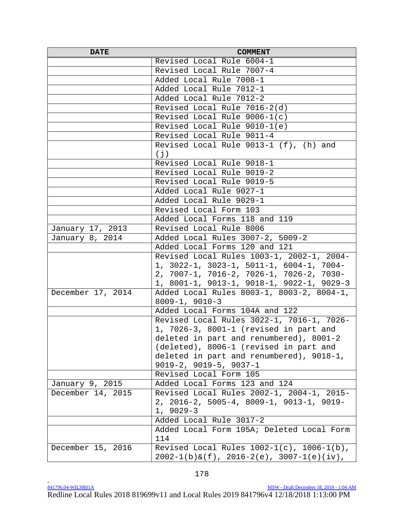| <b>DATE</b>       | <b>COMMENT</b>                                                                        |
|-------------------|---------------------------------------------------------------------------------------|
|                   | Revised Local Rule 6004-1                                                             |
|                   | Revised Local Rule 7007-4                                                             |
|                   | Added Local Rule 7008-1                                                               |
|                   | Added Local Rule 7012-1                                                               |
|                   | Added Local Rule 7012-2                                                               |
|                   | Revised Local Rule 7016-2(d)                                                          |
|                   | Revised Local Rule 9006-1(c)                                                          |
|                   | Revised Local Rule 9010-1(e)                                                          |
|                   | Revised Local Rule 9011-4                                                             |
|                   | Revised Local Rule 9013-1 (f), (h) and<br>(j)                                         |
|                   | Revised Local Rule 9018-1                                                             |
|                   | Revised Local Rule 9019-2                                                             |
|                   | Revised Local Rule 9019-5                                                             |
|                   | Added Local Rule 9027-1                                                               |
|                   | Added Local Rule 9029-1                                                               |
|                   | Revised Local Form 103                                                                |
|                   | Added Local Forms 118 and 119                                                         |
| January 17, 2013  | Revised Local Rule 8006                                                               |
| January 8, 2014   | Added Local Rules 3007-2, 5009-2                                                      |
|                   | Added Local Forms 120 and 121                                                         |
|                   | Revised Local Rules 1003-1, 2002-1, 2004-                                             |
|                   | 1, 3022-1, 3023-1, 5011-1, 6004-1, 7004-                                              |
|                   | 2, 7007-1, 7016-2, 7026-1, 7026-2, 7030-                                              |
|                   | 1, 8001-1, 9013-1, 9018-1, 9022-1, 9029-3                                             |
| December 17, 2014 | Added Local Rules 8003-1, 8003-2, 8004-1,                                             |
|                   | $8009 - 1, 9010 - 3$                                                                  |
|                   | Added Local Forms 104A and 122                                                        |
|                   | Revised Local Rules 3022-1, 7016-1, 7026-                                             |
|                   | 1, 7026-3, 8001-1 (revised in part and                                                |
|                   | deleted in part and renumbered), 8001-2                                               |
|                   | (deleted), 8006-1 (revised in part and                                                |
|                   | deleted in part and renumbered), 9018-1,                                              |
|                   | $9019 - 2, 9019 - 5, 9037 - 1$                                                        |
|                   | Revised Local Form 105                                                                |
| January 9, 2015   | Added Local Forms 123 and 124                                                         |
| December 14, 2015 | Revised Local Rules 2002-1, 2004-1, 2015-<br>2, 2016-2, 5005-4, 8009-1, 9013-1, 9019- |
|                   | $1, 9029-3$                                                                           |
|                   | Added Local Rule 3017-2                                                               |
|                   | Added Local Form 105A; Deleted Local Form                                             |
|                   | 114                                                                                   |
| December 15, 2016 | Revised Local Rules $1002-1(c)$ , $1006-1(b)$ ,                                       |
|                   | $2002-1(b)$ &(f), $2016-2(e)$ , $3007-1(e)(iv)$ ,                                     |

 $178$ 

841796.04-WILSR01A MSW - Draft December 18, 2018 - 1:04 AM

Redline Local Rules 2018 819699v11 and Local Rules 2019 841796v4 12/18/2018 1:13:00 PM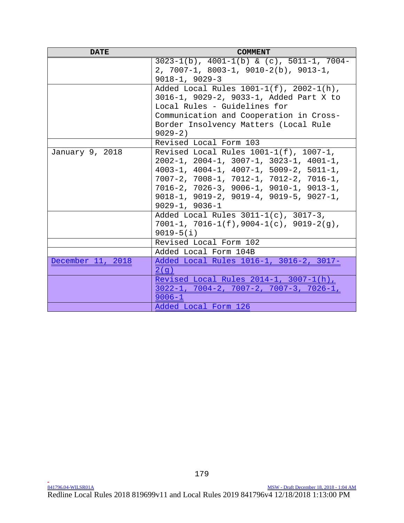| <b>DATE</b>       | <b>COMMENT</b>                                                                                                                                                                                                                                                                                                                                                                                           |  |
|-------------------|----------------------------------------------------------------------------------------------------------------------------------------------------------------------------------------------------------------------------------------------------------------------------------------------------------------------------------------------------------------------------------------------------------|--|
|                   | $3023-1(b)$ , $4001-1(b)$ & (c), $5011-1$ , $7004-$<br>2, 7007-1, 8003-1, 9010-2(b), 9013-1,<br>$9018 - 1, 9029 - 3$                                                                                                                                                                                                                                                                                     |  |
|                   | Added Local Rules 1001-1(f), 2002-1(h),<br>3016-1, 9029-2, 9033-1, Added Part X to<br>Local Rules - Guidelines for<br>Communication and Cooperation in Cross-<br>Border Insolvency Matters (Local Rule<br>$9029 - 2)$                                                                                                                                                                                    |  |
|                   | Revised Local Form 103                                                                                                                                                                                                                                                                                                                                                                                   |  |
| January 9, 2018   | Revised Local Rules $1001-1(f)$ , $1007-1$ ,<br>$2002-1$ , $2004-1$ , $3007-1$ , $3023-1$ , $4001-1$ ,<br>$4003-1, 4004-1, 4007-1, 5009-2, 5011-1,$<br>$7007 - 2$ , $7008 - 1$ , $7012 - 1$ , $7012 - 2$ , $7016 - 1$ ,<br>$7016 - 2$ , $7026 - 3$ , $9006 - 1$ , $9010 - 1$ , $9013 - 1$ ,<br>$9018-1, 9019-2, 9019-4, 9019-5, 9027-1,$<br>$9029 - 1, 9036 - 1$<br>Added Local Rules 3011-1(c), 3017-3, |  |
|                   | $7001-1, 7016-1(f), 9004-1(c), 9019-2(q),$<br>$9019 - 5(i)$                                                                                                                                                                                                                                                                                                                                              |  |
|                   | Revised Local Form 102                                                                                                                                                                                                                                                                                                                                                                                   |  |
|                   | Added Local Form 104B                                                                                                                                                                                                                                                                                                                                                                                    |  |
| December 11, 2018 | Added Local Rules 1016-1, 3016-2, 3017-<br>2(g)                                                                                                                                                                                                                                                                                                                                                          |  |
|                   | Revised Local Rules $2014-1$ , $3007-1(h)$ ,<br>$3022 - 1$ , $7004 - 2$ , $7007 - 2$ , $7007 - 3$ , $7026 - 1$ ,<br>$9006 - 1$<br>Added Local Form 126                                                                                                                                                                                                                                                   |  |